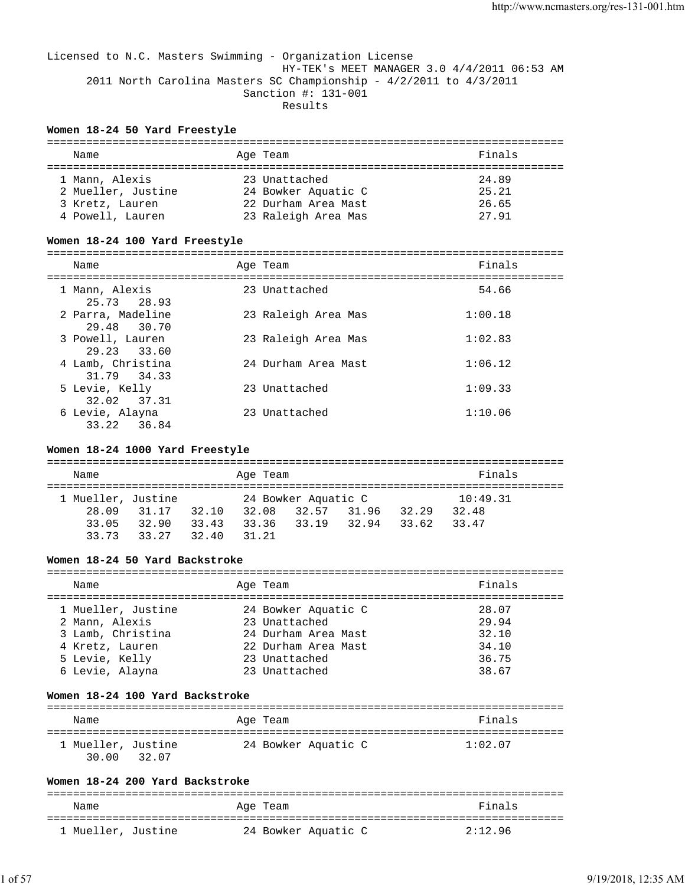### Licensed to N.C. Masters Swimming - Organization License HY-TEK's MEET MANAGER 3.0 4/4/2011 06:53 AM 2011 North Carolina Masters SC Championship - 4/2/2011 to 4/3/2011 Sanction #: 131-001 Results

### **Women 18-24 50 Yard Freestyle**

| Name               | Age Team            | Finals |  |  |  |
|--------------------|---------------------|--------|--|--|--|
|                    |                     |        |  |  |  |
| 1 Mann, Alexis     | 23 Unattached       | 24.89  |  |  |  |
| 2 Mueller, Justine | 24 Bowker Aquatic C | 25.21  |  |  |  |
| 3 Kretz, Lauren    | 22 Durham Area Mast | 26.65  |  |  |  |
| 4 Powell, Lauren   | 23 Raleigh Area Mas | 27.91  |  |  |  |

#### **Women 18-24 100 Yard Freestyle** ===============================================================================

| Name                              | Age Team            | Finals  |
|-----------------------------------|---------------------|---------|
| 1 Mann, Alexis<br>25.73 28.93     | 23 Unattached       | 54.66   |
| 2 Parra, Madeline<br>29.48 30.70  | 23 Raleigh Area Mas | 1:00.18 |
| 3 Powell, Lauren<br>29.23 33.60   | 23 Raleigh Area Mas | 1:02.83 |
| 4 Lamb, Christina<br>31.79 34.33  | 24 Durham Area Mast | 1:06.12 |
| 5 Levie, Kelly<br>32.02 37.31     | 23 Unattached       | 1:09.33 |
| 6 Levie, Alayna<br>33.22<br>36.84 | 23 Unattached       | 1:10.06 |

### **Women 18-24 1000 Yard Freestyle**

| Name               |       |       | Age Team |  | Finals              |       |       |          |
|--------------------|-------|-------|----------|--|---------------------|-------|-------|----------|
| 1 Mueller, Justine |       |       |          |  | 24 Bowker Aquatic C |       |       | 10:49.31 |
| 28.09              | 31.17 | 32.10 | 32.08    |  | 32.57               | 31.96 | 32.29 | 32.48    |
| 33.05              | 32.90 | 33.43 | 33.36    |  | 33.19               | 32.94 | 33.62 | 33.47    |
| 33 73              | 33 27 | 32.40 | 31 21    |  |                     |       |       |          |

#### **Women 18-24 50 Yard Backstroke**

| Name                                                                                                              | Age Team                                                                                                             | Finals                                             |
|-------------------------------------------------------------------------------------------------------------------|----------------------------------------------------------------------------------------------------------------------|----------------------------------------------------|
| 1 Mueller, Justine<br>2 Mann, Alexis<br>3 Lamb, Christina<br>4 Kretz, Lauren<br>5 Levie, Kelly<br>6 Levie, Alayna | 24 Bowker Aquatic C<br>23 Unattached<br>24 Durham Area Mast<br>22 Durham Area Mast<br>23 Unattached<br>23 Unattached | 28.07<br>29.94<br>32.10<br>34.10<br>36.75<br>38.67 |
|                                                                                                                   |                                                                                                                      |                                                    |

#### **Women 18-24 100 Yard Backstroke**

| Name                                 | Age Team            | Finals  |
|--------------------------------------|---------------------|---------|
| 1 Mueller, Justine<br>30 QO<br>32.07 | 24 Bowker Aquatic C | 1:02.07 |

#### **Women 18-24 200 Yard Backstroke**

| Name               | Age Team            | Finals  |
|--------------------|---------------------|---------|
| 1 Mueller, Justine | 24 Bowker Aquatic C | 2:12.96 |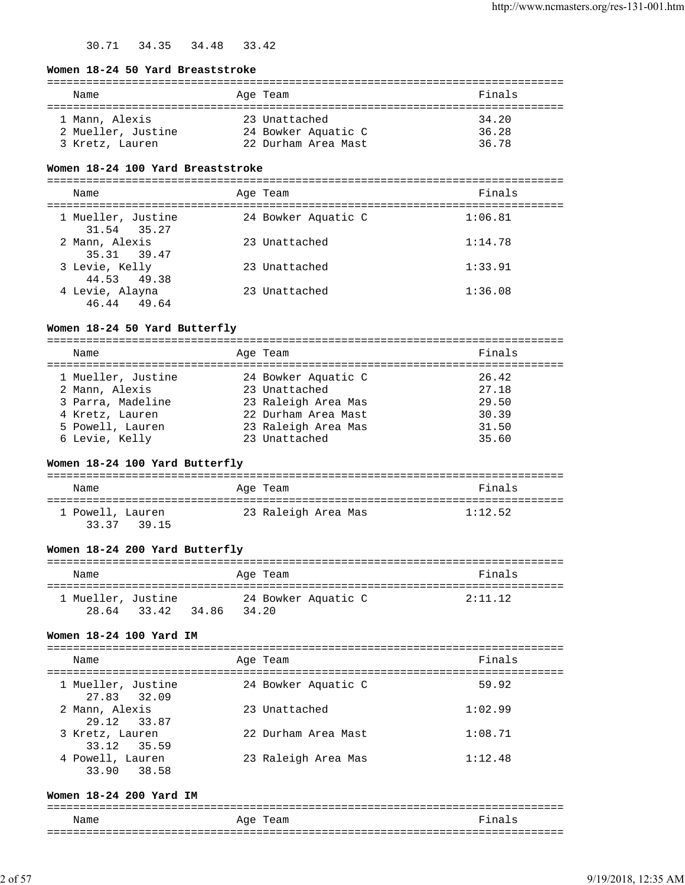### 30.71 34.35 34.48 33.42

#### **Women 18-24 50 Yard Breaststroke**

| Name               | Age Team            | Finals |
|--------------------|---------------------|--------|
| 1 Mann, Alexis     | 23 Unattached       | 34.20  |
| 2 Mueller, Justine | 24 Bowker Aquatic C | 36.28  |
| 3 Kretz, Lauren    | 22 Durham Area Mast | 36.78  |

#### **Women 18-24 100 Yard Breaststroke**

=============================================================================== Name Rinals Age Team Age Team Rinals =============================================================================== 1 Mueller, Justine 24 Bowker Aquatic C 1:06.81 31.54 35.27 2 Mann, Alexis 23 Unattached 1:14.78 35.31 39.47 3 Levie, Kelly 23 Unattached 1:33.91 44.53 49.38 4 Levie, Alayna 23 Unattached 1:36.08 46.44 49.64

### **Women 18-24 50 Yard Butterfly**

| Name               | Age Team            | Finals |
|--------------------|---------------------|--------|
| 1 Mueller, Justine | 24 Bowker Aquatic C | 26.42  |
| 2 Mann, Alexis     | 23 Unattached       | 27.18  |
| 3 Parra, Madeline  | 23 Raleigh Area Mas | 29.50  |
| 4 Kretz, Lauren    | 22 Durham Area Mast | 30.39  |
| 5 Powell, Lauren   | 23 Raleigh Area Mas | 31.50  |
| 6 Levie, Kelly     | 23 Unattached       | 35.60  |

### **Women 18-24 100 Yard Butterfly**

| Name                            | Age Team            | Finals  |
|---------------------------------|---------------------|---------|
| 1 Powell, Lauren<br>33.37 39.15 | 23 Raleigh Area Mas | 1:12.52 |

#### **Women 18-24 200 Yard Butterfly**

| Name               |             |       |       | Age Team |                     |  | Finals  |  |
|--------------------|-------------|-------|-------|----------|---------------------|--|---------|--|
| 1 Mueller, Justine | 28.64 33.42 | 34.86 | 34.20 |          | 24 Bowker Aquatic C |  | 2:11.12 |  |

### **Women 18-24 100 Yard IM**

| Name                              | Age Team            | Finals  |
|-----------------------------------|---------------------|---------|
| 1 Mueller, Justine<br>27.83 32.09 | 24 Bowker Aquatic C | 59.92   |
| 2 Mann, Alexis<br>29.12 33.87     | 23 Unattached       | 1:02.99 |
| 3 Kretz, Lauren<br>33.12 35.59    | 22 Durham Area Mast | 1:08.71 |
| 4 Powell, Lauren<br>33.90 38.58   | 23 Raleigh Area Mas | 1:12.48 |

### **Women 18-24 200 Yard IM**

| Name | $\sim$ $\sim$<br>eam<br>Aqe | $\sim$<br>-- |
|------|-----------------------------|--------------|
| ___  |                             | ___          |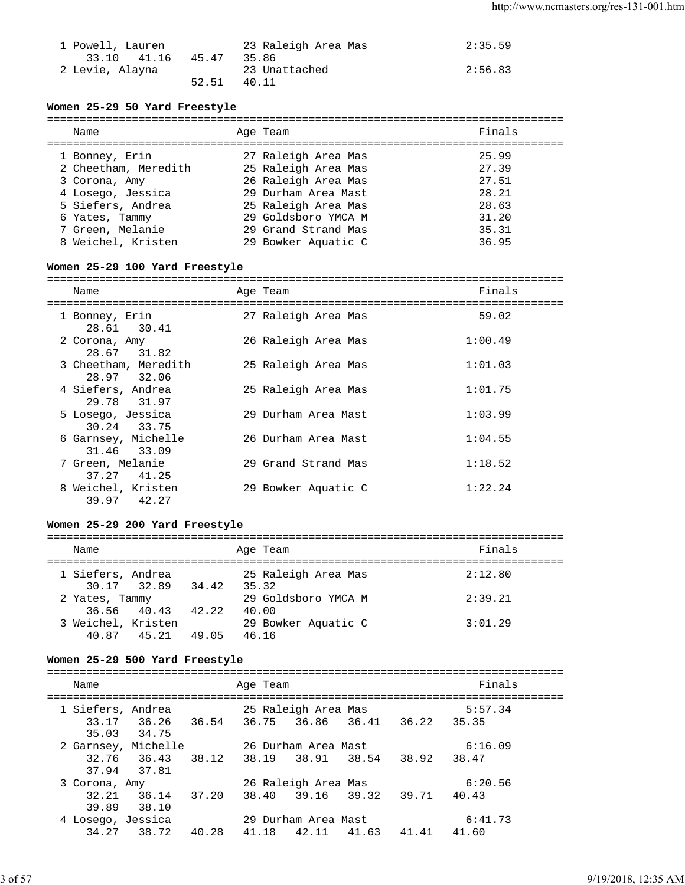| 1 Powell, Lauren |       | 23 Raleigh Area Mas | 2:35.59 |
|------------------|-------|---------------------|---------|
| 33.10 41.16      | 45.47 | 35.86               |         |
| 2 Levie, Alayna  |       | 23 Unattached       | 2:56.83 |
|                  | 52.51 | 40.11               |         |

### **Women 25-29 50 Yard Freestyle**

| Name                 | Age Team            | Finals |
|----------------------|---------------------|--------|
| 1 Bonney, Erin       | 27 Raleigh Area Mas | 25.99  |
| 2 Cheetham, Meredith | 25 Raleigh Area Mas | 27.39  |
| 3 Corona, Amy        | 26 Raleigh Area Mas | 27.51  |
| 4 Losego, Jessica    | 29 Durham Area Mast | 28.21  |
| 5 Siefers, Andrea    | 25 Raleigh Area Mas | 28.63  |
| 6 Yates, Tammy       | 29 Goldsboro YMCA M | 31.20  |
| 7 Green, Melanie     | 29 Grand Strand Mas | 35.31  |
| 8 Weichel, Kristen   | 29 Bowker Aquatic C | 36.95  |
|                      |                     |        |

### **Women 25-29 100 Yard Freestyle**

===============================================================================

| Name                                | Age Team            | Finals  |
|-------------------------------------|---------------------|---------|
| 1 Bonney, Erin<br>28.61 30.41       | 27 Raleigh Area Mas | 59.02   |
| 2 Corona, Amy<br>28.67 31.82        | 26 Raleigh Area Mas | 1:00.49 |
| 3 Cheetham, Meredith<br>28.97 32.06 | 25 Raleigh Area Mas | 1:01.03 |
| 4 Siefers, Andrea<br>29.78 31.97    | 25 Raleigh Area Mas | 1:01.75 |
| 5 Losego, Jessica<br>30.24 33.75    | 29 Durham Area Mast | 1:03.99 |
| 6 Garnsey, Michelle<br>31.46 33.09  | 26 Durham Area Mast | 1:04.55 |
| 7 Green, Melanie<br>41.25<br>37.27  | 29 Grand Strand Mas | 1:18.52 |
| 8 Weichel, Kristen<br>39.97 42.27   | 29 Bowker Aquatic C | 1:22.24 |

### **Women 25-29 200 Yard Freestyle**

| Name                              |                | Age Team                     | Finals  |
|-----------------------------------|----------------|------------------------------|---------|
| 1 Siefers, Andrea<br>30.17 32.89  | 34.42          | 25 Raleigh Area Mas<br>35.32 | 2:12.80 |
| 2 Yates, Tammy                    |                | 29 Goldsboro YMCA M          | 2:39.21 |
| 36.56 40.43<br>3 Weichel, Kristen | 42.22          | 40.00<br>29 Bowker Aquatic C | 3:01.29 |
| 40.87                             | 45.21<br>49.05 | 46.16                        |         |

### **Women 25-29 500 Yard Freestyle**

| Name              |                            |       | Age Team |                     |             |             | Finals  |  |
|-------------------|----------------------------|-------|----------|---------------------|-------------|-------------|---------|--|
| 1 Siefers, Andrea |                            |       |          | 25 Raleigh Area Mas |             |             | 5:57.34 |  |
|                   | 33.17 36.26<br>35.03 34.75 | 36.54 | 36.75    |                     | 36.86 36.41 | 36.22 35.35 |         |  |
|                   | 2 Garnsey, Michelle        |       |          | 26 Durham Area Mast |             |             | 6:16.09 |  |
|                   | 32.76 36.43<br>37.94 37.81 | 38.12 | 38.19    | 38.91 38.54         |             | 38.92       | 38.47   |  |
| 3 Corona, Amy     |                            |       |          | 26 Raleigh Area Mas |             |             | 6:20.56 |  |
| 32.21<br>39.89    | 36.14<br>38.10             | 37.20 | 38.40    | 39.16               | 39.32       | 39.71       | 40.43   |  |
| 4 Losego, Jessica |                            |       |          | 29 Durham Area Mast |             |             | 6:41.73 |  |
| 34.27             | 38.72                      | 40.28 | 41.18    | 42.11               | 41.63       | 41.41       | 41.60   |  |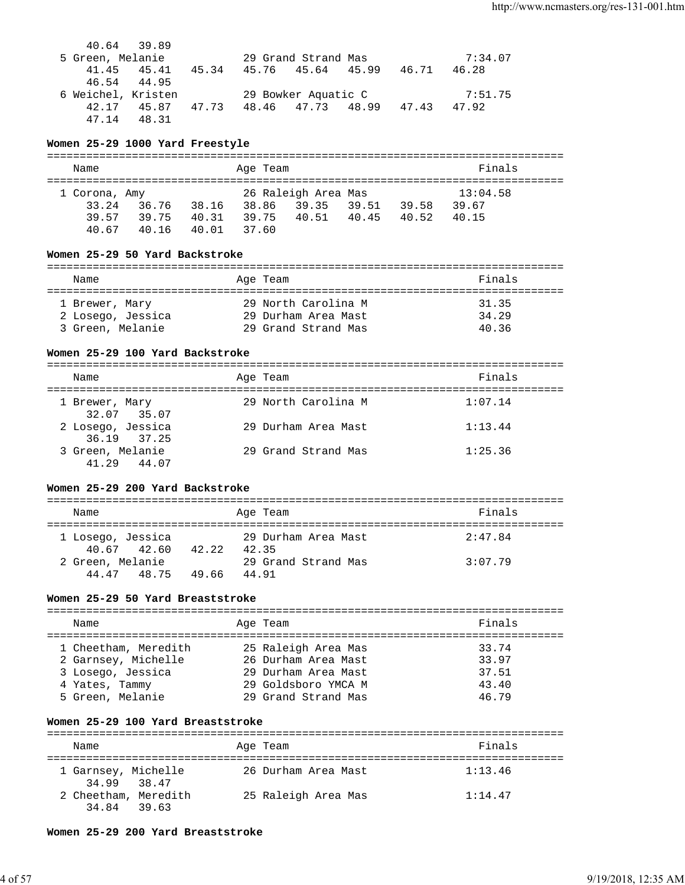40.64 39.89<br>5 Green, Melanie 5 Green, Melanie 29 Grand Strand Mas 7:34.07 41.45 45.41 45.34 45.76 45.64 45.99 46.71 46.28 46.54 44.95 6 Weichel, Kristen 29 Bowker Aquatic C 7:51.75 42.17 45.87 47.73 48.46 47.73 48.99 47.43 47.92 47.14 48.31

### **Women 25-29 1000 Yard Freestyle**

| Name          |       |       | Age Team |                     |       |       | Finals   |  |  |
|---------------|-------|-------|----------|---------------------|-------|-------|----------|--|--|
| 1 Corona, Amy |       |       |          | 26 Raleigh Area Mas |       |       | 13:04.58 |  |  |
| 33.24         | 36.76 | 38.16 | 38.86    | 39.35               | 39.51 | 39.58 | 39.67    |  |  |
| 39 57         | 39.75 | 40.31 | 39.75    | 40.51 40.45         |       | 40.52 | 40.15    |  |  |
| 40 67         | 40.16 | 40.01 | 37.60    |                     |       |       |          |  |  |

### **Women 25-29 50 Yard Backstroke**

| Name              | Age Team            | Finals |  |  |  |  |  |
|-------------------|---------------------|--------|--|--|--|--|--|
|                   |                     |        |  |  |  |  |  |
| 1 Brewer, Mary    | 29 North Carolina M | 31.35  |  |  |  |  |  |
| 2 Losego, Jessica | 29 Durham Area Mast | 34.29  |  |  |  |  |  |
| 3 Green, Melanie  | 29 Grand Strand Mas | 40.36  |  |  |  |  |  |

### **Women 25-29 100 Yard Backstroke**

| Name                               | Age Team            | Finals  |
|------------------------------------|---------------------|---------|
| 1 Brewer, Mary<br>32.07 35.07      | 29 North Carolina M | 1:07.14 |
| 2 Losego, Jessica<br>36.19 37.25   | 29 Durham Area Mast | 1:13.44 |
| 3 Green, Melanie<br>41.29<br>44.07 | 29 Grand Strand Mas | 1:25.36 |

### **Women 25-29 200 Yard Backstroke**

| Name             |                   |       |  | Age Team            | Finals  |  |  |
|------------------|-------------------|-------|--|---------------------|---------|--|--|
|                  |                   |       |  |                     |         |  |  |
|                  | 1 Losego, Jessica |       |  | 29 Durham Area Mast | 2:47.84 |  |  |
|                  | 40.67 42.60       | 42.22 |  | 42.35               |         |  |  |
| 2 Green, Melanie |                   |       |  | 29 Grand Strand Mas | 3:07.79 |  |  |
|                  | 44.47 48.75       | 49.66 |  | 44 91               |         |  |  |

### **Women 25-29 50 Yard Breaststroke**

| Finals<br>Age Team<br>Name<br>25 Raleigh Area Mas<br>1 Cheetham, Meredith<br>33.74<br>33.97<br>26 Durham Area Mast<br>2 Garnsey, Michelle<br>3 Losego, Jessica<br>37.51<br>29 Durham Area Mast<br>43.40<br>29 Goldsboro YMCA M<br>4 Yates, Tammy |  |  |  |
|--------------------------------------------------------------------------------------------------------------------------------------------------------------------------------------------------------------------------------------------------|--|--|--|
|                                                                                                                                                                                                                                                  |  |  |  |
| 5 Green, Melanie<br>29 Grand Strand Mas<br>46.79                                                                                                                                                                                                 |  |  |  |

### **Women 25-29 100 Yard Breaststroke**

| Name                                |  | Age Team            | Finals  |
|-------------------------------------|--|---------------------|---------|
| 1 Garnsey, Michelle<br>34.99 38.47  |  | 26 Durham Area Mast | 1:13.46 |
| 2 Cheetham, Meredith<br>34.84 39.63 |  | 25 Raleigh Area Mas | 1:14.47 |

#### **Women 25-29 200 Yard Breaststroke**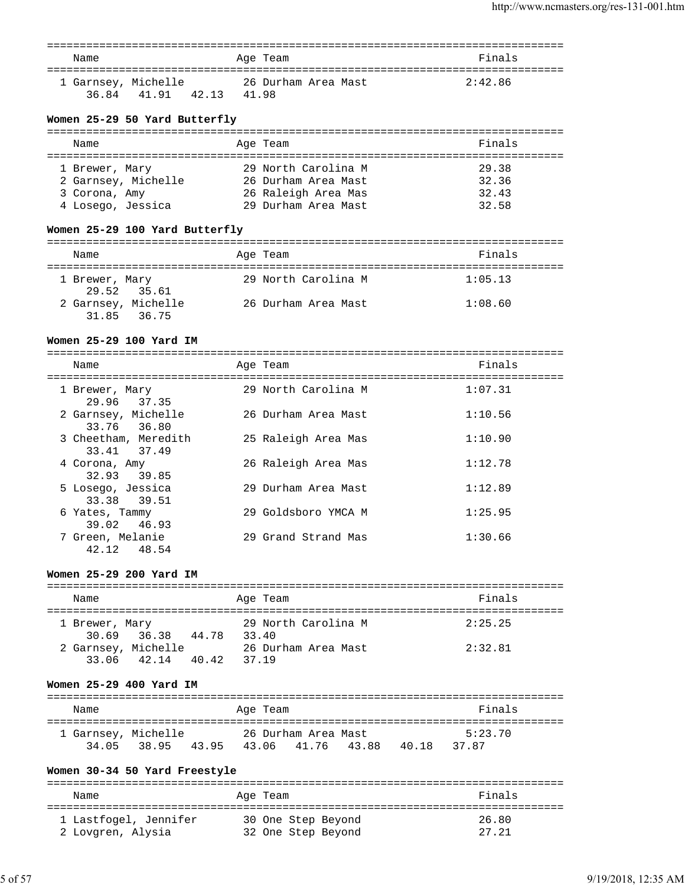| Name                |             |       |       | Age Team |                     | Finals  |
|---------------------|-------------|-------|-------|----------|---------------------|---------|
| 1 Garnsey, Michelle | 36.84 41.91 | 42.13 | 41.98 |          | 26 Durham Area Mast | 2:42.86 |

### **Women 25-29 50 Yard Butterfly**

| Name                | Age Team            | Finals |
|---------------------|---------------------|--------|
| 1 Brewer, Mary      | 29 North Carolina M | 29.38  |
| 2 Garnsey, Michelle | 26 Durham Area Mast | 32.36  |
| 3 Corona, Amy       | 26 Raleigh Area Mas | 32.43  |
| 4 Losego, Jessica   | 29 Durham Area Mast | 32.58  |

### **Women 25-29 100 Yard Butterfly**

| Name                               | Age Team            | Finals  |
|------------------------------------|---------------------|---------|
| 1 Brewer, Mary<br>29.52 35.61      | 29 North Carolina M | 1:05.13 |
| 2 Garnsey, Michelle<br>31.85 36.75 | 26 Durham Area Mast | 1:08.60 |

### **Women 25-29 100 Yard IM**

| Name                                | Age Team            | Finals  |
|-------------------------------------|---------------------|---------|
| 1 Brewer, Mary<br>29.96 37.35       | 29 North Carolina M | 1:07.31 |
| 2 Garnsey, Michelle<br>33.76 36.80  | 26 Durham Area Mast | 1:10.56 |
| 3 Cheetham, Meredith<br>33.41 37.49 | 25 Raleigh Area Mas | 1:10.90 |
| 4 Corona, Amy<br>32.93 39.85        | 26 Raleigh Area Mas | 1:12.78 |
| 5 Losego, Jessica<br>33.38 39.51    | 29 Durham Area Mast | 1:12.89 |
| 6 Yates, Tammy<br>39.02 46.93       | 29 Goldsboro YMCA M | 1:25.95 |
| 7 Green, Melanie<br>42.12 48.54     | 29 Grand Strand Mas | 1:30.66 |

### **Women 25-29 200 Yard IM**

| Name           |                                    |       |       | Age Team            | Finals  |
|----------------|------------------------------------|-------|-------|---------------------|---------|
| 1 Brewer, Mary | 30.69 36.38                        | 44.78 | 33.40 | 29 North Carolina M | 2:25.25 |
|                | 2 Garnsey, Michelle<br>33.06 42.14 | 40.42 | 37.19 | 26 Durham Area Mast | 2:32.81 |

### **Women 25-29 400 Yard IM**

| Name                         |       |       | Age Team |                                          |       | Finals           |  |
|------------------------------|-------|-------|----------|------------------------------------------|-------|------------------|--|
| 1 Garnsey, Michelle<br>34 05 | 38.95 | 43.95 |          | 26 Durham Area Mast<br>43.06 41.76 43.88 | 40.18 | 5:23.70<br>37.87 |  |

### **Women 30-34 50 Yard Freestyle**

| Name                  | Age Team           | Finals |
|-----------------------|--------------------|--------|
| 1 Lastfogel, Jennifer | 30 One Step Beyond | 26.80  |
| 2 Lovgren, Alysia     | 32 One Step Beyond | 27.21  |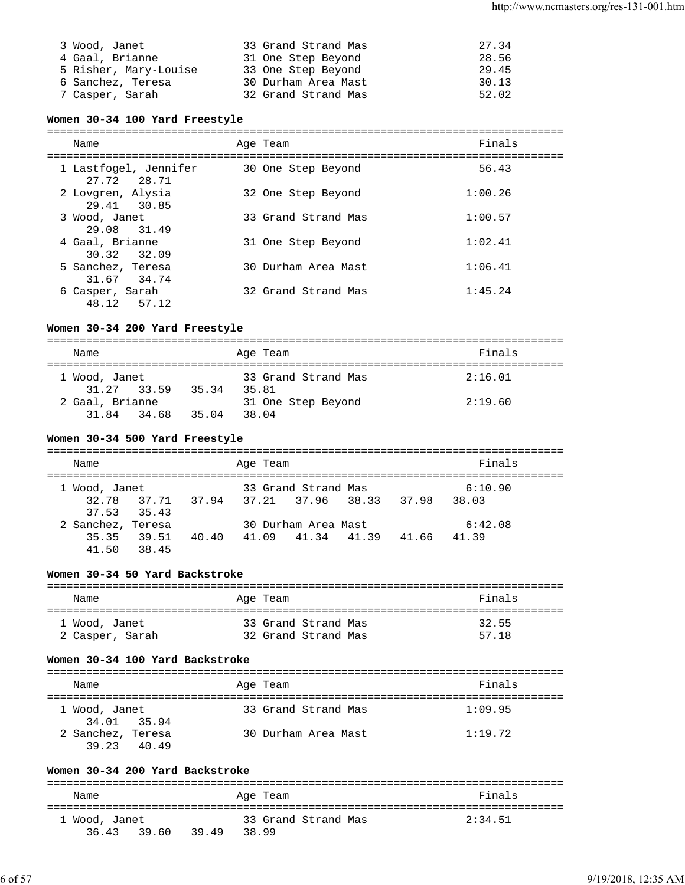| 3 Wood, Janet         | 33 Grand Strand Mas | 27.34 |
|-----------------------|---------------------|-------|
| 4 Gaal, Brianne       | 31 One Step Beyond  | 28.56 |
| 5 Risher, Mary-Louise | 33 One Step Beyond  | 29.45 |
| 6 Sanchez, Teresa     | 30 Durham Area Mast | 30.13 |
| 7 Casper, Sarah       | 32 Grand Strand Mas | 52.02 |

#### **Women 30-34 100 Yard Freestyle**

=============================================================================== Name **Age Team Age Team Age Team Finals** =============================================================================== 1 Lastfogel, Jennifer 30 One Step Beyond 56.43 27.72 28.71 2 Lovgren, Alysia 32 One Step Beyond 1:00.26 29.41 30.85 3 Wood, Janet 33 Grand Strand Mas 1:00.57 29.08 31.49<br>4 Gaal, Brianne 31 One Step Beyond 1:02.41 30.32 32.09 5 Sanchez, Teresa 30 Durham Area Mast 1:06.41 31.67 34.74 6 Casper, Sarah 32 Grand Strand Mas 1:45.24 48.12 57.12

### **Women 30-34 200 Yard Freestyle**

| Name              |       | Age Team            | Finals  |
|-------------------|-------|---------------------|---------|
| 1 Wood, Janet     |       | 33 Grand Strand Mas | 2:16.01 |
| 31.27 33.59       | 35.34 | 35.81               |         |
| 2 Gaal, Brianne   |       | 31 One Step Beyond  | 2:19.60 |
| 31.84 34.68 35.04 |       | 38.04               |         |

#### **Women 30-34 500 Yard Freestyle**

| Name                                   | Age Team                                  | Finals         |
|----------------------------------------|-------------------------------------------|----------------|
| 1 Wood, Janet                          | 33 Grand Strand Mas                       | 6:10.90        |
| $37.53$ $35.43$                        | 32.78 37.71 37.94 37.21 37.96 38.33 37.98 | 38.03          |
| 2 Sanchez, Teresa                      | 30 Durham Area Mast                       | 6:42.08        |
| 35.35 39.51<br>40.40<br>41.50<br>38.45 | 41.09 41.34 41.39                         | 41.39<br>41.66 |

### **Women 30-34 50 Yard Backstroke**

| Name            | Age Team            | Finals |
|-----------------|---------------------|--------|
| 1 Wood, Janet   | 33 Grand Strand Mas | 32.55  |
| 2 Casper, Sarah | 32 Grand Strand Mas | 57.18  |

#### **Women 30-34 100 Yard Backstroke**

| Name          |                                  | Age Team            | Finals  |
|---------------|----------------------------------|---------------------|---------|
| 1 Wood, Janet | 34.01 35.94                      | 33 Grand Strand Mas | 1:09.95 |
|               | 2 Sanchez, Teresa<br>39.23 40.49 | 30 Durham Area Mast | 1:19.72 |

### **Women 30-34 200 Yard Backstroke**

| Name          |       |       |       | Age Team |                     |  | Finals  |  |
|---------------|-------|-------|-------|----------|---------------------|--|---------|--|
| 1 Wood, Janet |       |       |       |          | 33 Grand Strand Mas |  | 2:34.51 |  |
| 36.43         | 39.60 | 39.49 | 38.99 |          |                     |  |         |  |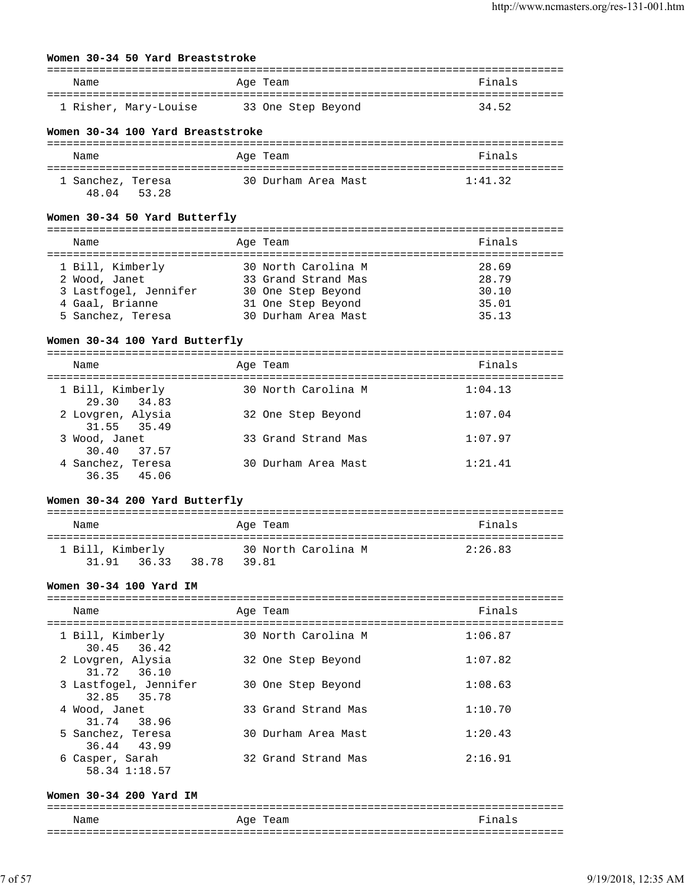#### **Women 30-34 50 Yard Breaststroke**

| Name                  | Age Team           | Finals |
|-----------------------|--------------------|--------|
| 1 Risher, Mary-Louise | 33 One Step Beyond | 34.52  |

#### **Women 30-34 100 Yard Breaststroke**

| Name                       |       | Age Team            | Finals  |
|----------------------------|-------|---------------------|---------|
| 1 Sanchez, Teresa<br>48 04 | 53.28 | 30 Durham Area Mast | 1:41.32 |

#### **Women 30-34 50 Yard Butterfly**

#### **Women 30-34 100 Yard Butterfly**

| Name                             | Age Team            | Finals  |
|----------------------------------|---------------------|---------|
| 1 Bill, Kimberly<br>29.30 34.83  | 30 North Carolina M | 1:04.13 |
| 2 Lovgren, Alysia<br>31.55 35.49 | 32 One Step Beyond  | 1:07.04 |
| 3 Wood, Janet<br>30.40 37.57     | 33 Grand Strand Mas | 1:07.97 |
| 4 Sanchez, Teresa<br>36.35 45.06 | 30 Durham Area Mast | 1:21.41 |

#### **Women 30-34 200 Yard Butterfly**

| Name             |             |       | Age Team |                     | Finals  |
|------------------|-------------|-------|----------|---------------------|---------|
|                  |             |       |          |                     |         |
| 1 Bill, Kimberly |             |       |          | 30 North Carolina M | 2:26.83 |
|                  | 31.91 36.33 | 38.78 | 39.81    |                     |         |

#### **Women 30-34 100 Yard IM**

| Name                                 | Age Team            | Finals  |
|--------------------------------------|---------------------|---------|
| 1 Bill, Kimberly<br>30.45 36.42      | 30 North Carolina M | 1:06.87 |
| 2 Lovgren, Alysia<br>31.72 36.10     | 32 One Step Beyond  | 1:07.82 |
| 3 Lastfogel, Jennifer<br>32.85 35.78 | 30 One Step Beyond  | 1:08.63 |
| 4 Wood, Janet<br>31.74 38.96         | 33 Grand Strand Mas | 1:10.70 |
| 5 Sanchez, Teresa<br>36.44 43.99     | 30 Durham Area Mast | 1:20.43 |
| 6 Casper, Sarah<br>58.34 1:18.57     | 32 Grand Strand Mas | 2:16.91 |

#### **Women 30-34 200 Yard IM**

===============================================================================

| Name | $-20$<br>.   |                           |
|------|--------------|---------------------------|
| ___  | ------------ | ___<br>------------------ |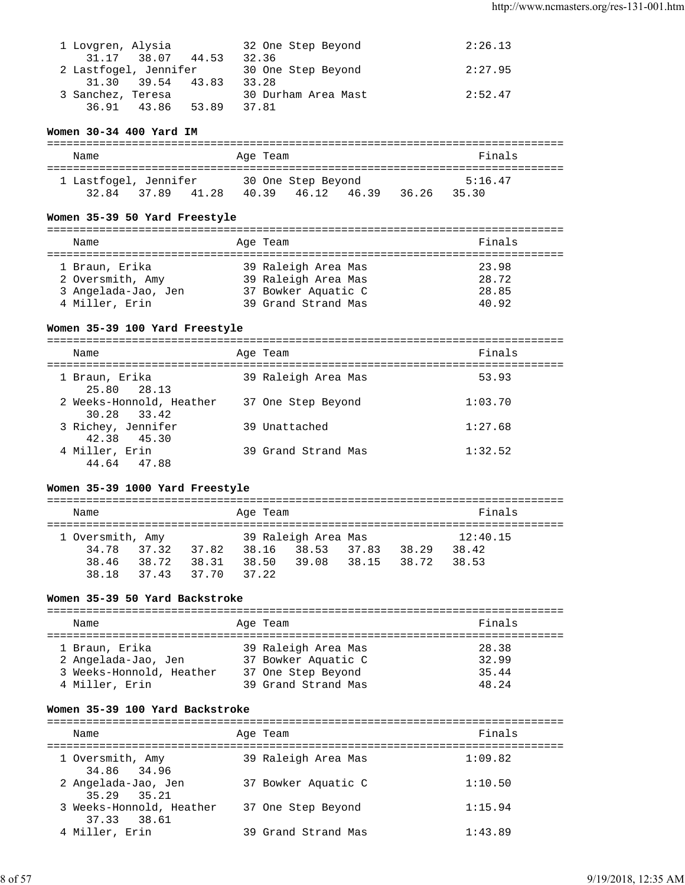| 1 Lovgren, Alysia     | 32 One Step Beyond  | 2:26.13 |
|-----------------------|---------------------|---------|
| 31.17 38.07 44.53     | 32.36               |         |
| 2 Lastfogel, Jennifer | 30 One Step Beyond  | 2:27.95 |
| 31.30 39.54 43.83     | 33.28               |         |
| 3 Sanchez, Teresa     | 30 Durham Area Mast | 2:52.47 |
| 36.91 43.86 53.89     | 37.81               |         |

### **Women 30-34 400 Yard IM**

| Name                           |       |       | Age Team |                             |       |       | Finals           |  |
|--------------------------------|-------|-------|----------|-----------------------------|-------|-------|------------------|--|
| 1 Lastfogel, Jennifer<br>32.84 | 37.89 | 41.28 | 40.39    | 30 One Step Beyond<br>46.12 | 46.39 | 36.26 | 5:16.47<br>35.30 |  |

#### **Women 35-39 50 Yard Freestyle**

| Name                                                                        | Age Team                                                                                 | Finals                           |
|-----------------------------------------------------------------------------|------------------------------------------------------------------------------------------|----------------------------------|
| 1 Braun, Erika<br>2 Oversmith, Amy<br>3 Angelada-Jao, Jen<br>4 Miller, Erin | 39 Raleigh Area Mas<br>39 Raleigh Area Mas<br>37 Bowker Aquatic C<br>39 Grand Strand Mas | 23.98<br>28.72<br>28.85<br>40.92 |

### **Women 35-39 100 Yard Freestyle**

| Name                                    | Age Team |                     | Finals  |
|-----------------------------------------|----------|---------------------|---------|
| 1 Braun, Erika<br>25.80 28.13           |          | 39 Raleigh Area Mas | 53.93   |
| 2 Weeks-Honnold, Heather<br>30.28 33.42 |          | 37 One Step Beyond  | 1:03.70 |
| 3 Richey, Jennifer<br>42.38 45.30       |          | 39 Unattached       | 1:27.68 |
| 4 Miller, Erin<br>44.64 47.88           |          | 39 Grand Strand Mas | 1:32.52 |

### **Women 35-39 1000 Yard Freestyle**

=============================================================================== Name **Age Team** Age Team **Finals** =============================================================================== 39 Raleigh Area Mas 34.78 37.32 37.82 38.16 38.53 37.83 38.29 38.42 38.46 38.72 38.31 38.50 39.08 38.15 38.72 38.53 38.18 37.43 37.70 37.22

### **Women 35-39 50 Yard Backstroke**

| Name                                                                                | Age Team                                                                                | Finals                           |
|-------------------------------------------------------------------------------------|-----------------------------------------------------------------------------------------|----------------------------------|
| 1 Braun, Erika<br>2 Angelada-Jao, Jen<br>3 Weeks-Honnold, Heather<br>4 Miller, Erin | 39 Raleigh Area Mas<br>37 Bowker Aquatic C<br>37 One Step Beyond<br>39 Grand Strand Mas | 28.38<br>32.99<br>35.44<br>48.24 |

### **Women 35-39 100 Yard Backstroke**

| Name                                    | Age Team            | Finals  |
|-----------------------------------------|---------------------|---------|
| 1 Oversmith, Amy<br>34.86 34.96         | 39 Raleigh Area Mas | 1:09.82 |
| 2 Angelada-Jao, Jen<br>35.29 35.21      | 37 Bowker Aquatic C | 1:10.50 |
| 3 Weeks-Honnold, Heather<br>37.33 38.61 | 37 One Step Beyond  | 1:15.94 |
| 4 Miller, Erin                          | 39 Grand Strand Mas | 1:43.89 |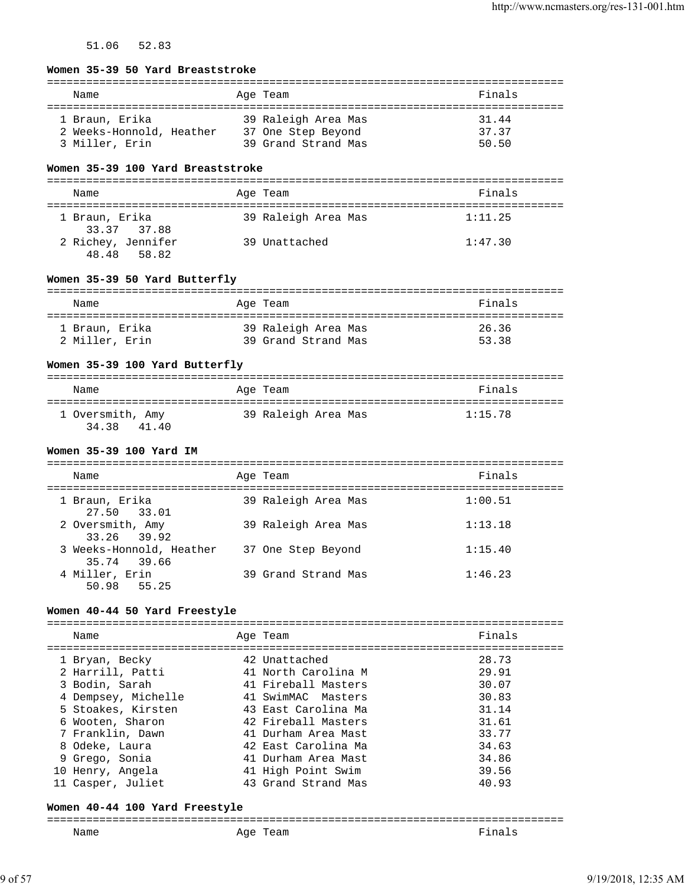51.06 52.83

| Women 35-39 50 Yard Breaststroke            |                     |         |
|---------------------------------------------|---------------------|---------|
| Name                                        | Age Team            | Finals  |
| 1 Braun, Erika                              | 39 Raleigh Area Mas | 31.44   |
| 2 Weeks-Honnold, Heather 37 One Step Beyond |                     | 37.37   |
| 3 Miller, Erin                              | 39 Grand Strand Mas | 50.50   |
| Women 35-39 100 Yard Breaststroke           |                     |         |
| Name                                        | Age Team            | Finals  |
|                                             |                     |         |
| 1 Braun, Erika<br>33.37 37.88               | 39 Raleigh Area Mas | 1:11.25 |
| 2 Richey, Jennifer<br>58.82<br>48.48        | 39 Unattached       | 1:47.30 |
| Women 35-39 50 Yard Butterfly               |                     |         |
|                                             |                     | Finals  |
| Name                                        | Age Team            |         |
| 1 Braun, Erika                              | 39 Raleigh Area Mas | 26.36   |
| 2 Miller, Erin                              | 39 Grand Strand Mas | 53.38   |
|                                             |                     |         |
| Women 35-39 100 Yard Butterfly              |                     |         |
| Name                                        | Age Team            | Finals  |
|                                             |                     |         |
| 1 Oversmith, Amy 39 Raleigh Area Mas        |                     | 1:15.78 |
| 34.38<br>41.40                              |                     |         |
| Women 35-39 100 Yard IM                     |                     |         |
| Name                                        | Age Team            | Finals  |
| 1 Braun, Erika                              |                     | 1:00.51 |
| 27.50<br>33.01                              | 39 Raleigh Area Mas |         |
| 2 Oversmith, Amy                            | 39 Raleigh Area Mas | 1:13.18 |
| 33.26<br>39.92                              |                     |         |
| 3 Weeks-Honnold, Heather                    | 37 One Step Beyond  | 1:15.40 |
| 35.74 39.66<br>4 Miller, Erin               | 39 Grand Strand Mas | 1:46.23 |
| 50.98<br>55.25                              |                     |         |
|                                             |                     |         |
| Women 40-44 50 Yard Freestyle               |                     |         |
| Name                                        | Age Team            | Finals  |
| 1 Bryan, Becky                              | 42 Unattached       | 28.73   |
| 2 Harrill, Patti                            | 41 North Carolina M | 29.91   |
| 3 Bodin, Sarah                              | 41 Fireball Masters | 30.07   |
| 4 Dempsey, Michelle                         | 41 SwimMAC Masters  | 30.83   |
| 5 Stoakes, Kirsten                          | 43 East Carolina Ma | 31.14   |
| 6 Wooten, Sharon                            | 42 Fireball Masters | 31.61   |
| 7 Franklin, Dawn                            | 41 Durham Area Mast | 33.77   |
| 8 Odeke, Laura                              | 42 East Carolina Ma | 34.63   |
| 9 Grego, Sonia                              | 41 Durham Area Mast | 34.86   |
| 10 Henry, Angela                            | 41 High Point Swim  | 39.56   |
| 11 Casper, Juliet                           | 43 Grand Strand Mas | 40.93   |

#### **Women 40-44 100 Yard Freestyle**

=============================================================================== Age Team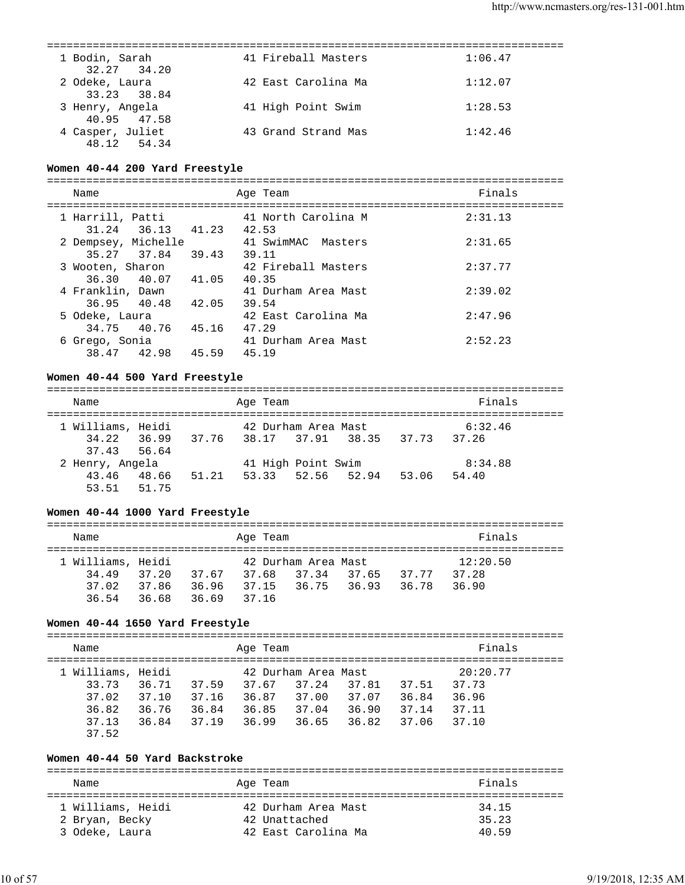| 1 Bodin, Sarah<br>32.27 34.20   | 41 Fireball Masters | 1:06.47 |
|---------------------------------|---------------------|---------|
| 2 Odeke, Laura<br>33.23 38.84   | 42 East Carolina Ma | 1:12.07 |
| 3 Henry, Angela<br>40.95 47.58  | 41 High Point Swim  | 1:28.53 |
| 4 Casper, Juliet<br>48.12 54.34 | 43 Grand Strand Mas | 1:42.46 |
|                                 |                     |         |

#### **Women 40-44 200 Yard Freestyle**

===============================================================================

| Name                |       | Age Team            | Finals  |
|---------------------|-------|---------------------|---------|
| 1 Harrill, Patti    |       | 41 North Carolina M | 2:31.13 |
| 31.24<br>36.13      | 41.23 | 42.53               |         |
| 2 Dempsey, Michelle |       | 41 SwimMAC Masters  | 2:31.65 |
| 35.27 37.84 39.43   |       | 39.11               |         |
| 3 Wooten, Sharon    |       | 42 Fireball Masters | 2:37.77 |
| 36.30 40.07         | 41.05 | 40.35               |         |
| 4 Franklin, Dawn    |       | 41 Durham Area Mast | 2:39.02 |
| 36.95 40.48         | 42.05 | 39.54               |         |
| 5 Odeke, Laura      |       | 42 East Carolina Ma | 2:47.96 |
| 34.75 40.76 45.16   |       | 47.29               |         |
| 6 Grego, Sonia      |       | 41 Durham Area Mast | 2:52.23 |
| 38.47 42.98         | 45.59 | 45.19               |         |

#### **Women 40-44 500 Yard Freestyle**

=============================================================================== Name Age Team Finals =============================================================================== 1 Williams, Heidi 42 Durham Area Mast 6:32.46 34.22 36.99 37.76 38.17 37.91 38.35 37.73 37.26 37.43 56.64 2 Henry, Angela 41 High Point Swim 8:34.88 43.46 48.66 51.21 53.33 52.56 52.94 53.06 54.40 53.51 51.75

#### **Women 40-44 1000 Yard Freestyle**

| Name              |       |       |       | Age Team |                     |       |       | Finals   |
|-------------------|-------|-------|-------|----------|---------------------|-------|-------|----------|
| 1 Williams, Heidi |       |       |       |          | 42 Durham Area Mast |       |       | 12:20.50 |
| 34.49             | 37.20 | 37.67 |       | 37.68    | 37.34               | 37.65 | 37.77 | 37.28    |
| 37.02             | 37.86 | 36.96 | 37.15 |          | 36.75 36.93         |       | 36.78 | 36.90    |
| 36.54             | 36.68 | 36.69 | 37.16 |          |                     |       |       |          |

#### **Women 40-44 1650 Yard Freestyle**

=============================================================================== Name **Age Team** Age Team Finals =============================================================================== 1 Williams, Heidi 42 Durham Area Mast 20:20.77 33.73 36.71 37.59 37.67 37.24 37.81 37.51 37.73 37.02 37.10 37.16 36.87 37.00 37.07 36.84 36.96 36.82 36.76 36.84 36.85 37.04 36.90 37.14 37.11 37.13 36.84 37.19 36.99 36.65 36.82 37.06 37.10 37.52

#### **Women 40-44 50 Yard Backstroke**

| Name                                | Age Team                             | Finals         |
|-------------------------------------|--------------------------------------|----------------|
| 1 Williams, Heidi<br>2 Bryan, Becky | 42 Durham Area Mast<br>42 Unattached | 34.15<br>35.23 |
| 3 Odeke, Laura                      | 42 East Carolina Ma                  | 4059           |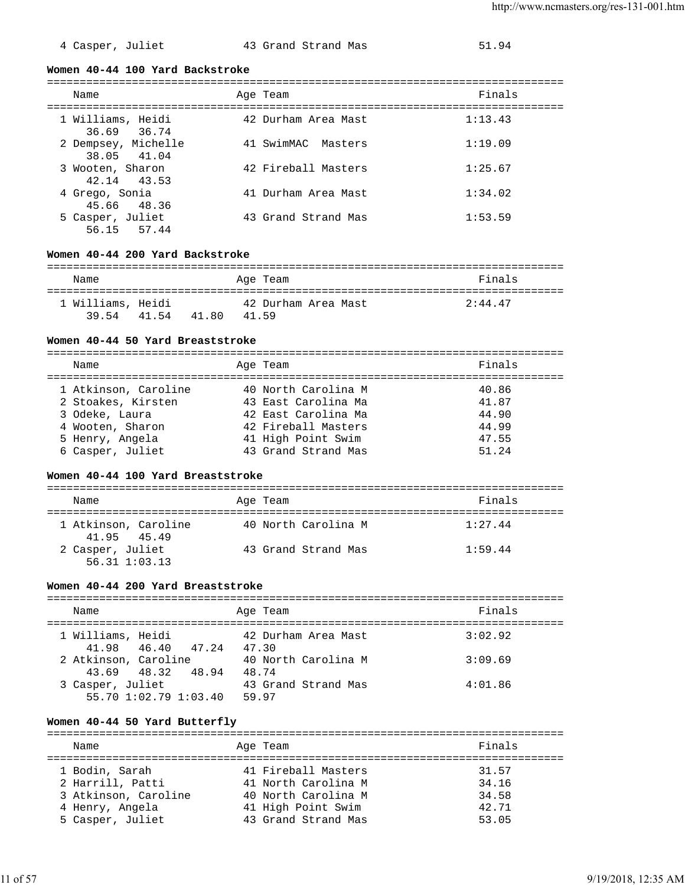|  |  | 4 Casper, Juliet |
|--|--|------------------|
|--|--|------------------|

### t and Strand Mas 51.94

#### **Women 40-44 100 Yard Backstroke**

| Name                               | Age Team |                     | Finals  |
|------------------------------------|----------|---------------------|---------|
| 1 Williams, Heidi<br>36.69 36.74   |          | 42 Durham Area Mast | 1:13.43 |
| 2 Dempsey, Michelle<br>38.05 41.04 |          | 41 SwimMAC Masters  | 1:19.09 |
| 3 Wooten, Sharon<br>42.14 43.53    |          | 42 Fireball Masters | 1:25.67 |
| 4 Grego, Sonia<br>45.66 48.36      |          | 41 Durham Area Mast | 1:34.02 |
| 5 Casper, Juliet<br>56.15 57.44    |          | 43 Grand Strand Mas | 1:53.59 |

#### **Women 40-44 200 Yard Backstroke**

| Name              |       |       |       | Age Team            | Finals  |
|-------------------|-------|-------|-------|---------------------|---------|
| 1 Williams, Heidi |       |       |       | 42 Durham Area Mast | 2:44.47 |
| 3954              | 41.54 | 41.80 | 41.59 |                     |         |

### **Women 40-44 50 Yard Breaststroke**

| Name                 | Age Team            | Finals |
|----------------------|---------------------|--------|
| 1 Atkinson, Caroline | 40 North Carolina M | 40.86  |
| 2 Stoakes, Kirsten   | 43 East Carolina Ma | 41.87  |
| 3 Odeke, Laura       | 42 East Carolina Ma | 44.90  |
| 4 Wooten, Sharon     | 42 Fireball Masters | 44.99  |
| 5 Henry, Angela      | 41 High Point Swim  | 47.55  |
| 6 Casper, Juliet     | 43 Grand Strand Mas | 51.24  |

#### **Women 40-44 100 Yard Breaststroke**

| Name                                  | Age Team            | Finals  |
|---------------------------------------|---------------------|---------|
| 1 Atkinson, Caroline<br>41.95 45.49   | 40 North Carolina M | 1:27.44 |
| 2 Casper, Juliet<br>$56.31$ $1:03.13$ | 43 Grand Strand Mas | 1:59.44 |

#### **Women 40-44 200 Yard Breaststroke**

| Name                                         | Age Team                     | Finals  |
|----------------------------------------------|------------------------------|---------|
| 1 Williams, Heidi<br>41.98 46.40 47.24 47.30 | 42 Durham Area Mast          | 3:02.92 |
| 2 Atkinson, Caroline<br>43.69 48.32 48.94    | 40 North Carolina M<br>48.74 | 3:09.69 |
| 3 Casper, Juliet<br>55.70 1:02.79 1:03.40    | 43 Grand Strand Mas<br>59.97 | 4:01.86 |

### **Women 40-44 50 Yard Butterfly**

| Name                 | Age Team            | Finals |
|----------------------|---------------------|--------|
|                      | 41 Fireball Masters | 31.57  |
| 1 Bodin, Sarah       |                     |        |
| 2 Harrill, Patti     | 41 North Carolina M | 34.16  |
| 3 Atkinson, Caroline | 40 North Carolina M | 34.58  |
| 4 Henry, Angela      | 41 High Point Swim  | 42.71  |
| 5 Casper, Juliet     | 43 Grand Strand Mas | 53.05  |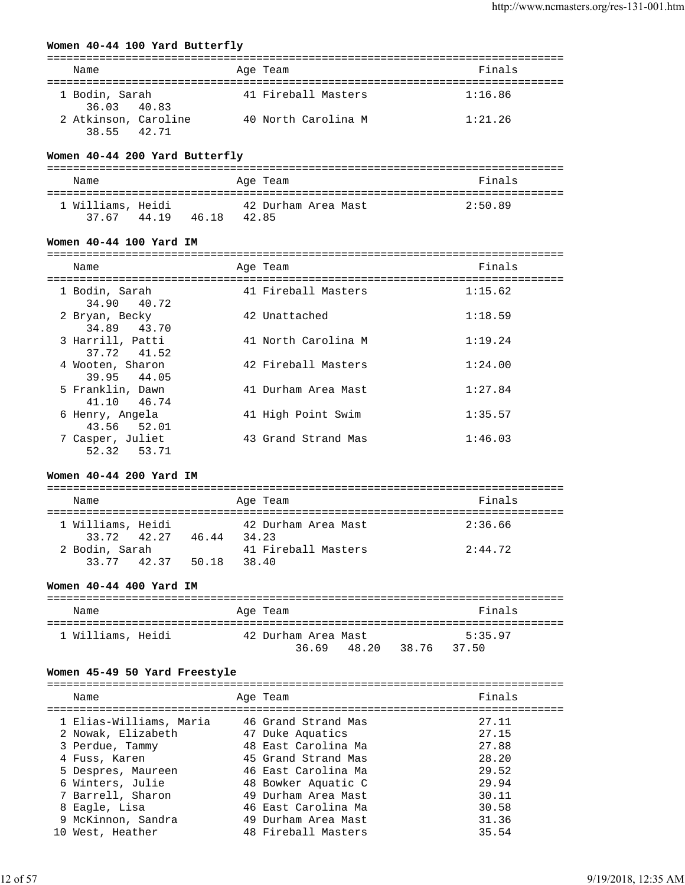### **Women 40-44 100 Yard Butterfly**

| Name                                | Age Team            | Finals  |
|-------------------------------------|---------------------|---------|
| 1 Bodin, Sarah<br>36.03 40.83       | 41 Fireball Masters | 1:16.86 |
| 2 Atkinson, Caroline<br>38.55 42.71 | 40 North Carolina M | 1:21.26 |

### **Women 40-44 200 Yard Butterfly**

| Name                       |       |                | Age Team            | Finals  |
|----------------------------|-------|----------------|---------------------|---------|
| 1 Williams, Heidi<br>37 67 | 44.19 | 42.85<br>46.18 | 42 Durham Area Mast | 2:50.89 |

#### **Women 40-44 100 Yard IM**

| Name                            | Age Team            | Finals  |
|---------------------------------|---------------------|---------|
|                                 |                     |         |
| 1 Bodin, Sarah<br>34.90 40.72   | 41 Fireball Masters | 1:15.62 |
| 2 Bryan, Becky<br>34.89 43.70   | 42 Unattached       | 1:18.59 |
| 3 Harrill, Patti<br>37.72 41.52 | 41 North Carolina M | 1:19.24 |
| 4 Wooten, Sharon<br>39.95 44.05 | 42 Fireball Masters | 1:24.00 |
| 5 Franklin, Dawn<br>41.10 46.74 | 41 Durham Area Mast | 1:27.84 |
| 6 Henry, Angela<br>43.56 52.01  | 41 High Point Swim  | 1:35.57 |
| 7 Casper, Juliet<br>52.32 53.71 | 43 Grand Strand Mas | 1:46.03 |

#### **Women 40-44 200 Yard IM**

| Name                             |       | Age Team                     | Finals  |
|----------------------------------|-------|------------------------------|---------|
| 1 Williams, Heidi<br>33.72 42.27 | 46.44 | 42 Durham Area Mast<br>34.23 | 2:36.66 |
| 2 Bodin, Sarah<br>33.77 42.37    | 50.18 | 41 Fireball Masters<br>38.40 | 2:44.72 |

#### **Women 40-44 400 Yard IM**

| Name              | Age Team            | Finals         |
|-------------------|---------------------|----------------|
| 1 Williams, Heidi | 42 Durham Area Mast | 5:35.97        |
|                   | 48.20<br>3669       | 38.76<br>37.50 |

### **Women 45-49 50 Yard Freestyle**

| Name                    |                    | Finals                                                                                                                                                                                                                                      |
|-------------------------|--------------------|---------------------------------------------------------------------------------------------------------------------------------------------------------------------------------------------------------------------------------------------|
| 1 Elias-Williams, Maria |                    | 27.11<br>27.15                                                                                                                                                                                                                              |
| 3 Perdue, Tammy         |                    | 27.88                                                                                                                                                                                                                                       |
| 4 Fuss, Karen           |                    | 28.20                                                                                                                                                                                                                                       |
| 5 Despres, Maureen      |                    | 29.52                                                                                                                                                                                                                                       |
| 6 Winters, Julie        |                    | 29.94                                                                                                                                                                                                                                       |
| 7 Barrell, Sharon       |                    | 30.11                                                                                                                                                                                                                                       |
| 8 Eagle, Lisa           |                    | 30.58                                                                                                                                                                                                                                       |
| 9 McKinnon, Sandra      |                    | 31.36                                                                                                                                                                                                                                       |
| West, Heather           |                    | 35.54                                                                                                                                                                                                                                       |
|                         | 2 Nowak, Elizabeth | Age Team<br>46 Grand Strand Mas<br>47 Duke Aquatics<br>48 East Carolina Ma<br>45 Grand Strand Mas<br>46 East Carolina Ma<br>48 Bowker Aquatic C<br>49 Durham Area Mast<br>46 East Carolina Ma<br>49 Durham Area Mast<br>48 Fireball Masters |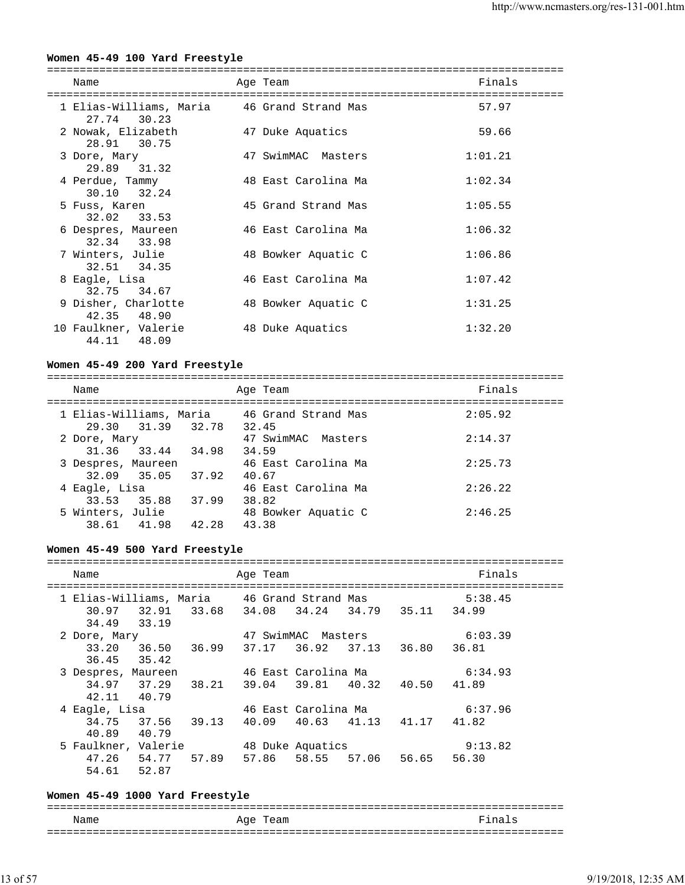### **Women 45-49 100 Yard Freestyle**

| Name                                                       | Age Team            | Finals  |
|------------------------------------------------------------|---------------------|---------|
| 1 Elias-Williams, Maria 16 Grand Strand Mas<br>27.74 30.23 |                     | 57.97   |
| 2 Nowak, Elizabeth<br>28.91 30.75                          | 47 Duke Aquatics    | 59.66   |
| 3 Dore, Mary<br>29.89 31.32                                | 47 SwimMAC Masters  | 1:01.21 |
| 4 Perdue, Tammy<br>30.10 32.24                             | 48 East Carolina Ma | 1:02.34 |
| 5 Fuss, Karen<br>32.02 33.53                               | 45 Grand Strand Mas | 1:05.55 |
| 6 Despres, Maureen<br>32.34 33.98                          | 46 East Carolina Ma | 1:06.32 |
| 7 Winters, Julie<br>32.51 34.35                            | 48 Bowker Aquatic C | 1:06.86 |
| 8 Eagle, Lisa<br>32.75 34.67                               | 46 East Carolina Ma | 1:07.42 |
| 9 Disher, Charlotte<br>42.35 48.90                         | 48 Bowker Aquatic C | 1:31.25 |
| 10 Faulkner, Valerie<br>44.11 48.09                        | 48 Duke Aquatics    | 1:32.20 |

#### **Women 45-49 200 Yard Freestyle**

| Name                                    | Age Team                                             | Finals  |
|-----------------------------------------|------------------------------------------------------|---------|
| 29.30 31.39 32.78                       | 1 Elias-Williams, Maria 46 Grand Strand Mas<br>32.45 | 2:05.92 |
| 2 Dore, Mary<br>31.36 33.44 34.98       | 47 SwimMAC Masters<br>34.59                          | 2:14.37 |
| 3 Despres, Maureen<br>32.09 35.05 37.92 | 46 East Carolina Ma<br>40.67                         | 2:25.73 |
| 4 Eagle, Lisa<br>33.53 35.88            | 46 East Carolina Ma<br>37.99<br>38.82                | 2:26.22 |
| 5 Winters, Julie<br>38.61 41.98         | 48 Bowker Aquatic C<br>42.28<br>43.38                | 2:46.25 |

#### **Women 45-49 500 Yard Freestyle**

#### =============================================================================== Name **Age Team Age Team** Finals =============================================================================== 1 Elias-Williams, Maria 46 Grand Strand Mas 5:38.45 30.97 32.91 33.68 34.08 34.24 34.79 35.11 34.99 34.49 33.19<br>2 Dore, Mary 2 Dore, Mary 47 SwimMAC Masters 6:03.39 33.20 36.50 36.99 37.17 36.92 37.13 36.80 36.81 36.45 35.42 3 Despres, Maureen 46 East Carolina Ma 6:34.93 34.97 37.29 38.21 39.04 39.81 40.32 40.50 41.89 42.11 40.79 4 Eagle, Lisa 46 East Carolina Ma 6:37.96 34.75 37.56 39.13 40.09 40.63 41.13 41.17 41.82 40.89 40.79 5 Faulkner, Valerie 48 Duke Aquatics 9:13.82 47.26 54.77 57.89 57.86 58.55 57.06 56.65 56.30 54.61 52.87

#### **Women 45-49 1000 Yard Freestyle**

=============================================================================== Name **Age Team** Age Team **Finals**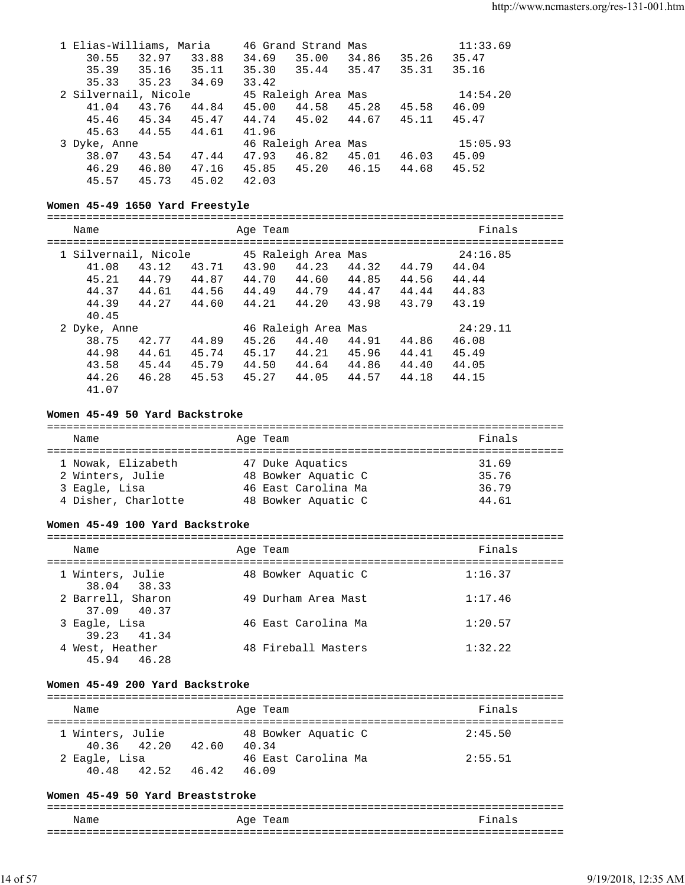| 1 Elias-Williams, Maria |       |       |             | 46 Grand Strand Mas |       |       | 11:33.69 |
|-------------------------|-------|-------|-------------|---------------------|-------|-------|----------|
| 30.55                   | 32.97 | 33.88 | 34.69       | 35.00               | 34.86 | 35.26 | 35.47    |
| 35.39                   | 35.16 | 35.11 | 35.30 35.44 |                     | 35.47 | 35.31 | 35.16    |
| 35.33                   | 35.23 | 34.69 | 33.42       |                     |       |       |          |
| 2 Silvernail, Nicole    |       |       |             | 45 Raleigh Area Mas |       |       | 14:54.20 |
| 41.04                   | 43.76 | 44.84 | 45.00       | 44.58               | 45.28 | 45.58 | 46.09    |
| 45.46 45.34             |       | 45.47 | 44.74 45.02 |                     | 44.67 | 45.11 | 45.47    |
| 45.63                   | 44.55 | 44.61 | 41.96       |                     |       |       |          |
| 3 Dyke, Anne            |       |       |             | 46 Raleigh Area Mas |       |       | 15:05.93 |
| 38.07                   | 43.54 | 47.44 | 47.93       | 46.82               | 45.01 | 46.03 | 45.09    |
| 46.29                   | 46.80 | 47.16 | 45.85 45.20 |                     | 46.15 | 44.68 | 45.52    |
| 45.57                   | 45.73 | 45.02 | 42.03       |                     |       |       |          |

### **Women 45-49 1650 Yard Freestyle**

===============================================================================

| Name                 |       |       | Age Team |                     |       |       | Finals   |  |
|----------------------|-------|-------|----------|---------------------|-------|-------|----------|--|
| 1 Silvernail, Nicole |       |       |          | 45 Raleigh Area Mas |       |       | 24:16.85 |  |
| 41.08                | 43.12 | 43.71 | 43.90    | 44.23               | 44.32 | 44.79 | 44.04    |  |
| 45.21                | 44.79 | 44.87 | 44.70    | 44.60               | 44.85 | 44.56 | 44.44    |  |
| 44.37                | 44.61 | 44.56 | 44.49    | 44.79               | 44.47 | 44.44 | 44.83    |  |
| 44.39                | 44.27 | 44.60 | 44.21    | 44.20               | 43.98 | 43.79 | 43.19    |  |
| 40.45                |       |       |          |                     |       |       |          |  |
| 2 Dyke, Anne         |       |       |          | 46 Raleigh Area Mas |       |       | 24:29.11 |  |
| 38.75                | 42.77 | 44.89 | 45.26    | 44.40               | 44.91 | 44.86 | 46.08    |  |
| 44.98                | 44.61 | 45.74 | 45.17    | 44.21               | 45.96 | 44.41 | 45.49    |  |
| 43.58                | 45.44 | 45.79 | 44.50    | 44.64               | 44.86 | 44.40 | 44.05    |  |
| 44.26                | 46.28 | 45.53 | 45.27    | 44.05               | 44.57 | 44.18 | 44.15    |  |
| 41.07                |       |       |          |                     |       |       |          |  |

### **Women 45-49 50 Yard Backstroke**

| Name                | Age Team            | Finals |
|---------------------|---------------------|--------|
| 1 Nowak, Elizabeth  | 47 Duke Aquatics    | 31.69  |
| 2 Winters, Julie    | 48 Bowker Aquatic C | 35.76  |
| 3 Eagle, Lisa       | 46 East Carolina Ma | 36.79  |
| 4 Disher, Charlotte | 48 Bowker Aquatic C | 44.61  |

#### **Women 45-49 100 Yard Backstroke**

| Name                             | Age Team            | Finals  |
|----------------------------------|---------------------|---------|
| 1 Winters, Julie<br>38.04 38.33  | 48 Bowker Aquatic C | 1:16.37 |
| 2 Barrell, Sharon<br>37.09 40.37 | 49 Durham Area Mast | 1:17.46 |
| 3 Eagle, Lisa<br>39.23 41.34     | 46 East Carolina Ma | 1:20.57 |
| 4 West, Heather<br>45.94 46.28   | 48 Fireball Masters | 1:32.22 |

#### **Women 45-49 200 Yard Backstroke**

| Name                   |             |       | Age Team                     | Finals  |
|------------------------|-------------|-------|------------------------------|---------|
| 1 Winters, Julie       | 40.36 42.20 | 42.60 | 48 Bowker Aquatic C<br>40.34 | 2:45.50 |
| 2 Eagle, Lisa<br>40 48 | 42.52       | 46.42 | 46 East Carolina Ma<br>46.09 | 2:55.51 |

### **Women 45-49 50 Yard Breaststroke**

| Name | Age Team | Finals |
|------|----------|--------|
|      |          |        |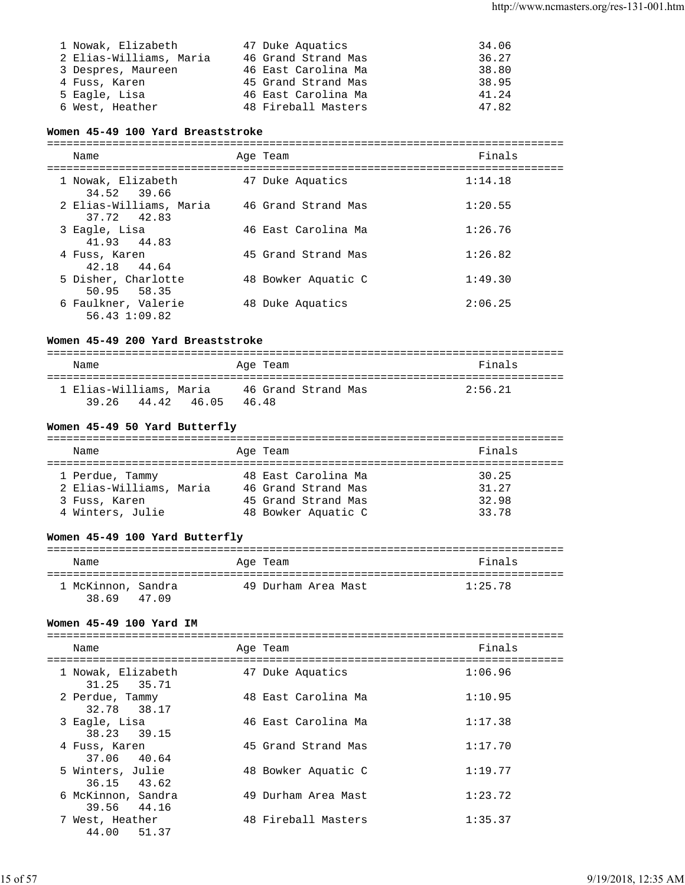| 1 Nowak, Elizabeth      | 47 Duke Aquatics    | 34.06 |
|-------------------------|---------------------|-------|
| 2 Elias-Williams, Maria | 46 Grand Strand Mas | 36.27 |
| 3 Despres, Maureen      | 46 East Carolina Ma | 38.80 |
| 4 Fuss, Karen           | 45 Grand Strand Mas | 38.95 |
| 5 Eagle, Lisa           | 46 East Carolina Ma | 41.24 |
| 6 West, Heather         | 48 Fireball Masters | 47.82 |

### **Women 45-49 100 Yard Breaststroke**

| Name                                   | Age Team            | Finals  |
|----------------------------------------|---------------------|---------|
| 1 Nowak, Elizabeth<br>34.52 39.66      | 47 Duke Aquatics    | 1:14.18 |
| 2 Elias-Williams, Maria<br>37.72 42.83 | 46 Grand Strand Mas | 1:20.55 |
| 3 Eagle, Lisa<br>41.93 44.83           | 46 East Carolina Ma | 1:26.76 |
| 4 Fuss, Karen<br>42.18 44.64           | 45 Grand Strand Mas | 1:26.82 |
| 5 Disher, Charlotte<br>50.95 58.35     | 48 Bowker Aquatic C | 1:49.30 |
| 6 Faulkner, Valerie<br>56.431:09.82    | 48 Duke Aquatics    | 2:06.25 |

### **Women 45-49 200 Yard Breaststroke**

| Name                                   |       | Age Team                    | Finals  |
|----------------------------------------|-------|-----------------------------|---------|
| 1 Elias-Williams, Maria<br>39.26 44.42 | 46.05 | 46 Grand Strand Mas<br>4648 | 2:56.21 |

### **Women 45-49 50 Yard Butterfly**

| Name                                                                            | Age Team                                                                                 | Finals                           |
|---------------------------------------------------------------------------------|------------------------------------------------------------------------------------------|----------------------------------|
| 1 Perdue, Tammy<br>2 Elias-Williams, Maria<br>3 Fuss, Karen<br>4 Winters, Julie | 48 East Carolina Ma<br>46 Grand Strand Mas<br>45 Grand Strand Mas<br>48 Bowker Aquatic C | 30.25<br>31.27<br>32.98<br>33.78 |

### **Women 45-49 100 Yard Butterfly**

| Name                        |       | Age Team            | Finals  |
|-----------------------------|-------|---------------------|---------|
| 1 McKinnon, Sandra<br>38.69 | 47.09 | 49 Durham Area Mast | 1:25.78 |

### **Women 45-49 100 Yard IM**

| Name                              | Age Team            | Finals  |
|-----------------------------------|---------------------|---------|
| 1 Nowak, Elizabeth<br>31.25 35.71 | 47 Duke Aquatics    | 1:06.96 |
| 2 Perdue, Tammy<br>32.78 38.17    | 48 East Carolina Ma | 1:10.95 |
| 3 Eagle, Lisa<br>38.23 39.15      | 46 East Carolina Ma | 1:17.38 |
| 4 Fuss, Karen<br>37.06 40.64      | 45 Grand Strand Mas | 1:17.70 |
| 5 Winters, Julie<br>36.15 43.62   | 48 Bowker Aquatic C | 1:19.77 |
| 6 McKinnon, Sandra<br>39.56 44.16 | 49 Durham Area Mast | 1:23.72 |
| 7 West, Heather<br>44.00 51.37    | 48 Fireball Masters | 1:35.37 |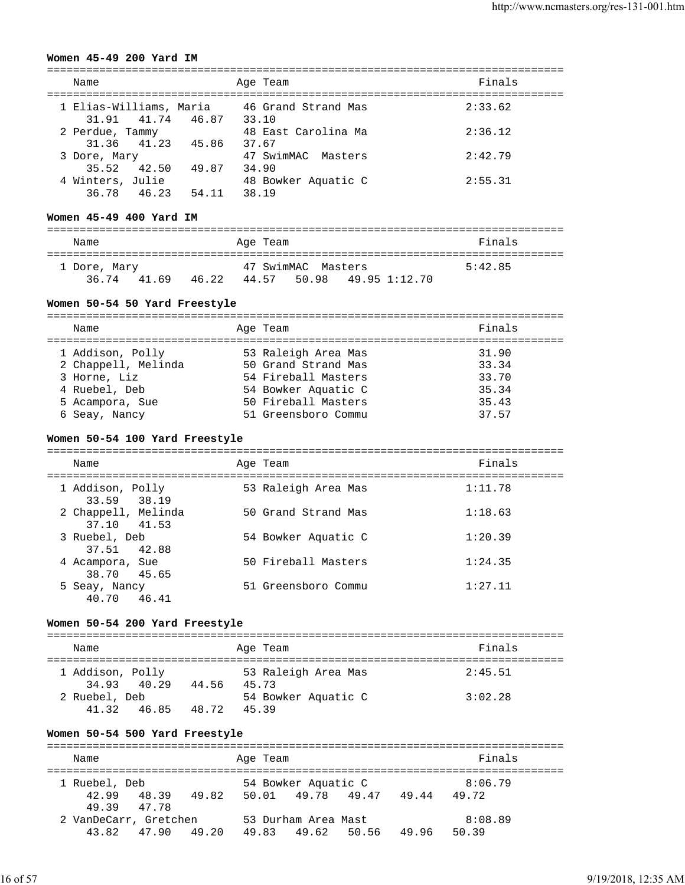#### **Women 45-49 200 Yard IM**

| Name                                            | Age Team                       | Finals  |
|-------------------------------------------------|--------------------------------|---------|
| 1 Elias-Williams, Maria<br>31.91 41.74<br>46.87 | 46 Grand Strand Mas<br>33.10   | 2:33.62 |
| 2 Perdue, Tammy<br>31.36 41.23<br>45.86         | 48 East Carolina Ma<br>37.67   | 2:36.12 |
| 3 Dore, Mary<br>42.50<br>35.52<br>49.87         | 47 SwimMAC<br>Masters<br>34.90 | 2:42.79 |
| 4 Winters, Julie<br>36.78 46.23<br>54.11        | 48 Bowker Aquatic C<br>38.19   | 2:55.31 |

===============================================================================

#### **Women 45-49 400 Yard IM**

| Name         |       | Age Team    |                    |               | Finals  |  |
|--------------|-------|-------------|--------------------|---------------|---------|--|
| 1 Dore, Mary |       |             | 47 SwimMAC Masters |               | 5:42.85 |  |
| 36.74 41.69  | 46.22 | 44.57 50.98 |                    | 49.95 1:12.70 |         |  |

#### **Women 50-54 50 Yard Freestyle**

| Name                                                    | Age Team                                                          | Finals                  |
|---------------------------------------------------------|-------------------------------------------------------------------|-------------------------|
| 1 Addison, Polly<br>2 Chappell, Melinda<br>3 Horne, Liz | 53 Raleigh Area Mas<br>50 Grand Strand Mas<br>54 Fireball Masters | 31.90<br>33.34<br>33.70 |
| 4 Ruebel, Deb<br>5 Acampora, Sue                        | 54 Bowker Aquatic C<br>50 Fireball Masters                        | 35.34<br>35.43          |
| 6 Seay, Nancy                                           | 51 Greensboro Commu                                               | 37.57                   |

#### **Women 50-54 100 Yard Freestyle**

| Name                               |       | Age Team            | Finals  |
|------------------------------------|-------|---------------------|---------|
| 1 Addison, Polly<br>33.59 38.19    |       | 53 Raleigh Area Mas | 1:11.78 |
| 2 Chappell, Melinda<br>37.10 41.53 |       | 50 Grand Strand Mas | 1:18.63 |
| 3 Ruebel, Deb<br>37.51 42.88       |       | 54 Bowker Aquatic C | 1:20.39 |
| 4 Acampora, Sue<br>38.70 45.65     |       | 50 Fireball Masters | 1:24.35 |
| 5 Seay, Nancy<br>40.70             | 46.41 | 51 Greensboro Commu | 1:27.11 |

#### **Women 50-54 200 Yard Freestyle**

| Name             |             |       | Age Team                     | Finals  |
|------------------|-------------|-------|------------------------------|---------|
| 1 Addison, Polly |             |       | 53 Raleigh Area Mas          | 2:45.51 |
| 2 Ruebel, Deb    | 34.93 40.29 | 44.56 | 45.73<br>54 Bowker Aquatic C | 3:02.28 |
| 41.32            | 46.85       | 48.72 | 45.39                        |         |

#### **Women 50-54 500 Yard Freestyle**

=============================================================================== Name **Age Team** Age Team **Finals** =============================================================================== 1 Ruebel, Deb 54 Bowker Aquatic C 8:06.79 42.99 48.39 49.82 50.01 49.78 49.47 49.44 49.72 49.39 47.78 2 VanDeCarr, Gretchen 53 Durham Area Mast 8:08.89 43.82 47.90 49.20 49.83 49.62 50.56 49.96 50.39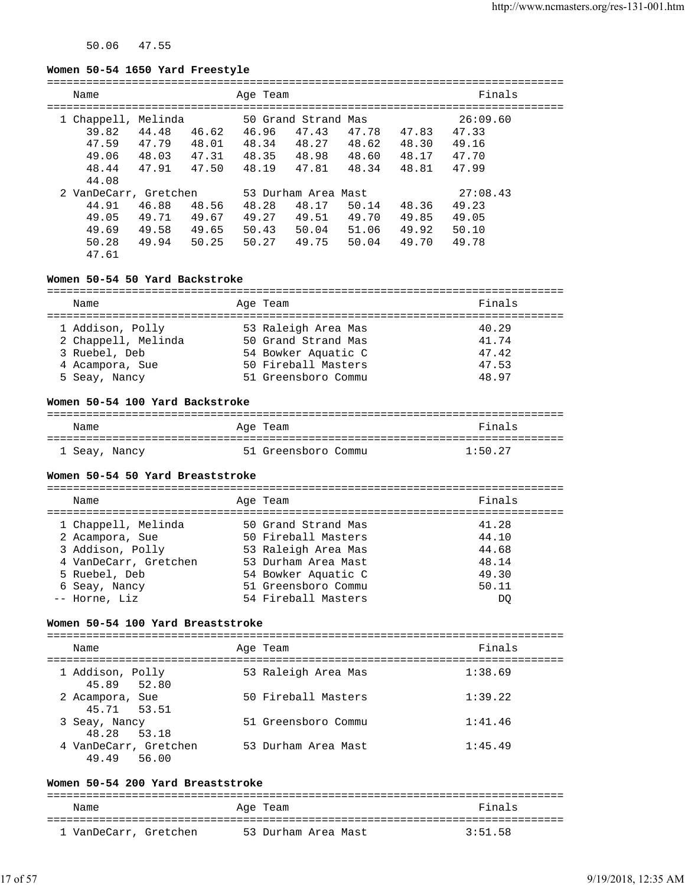50.06 47.55

### **Women 50-54 1650 Yard Freestyle**

| Name                                                               |                                  |                                  | Age Team                         |                                                         |                                  |                                  | Finals                                       |  |
|--------------------------------------------------------------------|----------------------------------|----------------------------------|----------------------------------|---------------------------------------------------------|----------------------------------|----------------------------------|----------------------------------------------|--|
| 1 Chappell, Melinda<br>39.82<br>47.59<br>49.06<br>48.44<br>44.08   | 44.48<br>47.79<br>48.03<br>47.91 | 46.62<br>48.01<br>47.31<br>47.50 | 46.96<br>48.34<br>48.35<br>48.19 | 50 Grand Strand Mas<br>47.43<br>48.27<br>48.98<br>47.81 | 47.78<br>48.62<br>48.60<br>48.34 | 47.83<br>48.30<br>48.17<br>48.81 | 26:09.60<br>47.33<br>49.16<br>47.70<br>47.99 |  |
| 2 VanDeCarr, Gretchen<br>44.91<br>49.05<br>49.69<br>50.28<br>47.61 | 46.88<br>49.71<br>49.58<br>49.94 | 48.56<br>49.67<br>49.65<br>50.25 | 48.28<br>49.27<br>50.43<br>50.27 | 53 Durham Area Mast<br>48.17<br>49.51<br>50.04<br>49.75 | 50.14<br>49.70<br>51.06<br>50.04 | 48.36<br>49.85<br>49.92<br>49.70 | 27:08.43<br>49.23<br>49.05<br>50.10<br>49.78 |  |

### **Women 50-54 50 Yard Backstroke**

| Name                |  | Age Team            | Finals |  |  |
|---------------------|--|---------------------|--------|--|--|
|                     |  |                     |        |  |  |
| 1 Addison, Polly    |  | 53 Raleigh Area Mas | 40.29  |  |  |
| 2 Chappell, Melinda |  | 50 Grand Strand Mas | 41.74  |  |  |
| 3 Ruebel, Deb       |  | 54 Bowker Aquatic C | 47.42  |  |  |
| 4 Acampora, Sue     |  | 50 Fireball Masters | 47.53  |  |  |
| 5 Seay, Nancy       |  | 51 Greensboro Commu | 48.97  |  |  |

#### **Women 50-54 100 Yard Backstroke**

| Name          | Age Team            | Finals  |
|---------------|---------------------|---------|
| 1 Seay, Nancy | 51 Greensboro Commu | 1:50.27 |

### **Women 50-54 50 Yard Breaststroke**

| Name                  | Age Team            | Finals |
|-----------------------|---------------------|--------|
| 1 Chappell, Melinda   | 50 Grand Strand Mas | 41.28  |
| 2 Acampora, Sue       | 50 Fireball Masters | 44.10  |
| 3 Addison, Polly      | 53 Raleigh Area Mas | 44.68  |
| 4 VanDeCarr, Gretchen | 53 Durham Area Mast | 48.14  |
| 5 Ruebel, Deb         | 54 Bowker Aquatic C | 49.30  |
| 6 Seay, Nancy         | 51 Greensboro Commu | 50.11  |
| -- Horne, Liz         | 54 Fireball Masters | DO     |

#### **Women 50-54 100 Yard Breaststroke**

| Name                                 | Age Team |                     | Finals  |
|--------------------------------------|----------|---------------------|---------|
| 1 Addison, Polly<br>45.89 52.80      |          | 53 Raleigh Area Mas | 1:38.69 |
| 2 Acampora, Sue<br>45.71 53.51       |          | 50 Fireball Masters | 1:39.22 |
| 3 Seay, Nancy<br>48.28 53.18         |          | 51 Greensboro Commu | 1:41.46 |
| 4 VanDeCarr, Gretchen<br>49.49 56.00 |          | 53 Durham Area Mast | 1:45.49 |

### **Women 50-54 200 Yard Breaststroke**

| Name                  | Age Team |                     | Finals  |
|-----------------------|----------|---------------------|---------|
| 1 VanDeCarr, Gretchen |          | 53 Durham Area Mast | 3:51.58 |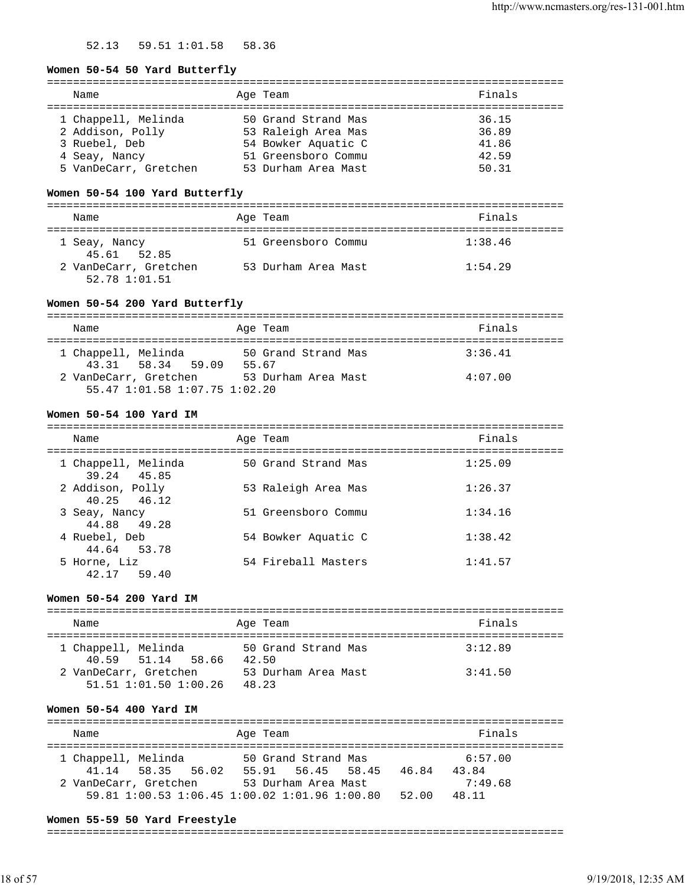52.13 59.51 1:01.58 58.36

#### **Women 50-54 50 Yard Butterfly**

| Name                  | Age Team            | Finals |
|-----------------------|---------------------|--------|
|                       |                     |        |
| 1 Chappell, Melinda   | 50 Grand Strand Mas | 36.15  |
| 2 Addison, Polly      | 53 Raleigh Area Mas | 36.89  |
| 3 Ruebel, Deb         | 54 Bowker Aquatic C | 41.86  |
| 4 Seay, Nancy         | 51 Greensboro Commu | 42.59  |
| 5 VanDeCarr, Gretchen | 53 Durham Area Mast | 50.31  |
|                       |                     |        |

### **Women 50-54 100 Yard Butterfly**

| Name                                   | Age Team            | Finals  |
|----------------------------------------|---------------------|---------|
| 1 Seay, Nancy<br>45.61 52.85           | 51 Greensboro Commu | 1:38.46 |
| 2 VanDeCarr, Gretchen<br>52.78 1:01.51 | 53 Durham Area Mast | 1:54.29 |

### **Women 50-54 200 Yard Butterfly**

| Name                          | Age Team            | Finals  |
|-------------------------------|---------------------|---------|
|                               |                     |         |
| 1 Chappell, Melinda           | 50 Grand Strand Mas | 3:36.41 |
| 43.31 58.34 59.09             | 55.67               |         |
| 2 VanDeCarr, Gretchen         | 53 Durham Area Mast | 4:07.00 |
| 55.47 1:01.58 1:07.75 1:02.20 |                     |         |

### **Women 50-54 100 Yard IM**

| Name                               | Age Team            | Finals  |
|------------------------------------|---------------------|---------|
| 1 Chappell, Melinda<br>39.24 45.85 | 50 Grand Strand Mas | 1:25.09 |
| 2 Addison, Polly<br>40.25 46.12    | 53 Raleigh Area Mas | 1:26.37 |
| 3 Seay, Nancy<br>44.88 49.28       | 51 Greensboro Commu | 1:34.16 |
| 4 Ruebel, Deb<br>44.64 53.78       | 54 Bowker Aquatic C | 1:38.42 |
| 5 Horne, Liz<br>42.17 59.40        | 54 Fireball Masters | 1:41.57 |

### **Women 50-54 200 Yard IM**

| Name                                                 | Age Team                     | Finals  |
|------------------------------------------------------|------------------------------|---------|
| 1 Chappell, Melinda<br>40.59 51.14 58.66             | 50 Grand Strand Mas<br>42.50 | 3:12.89 |
| 2 VanDeCarr, Gretchen<br>$51.51$ $1:01.50$ $1:00.26$ | 53 Durham Area Mast<br>48.23 | 3:41.50 |

### **Women 50-54 400 Yard IM**

| Name                  | Age Team                                      | Finals         |
|-----------------------|-----------------------------------------------|----------------|
| 1 Chappell, Melinda   | 50 Grand Strand Mas                           | 6:57.00        |
| 41.14 58.35 56.02     | 55.91 56.45 58.45                             | 46.84<br>43.84 |
| 2 VanDeCarr, Gretchen | 53 Durham Area Mast                           | 7:49.68        |
|                       | 59.81 1:00.53 1:06.45 1:00.02 1:01.96 1:00.80 | 52.00<br>48.11 |

#### **Women 55-59 50 Yard Freestyle**

#### ===============================================================================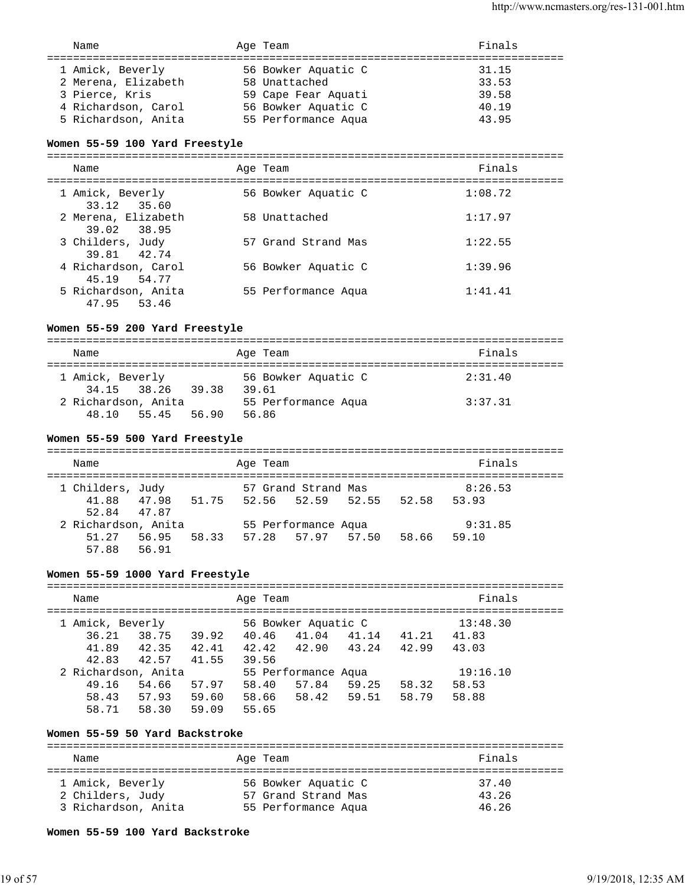| 1 Amick, Beverly<br>2 Merena, Elizabeth<br>3 Pierce, Kris<br>4 Richardson, Carol | 56 Bowker Aquatic C<br>58 Unattached<br>59 Cape Fear Aquati<br>56 Bowker Aquatic C | 31.15<br>33.53<br>39.58<br>40.19<br>43.95 |
|----------------------------------------------------------------------------------|------------------------------------------------------------------------------------|-------------------------------------------|
| 5 Richardson, Anita                                                              | 55 Performance Aqua                                                                |                                           |

#### **Women 55-59 100 Yard Freestyle**

=============================================================================== Name **Age Team Age Team Age Team Ri** =============================================================================== 1 Amick, Beverly 56 Bowker Aquatic C 1:08.72 33.12 35.60 2 Merena, Elizabeth 58 Unattached 1:17.97 39.02 38.95 3 Childers, Judy 57 Grand Strand Mas 1:22.55 39.81 42.74 4 Richardson, Carol 56 Bowker Aquatic C 1:39.96 45.19 54.77 5 Richardson, Anita 55 Performance Aqua 1:41.41 47.95 53.46

### **Women 55-59 200 Yard Freestyle**

| Name                         |                   |       |       | Age Team                     | Finals  |
|------------------------------|-------------------|-------|-------|------------------------------|---------|
| 1 Amick, Beverly             | 34.15 38.26 39.38 |       | 39.61 | 56 Bowker Aquatic C          | 2:31.40 |
| 2 Richardson, Anita<br>48.10 | 55.45             | 56.90 |       | 55 Performance Aqua<br>56.86 | 3:37.31 |

#### **Women 55-59 500 Yard Freestyle**

| Name             |                     |       | Age Team          |                     |                         |       | Finals  |  |
|------------------|---------------------|-------|-------------------|---------------------|-------------------------|-------|---------|--|
| 1 Childers, Judy |                     |       |                   | 57 Grand Strand Mas |                         |       | 8:26.53 |  |
| 41.88            | 47.98               | 51.75 |                   |                     | 52.56 52.59 52.55 52.58 |       | 53.93   |  |
|                  | 52.84 47.87         |       |                   |                     |                         |       |         |  |
|                  | 2 Richardson, Anita |       |                   | 55 Performance Aqua |                         |       | 9:31.85 |  |
|                  | 51.27 56.95         | 58.33 | 57.28 57.97 57.50 |                     |                         | 58.66 | 59.10   |  |
| 57.88            | 56.91               |       |                   |                     |                         |       |         |  |

#### **Women 55-59 1000 Yard Freestyle**

=============================================================================== Name **Age Team Age Team Age Team Age Team Age Team Pinals** =============================================================================== 1 Amick, Beverly 56 Bowker Aquatic C 13:48.30 36.21 38.75 39.92 40.46 41.04 41.14 41.21 41.83 41.89 42.35 42.41 42.42 42.90 43.24 42.99 43.03 42.83 42.57 41.55 39.56 2 Richardson, Anita 55 Performance Aqua 19:16.10 49.16 54.66 57.97 58.40 57.84 59.25 58.32 58.53 58.43 57.93 59.60 58.66 58.42 59.51 58.79 58.88 58.71 58.30 59.09 55.65

#### **Women 55-59 50 Yard Backstroke**

| Name                | Age Team            | Finals |
|---------------------|---------------------|--------|
| 1 Amick, Beverly    | 56 Bowker Aquatic C | 37.40  |
| 2 Childers, Judy    | 57 Grand Strand Mas | 43.26  |
| 3 Richardson, Anita | 55 Performance Aqua | 46.26  |

**Women 55-59 100 Yard Backstroke**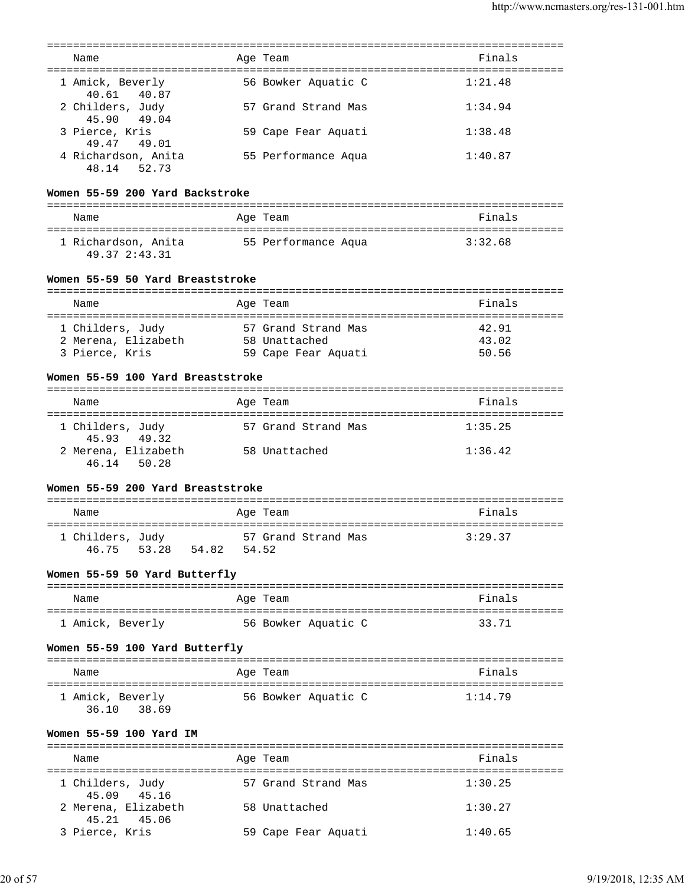| Name<br>=====================================            |              | Age Team<br>==================================== | Finals<br>========== |
|----------------------------------------------------------|--------------|--------------------------------------------------|----------------------|
| 1 Amick, Beverly<br>40.87<br>40.61                       |              | 56 Bowker Aquatic C                              | 1:21.48              |
| 2 Childers, Judy<br>45.90<br>49.04                       |              | 57 Grand Strand Mas                              | 1:34.94              |
| 3 Pierce, Kris<br>49.47 49.01                            |              | 59 Cape Fear Aquati                              | 1:38.48              |
| 4 Richardson, Anita<br>48.14 52.73                       |              | 55 Performance Aqua                              | 1:40.87              |
| Women 55-59 200 Yard Backstroke                          |              |                                                  |                      |
| Name                                                     |              | Age Team                                         | Finals               |
|                                                          |              |                                                  |                      |
| 1 Richardson, Anita 55 Performance Aqua<br>49.37 2:43.31 |              |                                                  | 3:32.68              |
| Women 55-59 50 Yard Breaststroke                         |              |                                                  |                      |
| Name                                                     |              | Age Team                                         | Finals               |
|                                                          |              |                                                  |                      |
| 1 Childers, Judy                                         |              | 57 Grand Strand Mas                              | 42.91                |
| 2 Merena, Elizabeth                                      |              | 58 Unattached                                    | 43.02                |
| 3 Pierce, Kris                                           |              | 59 Cape Fear Aquati                              | 50.56                |
| Women 55-59 100 Yard Breaststroke                        |              |                                                  |                      |
| Name                                                     |              | Age Team                                         | Finals               |
| 1 Childers, Judy                                         |              | 57 Grand Strand Mas                              | 1:35.25              |
| 45.93 49.32<br>2 Merena, Elizabeth<br>46.14 50.28        |              | 58 Unattached                                    | 1:36.42              |
| Women 55-59 200 Yard Breaststroke                        |              |                                                  |                      |
| Name                                                     |              | Age Team                                         | Finals               |
|                                                          |              |                                                  |                      |
| 1 Childers, Judy<br>46.75 53.28<br>54.82                 | 54.52        | 57 Grand Strand Mas                              | 3:29.37              |
| Women 55-59 50 Yard Butterfly                            |              |                                                  |                      |
| Name                                                     |              | Age Team                                         | Finals               |
| 1 Amick, Beverly                                         |              | 56 Bowker Aquatic C                              | 33.71                |
| Women 55-59 100 Yard Butterfly                           |              |                                                  |                      |
| Name                                                     |              | Age Team                                         | Finals               |
| 1 Amick, Beverly                                         |              | 56 Bowker Aquatic C                              | 1:14.79              |
| 36.10 38.69                                              |              |                                                  |                      |
| Women 55-59 100 Yard IM                                  |              |                                                  |                      |
| Name                                                     | :=========== | Age Team                                         | Finals               |
| 1 Childers, Judy<br>45.09 45.16                          |              | 57 Grand Strand Mas                              | 1:30.25              |
| 2 Merena, Elizabeth<br>45.21 45.06                       |              | 58 Unattached                                    | 1:30.27              |
| 3 Pierce, Kris                                           |              | 59 Cape Fear Aquati                              | 1:40.65              |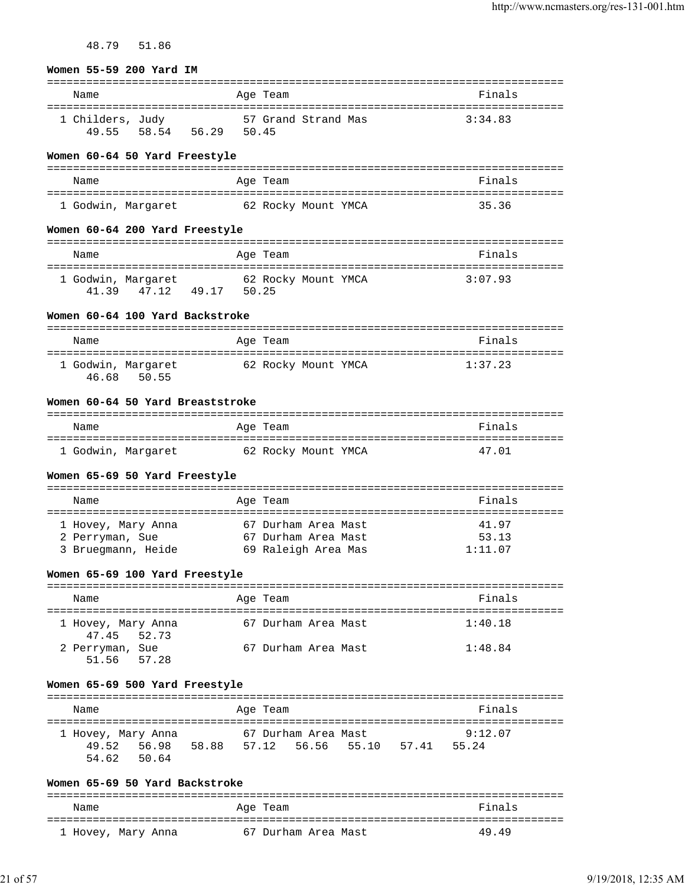| 48.79<br>51.86 |
|----------------|
|----------------|

#### **Women 55-59 200 Yard IM**

| Name             |       | Age Team            |  | Finals  |
|------------------|-------|---------------------|--|---------|
| 1 Childers, Judy |       | 57 Grand Strand Mas |  | 3:34.83 |
| 49.55 58.54      | 56.29 | 50.45               |  |         |

#### **Women 60-64 50 Yard Freestyle**

| Name               | Age Team            | Finals |
|--------------------|---------------------|--------|
| 1 Godwin, Margaret | 62 Rocky Mount YMCA | 35.36  |

### **Women 60-64 200 Yard Freestyle**

| Name                              | Age Team                              | Finals  |
|-----------------------------------|---------------------------------------|---------|
| 1 Godwin, Margaret<br>41.39 47.12 | 62 Rocky Mount YMCA<br>49 17<br>50.25 | 3:07.93 |

#### **Women 60-64 100 Yard Backstroke**

| Name                                 | Age Team            | Finals  |
|--------------------------------------|---------------------|---------|
| 1 Godwin, Margaret<br>46.68<br>50.55 | 62 Rocky Mount YMCA | 1:37.23 |

### **Women 60-64 50 Yard Breaststroke**

| Name               | Age Team            | Finals |
|--------------------|---------------------|--------|
| 1 Godwin, Margaret | 62 Rocky Mount YMCA | 47.01  |

### **Women 65-69 50 Yard Freestyle**

| Name               | Age Team            | Finals  |
|--------------------|---------------------|---------|
|                    |                     |         |
| 1 Hovey, Mary Anna | 67 Durham Area Mast | 41.97   |
| 2 Perryman, Sue    | 67 Durham Area Mast | 53.13   |
| 3 Bruegmann, Heide | 69 Raleigh Area Mas | 1:11.07 |

#### **Women 65-69 100 Yard Freestyle**

| Name                              | Age Team            | Finals  |
|-----------------------------------|---------------------|---------|
| 1 Hovey, Mary Anna<br>47.45 52.73 | 67 Durham Area Mast | 1:40.18 |
| 2 Perryman, Sue<br>51.56 57.28    | 67 Durham Area Mast | 1:48.84 |

#### **Women 65-69 500 Yard Freestyle**

| Name                 |       |       | Age Team |                     |       | Finals  |  |
|----------------------|-------|-------|----------|---------------------|-------|---------|--|
| 1 Hovey, Mary Anna   |       |       |          | 67 Durham Area Mast |       | 9:12.07 |  |
| 49.52 56.98<br>54.62 | 50.64 | 58.88 |          | 57.12 56.56 55.10   | 57.41 | 55.24   |  |

#### **Women 65-69 50 Yard Backstroke**

| Name               | Age Team            | Finals |
|--------------------|---------------------|--------|
| 1 Hovey, Mary Anna | 67 Durham Area Mast | 49.49  |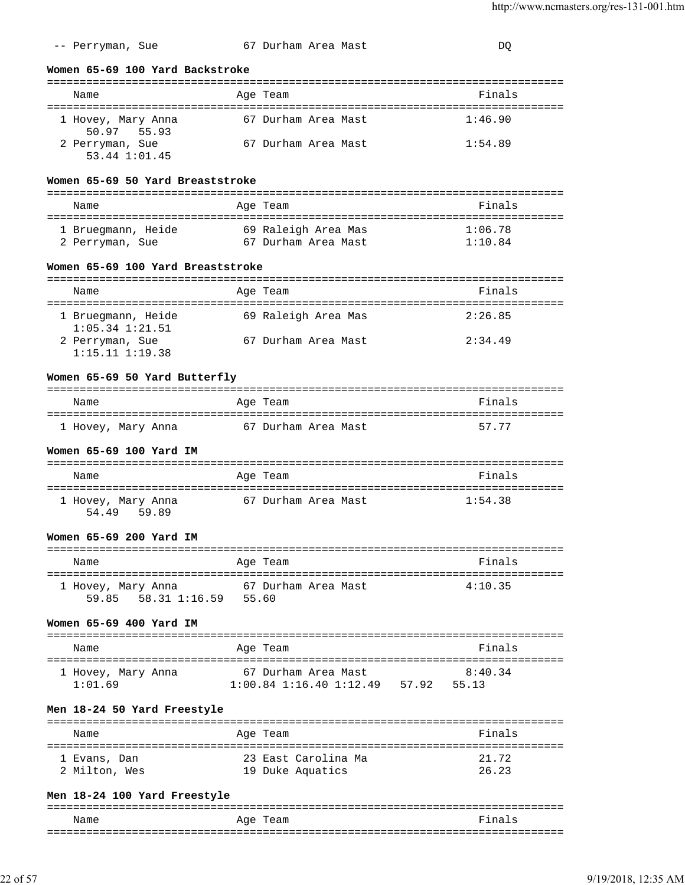| Name                                                                | Age Team                                                   | Finals                           |
|---------------------------------------------------------------------|------------------------------------------------------------|----------------------------------|
|                                                                     |                                                            |                                  |
| 1 Hovey, Mary Anna<br>50.97 55.93                                   | 67 Durham Area Mast                                        | 1:46.90                          |
| 2 Perryman, Sue<br>53.44 1:01.45                                    | 67 Durham Area Mast                                        | 1:54.89                          |
| Women 65-69 50 Yard Breaststroke                                    |                                                            |                                  |
| Name                                                                | Age Team                                                   | Finals                           |
|                                                                     |                                                            |                                  |
| 1 Bruegmann, Heide                                                  | 69 Raleigh Area Mas                                        | 1:06.78                          |
| 2 Perryman, Sue                                                     | 67 Durham Area Mast                                        | 1:10.84                          |
| Women 65-69 100 Yard Breaststroke                                   |                                                            |                                  |
| Name                                                                | Age Team                                                   | Finals                           |
| 1 Bruegmann, Heide<br>$1:05.34$ $1:21.51$                           | 69 Raleigh Area Mas                                        | 2:26.85                          |
| 2 Perryman, Sue<br>$1:15.11$ $1:19.38$                              | 67 Durham Area Mast                                        | 2:34.49                          |
| Women 65-69 50 Yard Butterfly                                       |                                                            |                                  |
| Name                                                                | Age Team                                                   | Finals                           |
| 1 Hovey, Mary Anna                                                  | 67 Durham Area Mast                                        | 57.77                            |
| Women 65-69 100 Yard IM                                             |                                                            |                                  |
| =========================<br>Name                                   | Age Team                                                   | Finals                           |
| 1 Hovey, Mary Anna<br>54.49 59.89                                   | 67 Durham Area Mast                                        | . ===================<br>1:54.38 |
| Women 65-69 200 Yard IM                                             |                                                            |                                  |
| Name                                                                | Age Team                                                   | Finals                           |
| 1 Hovey, Mary Anna 67 Durham Area Mast<br>59.85 58.31 1:16.59 55.60 |                                                            | 4:10.35                          |
| Women 65-69 400 Yard IM                                             |                                                            |                                  |
| Name                                                                | Age Team                                                   | Finals                           |
| 1 Hovey, Mary Anna<br>1:01.69                                       | 67 Durham Area Mast<br>1:00.84 1:16.40 1:12.49 57.92 55.13 | 8:40.34                          |
| Men 18-24 50 Yard Freestyle                                         |                                                            |                                  |
| Name                                                                | Age Team                                                   | Finals                           |
| 1 Evans, Dan                                                        | 23 East Carolina Ma                                        | 21.72                            |
|                                                                     |                                                            |                                  |
| 2 Milton, Wes                                                       | 19 Duke Aquatics                                           | 26.23                            |
|                                                                     |                                                            |                                  |

-- Perryman, Sue 67 Durham Area Mast 60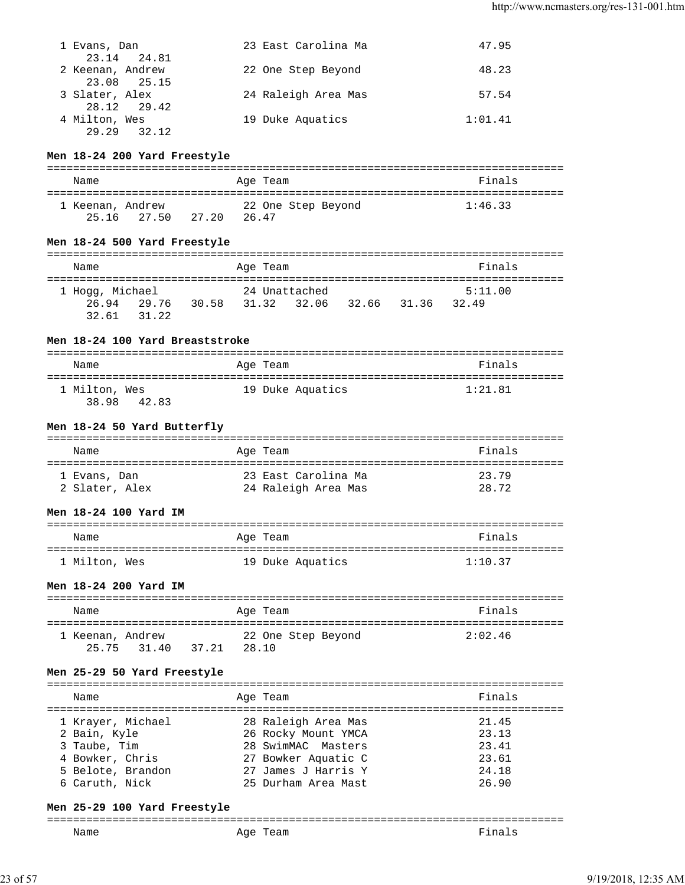| 1 Evans, Dan<br>23.14 24.81                    | 23 East Carolina Ma | 47.95   |
|------------------------------------------------|---------------------|---------|
| 2 Keenan, Andrew                               | 22 One Step Beyond  | 48.23   |
| 23.08 25.15<br>3 Slater, Alex                  | 24 Raleigh Area Mas | 57.54   |
| 28.12 29.42<br>4 Milton, Wes<br>29.29<br>32.12 | 19 Duke Aquatics    | 1:01.41 |

### **Men 18-24 200 Yard Freestyle**

| Name                            |        | Age Team                    | Finals  |
|---------------------------------|--------|-----------------------------|---------|
| 1 Keenan, Andrew<br>25.16 27.50 | 2.7.20 | 22 One Step Beyond<br>26.47 | 1:46.33 |

### **Men 18-24 500 Yard Freestyle**

| Name            |       |       | Age Team      |             | Finals  |  |
|-----------------|-------|-------|---------------|-------------|---------|--|
| 1 Hogg, Michael |       |       | 24 Unattached |             | 5:11.00 |  |
| 26.94           | 29.76 | 30.58 | 31.32 32.06   | 32.66 31.36 | 32.49   |  |
| 32.61 31.22     |       |       |               |             |         |  |

### **Men 18-24 100 Yard Breaststroke**

| Name                            | Age Team         | Finals  |
|---------------------------------|------------------|---------|
| 1 Milton, Wes<br>38.98<br>42.83 | 19 Duke Aquatics | 1:21.81 |

### **Men 18-24 50 Yard Butterfly**

| Name           | Age Team            | Finals |
|----------------|---------------------|--------|
| 1 Evans, Dan   | 23 East Carolina Ma | 23.79  |
| 2 Slater, Alex | 24 Raleigh Area Mas | 28.72  |

### **Men 18-24 100 Yard IM**

| Name          | Age Team         | Finals  |
|---------------|------------------|---------|
| 1 Milton, Wes | 19 Duke Aquatics | 1:10.37 |

### **Men 18-24 200 Yard IM**

| Name             |             |       | Age Team |                    | Finals  |
|------------------|-------------|-------|----------|--------------------|---------|
| 1 Keenan, Andrew |             |       |          | 22 One Step Beyond | 2:02.46 |
|                  | 25.75 31.40 | 37.21 | 28.10    |                    |         |

### **Men 25-29 50 Yard Freestyle**

| Finals<br>Age Team<br>Name<br>1 Krayer, Michael<br>28 Raleigh Area Mas<br>21.45<br>26 Rocky Mount YMCA<br>2 Bain, Kyle<br>23.13<br>28 SwimMAC Masters<br>3 Taube, Tim<br>23.41<br>4 Bowker, Chris<br>23.61 |                     |  |
|------------------------------------------------------------------------------------------------------------------------------------------------------------------------------------------------------------|---------------------|--|
|                                                                                                                                                                                                            |                     |  |
| 27 James J Harris Y<br>5 Belote, Brandon<br>24.18<br>25 Durham Area Mast<br>6 Caruth, Nick<br>26.90                                                                                                        | 27 Bowker Aquatic C |  |

#### **Men 25-29 100 Yard Freestyle**

| _______ |        |  |
|---------|--------|--|
| Name    | $-101$ |  |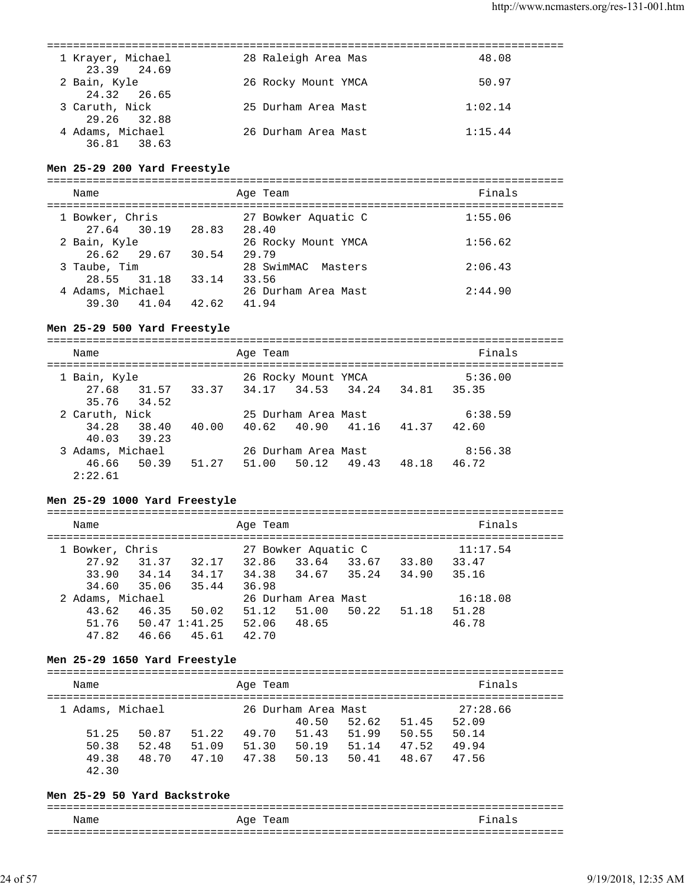| 1 Krayer, Michael<br>23.39 24.69               | 28 Raleigh Area Mas | 48.08   |
|------------------------------------------------|---------------------|---------|
| 2 Bain, Kyle<br>24.32 26.65                    | 26 Rocky Mount YMCA | 50.97   |
| 3 Caruth, Nick                                 | 25 Durham Area Mast | 1:02.14 |
| 29.26 32.88<br>4 Adams, Michael<br>36.81 38.63 | 26 Durham Area Mast | 1:15.44 |
|                                                |                     |         |

#### **Men 25-29 200 Yard Freestyle**

===============================================================================

| Name                                     | Age Team                     | Finals  |
|------------------------------------------|------------------------------|---------|
| 1 Bowker, Chris                          | 27 Bowker Aquatic C          | 1:55.06 |
| 27.64 30.19<br>28.83<br>2 Bain, Kyle     | 28.40<br>26 Rocky Mount YMCA | 1:56.62 |
| 26.62 29.67<br>30.54<br>3 Taube, Tim     | 29.79<br>28 SwimMAC Masters  | 2:06.43 |
| 28.55 31.18<br>33.14                     | 33.56                        |         |
| 4 Adams, Michael<br>42.62<br>39.30 41.04 | 26 Durham Area Mast<br>41.94 | 2:44.90 |

### **Men 25-29 500 Yard Freestyle**

| Name             | Age Team                                        | Finals         |
|------------------|-------------------------------------------------|----------------|
| 1 Bain, Kyle     | 26 Rocky Mount YMCA                             | 5:36.00        |
|                  | 27.68 31.57 33.37 34.17 34.53 34.24 34.81 35.35 |                |
| 35.76 34.52      |                                                 |                |
| 2 Caruth, Nick   | 25 Durham Area Mast                             | 6:38.59        |
| 34.28 38.40      | 40.62 40.90 41.16<br>40.00                      | 41.37<br>42.60 |
| 40.03 39.23      |                                                 |                |
| 3 Adams, Michael | 26 Durham Area Mast                             | 8:56.38        |
| 46.66 50.39      | 51.27 51.00 50.12 49.43 48.18                   | 46.72          |
| 2:22.61          |                                                 |                |

### **Men 25-29 1000 Yard Freestyle**

| Name |                  |       |                           | Age Team |                     |       |       | Finals   |  |
|------|------------------|-------|---------------------------|----------|---------------------|-------|-------|----------|--|
|      | 1 Bowker, Chris  |       |                           |          | 27 Bowker Aquatic C |       |       | 11:17.54 |  |
|      | 27.92            | 31.37 | 32.17                     | 32.86    | 33.64               | 33.67 | 33.80 | 33.47    |  |
|      | 33.90            | 34.14 | 34.17                     | 34.38    | 34.67               | 35.24 | 34.90 | 35.16    |  |
|      | 34.60            | 35.06 | 35.44                     | 36.98    |                     |       |       |          |  |
|      | 2 Adams, Michael |       |                           |          | 26 Durham Area Mast |       |       | 16:18.08 |  |
|      | 43.62            | 46.35 | 50.02                     | 51.12    | 51.00               | 50.22 | 51.18 | 51.28    |  |
|      |                  |       | $51.76$ $50.47$ $1:41.25$ | 52.06    | 48.65               |       |       | 46.78    |  |
|      | 47.82            | 46.66 | 45.61                     | 42.70    |                     |       |       |          |  |
|      |                  |       |                           |          |                     |       |       |          |  |

### **Men 25-29 1650 Yard Freestyle**

| Name             |       |       | Age Team |                     |       |       | Finals   |  |
|------------------|-------|-------|----------|---------------------|-------|-------|----------|--|
| 1 Adams, Michael |       |       |          | 26 Durham Area Mast |       |       | 27:28.66 |  |
|                  |       |       |          | 40.50               | 52.62 | 51.45 | 52.09    |  |
| 51.25            | 50.87 | 51.22 | 49.70    | 51.43               | 51.99 | 50.55 | 50.14    |  |
| 50.38            | 52.48 | 51.09 | 51.30    | 50.19               | 51.14 | 47.52 | 49.94    |  |
| 49.38            | 48.70 | 47.10 | 47.38    | 50.13               | 50.41 | 48.67 | 47.56    |  |
| 42.30            |       |       |          |                     |       |       |          |  |

### **Men 25-29 50 Yard Backstroke**

| Name | Age Team | Fina<br>Τs. |
|------|----------|-------------|
|      |          |             |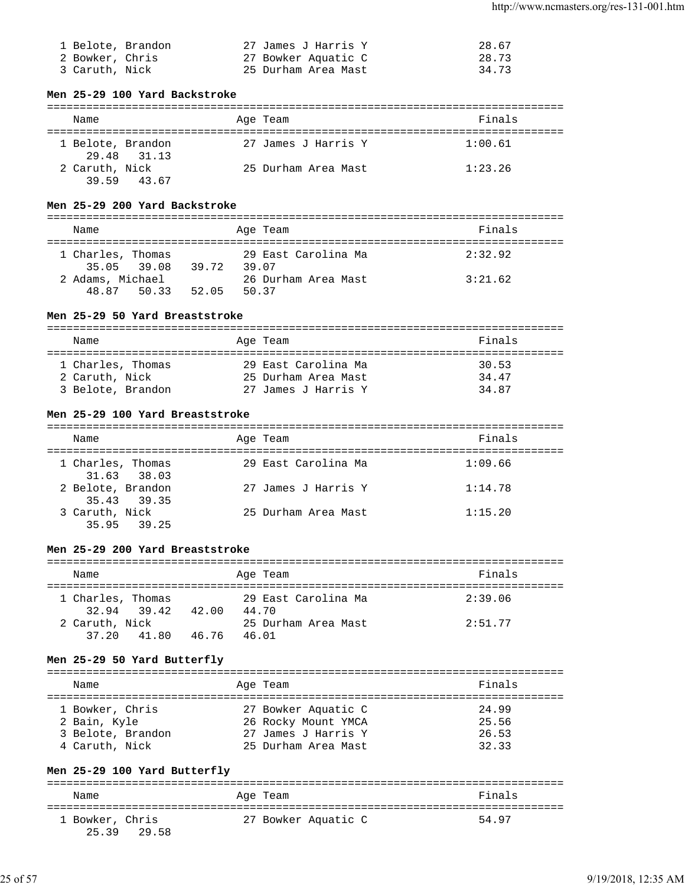| 1 Belote, Brandon | 27 James J Harris Y | 28.67 |
|-------------------|---------------------|-------|
| 2 Bowker, Chris   | 27 Bowker Aquatic C | 28.73 |
| 3 Caruth, Nick    | 25 Durham Area Mast | 34.73 |

### **Men 25-29 100 Yard Backstroke**

| Name              |             | Age Team            | Finals  |
|-------------------|-------------|---------------------|---------|
| 1 Belote, Brandon | 29.48 31.13 | 27 James J Harris Y | 1:00.61 |
| 2 Caruth, Nick    | 39.59 43.67 | 25 Durham Area Mast | 1:23.26 |

### **Men 25-29 200 Yard Backstroke**

| Name                             |       |       | Age Team            | Finals  |
|----------------------------------|-------|-------|---------------------|---------|
| 1 Charles, Thomas<br>35.05 39.08 | 39.72 | 39 07 | 29 East Carolina Ma | 2:32.92 |
| 2 Adams, Michael<br>48.87 50.33  | 52.05 | 50.37 | 26 Durham Area Mast | 3:21.62 |

### **Men 25-29 50 Yard Breaststroke**

| Name                                | Age Team                                   | Finals         |
|-------------------------------------|--------------------------------------------|----------------|
| 1 Charles, Thomas<br>2 Caruth, Nick | 29 East Carolina Ma<br>25 Durham Area Mast | 30.53<br>34.47 |
| 3 Belote, Brandon                   | 27 James J Harris Y                        | 34.87          |

### **Men 25-29 100 Yard Breaststroke**

| Name                             | Age Team            | Finals  |
|----------------------------------|---------------------|---------|
| 1 Charles, Thomas<br>31.63 38.03 | 29 East Carolina Ma | 1:09.66 |
| 2 Belote, Brandon<br>35.43 39.35 | 27 James J Harris Y | 1:14.78 |
| 3 Caruth, Nick<br>35.95 39.25    | 25 Durham Area Mast | 1:15.20 |

#### **Men 25-29 200 Yard Breaststroke**

| Name              |             |       | Age Team |                     | Finals  |
|-------------------|-------------|-------|----------|---------------------|---------|
| 1 Charles, Thomas |             |       |          | 29 East Carolina Ma | 2:39.06 |
|                   | 32.94 39.42 | 42.00 | 44.70    |                     |         |
| 2 Caruth, Nick    |             |       |          | 25 Durham Area Mast | 2:51.77 |
| 37.20             | 41.80       | 46.76 | 46.01    |                     |         |

### **Men 25-29 50 Yard Butterfly**

| Name              | Age Team            | Finals |
|-------------------|---------------------|--------|
| 1 Bowker, Chris   | 27 Bowker Aquatic C | 24.99  |
| 2 Bain, Kyle      | 26 Rocky Mount YMCA | 25.56  |
| 3 Belote, Brandon | 27 James J Harris Y | 26.53  |
| 4 Caruth, Nick    | 25 Durham Area Mast | 32.33  |

### **Men 25-29 100 Yard Butterfly**

| Name            |             | Age Team            |  | Finals |
|-----------------|-------------|---------------------|--|--------|
| 1 Bowker, Chris | 25.39 29.58 | 27 Bowker Aquatic C |  | 54.97  |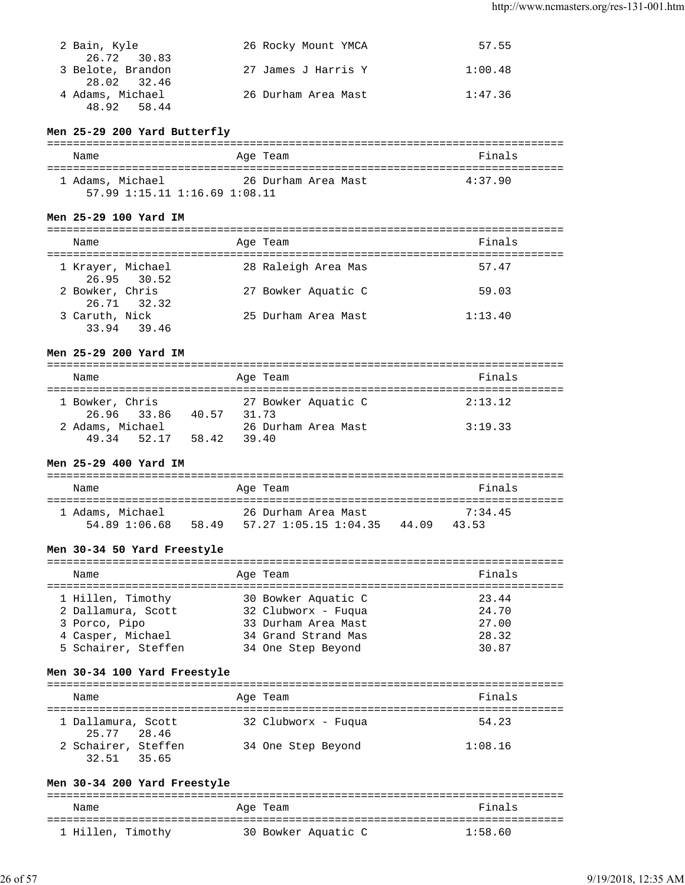| 2 Bain, Kyle                     | 26 Rocky Mount YMCA | 57.55   |
|----------------------------------|---------------------|---------|
| 26.72 30.83                      |                     |         |
| 3 Belote, Brandon<br>28.02 32.46 | 27 James J Harris Y | 1:00.48 |
| 4 Adams, Michael                 | 26 Durham Area Mast | 1:47.36 |
| 48.92 58.44                      |                     |         |

## **Men 25-29 200 Yard Butterfly**

| Name             | Age Team                              |                     | Finals  |
|------------------|---------------------------------------|---------------------|---------|
| 1 Adams, Michael |                                       | 26 Durham Area Mast | 4:37.90 |
|                  | $57.99$ $1:15.11$ $1:16.69$ $1:08.11$ |                     |         |

### **Men 25-29 100 Yard IM**

| Name              |             | Age Team            | Finals  |
|-------------------|-------------|---------------------|---------|
| 1 Krayer, Michael | 26.95 30.52 | 28 Raleigh Area Mas | 57.47   |
| 2 Bowker, Chris   | 26.71 32.32 | 27 Bowker Aquatic C | 59.03   |
| 3 Caruth, Nick    | 33.94 39.46 | 25 Durham Area Mast | 1:13.40 |

### **Men 25-29 200 Yard IM**

| Name                                        | Age Team                     | Finals  |
|---------------------------------------------|------------------------------|---------|
| 1 Bowker, Chris<br>26.96 33.86<br>40.57     | 27 Bowker Aquatic C<br>31 73 | 2:13.12 |
| 2 Adams, Michael<br>49.34<br>58.42<br>52.17 | 26 Durham Area Mast<br>39.40 | 3:19.33 |

### **Men 25-29 400 Yard IM**

| Name                              |       | Age Team                                     |       | Finals           |
|-----------------------------------|-------|----------------------------------------------|-------|------------------|
| 1 Adams, Michael<br>54.89 1:06.68 | 58.49 | 26 Durham Area Mast<br>57.27 1:05.15 1:04.35 | 44 09 | 7:34.45<br>43 53 |

### **Men 30-34 50 Yard Freestyle**

| Name                |  | Age Team            | Finals |  |  |
|---------------------|--|---------------------|--------|--|--|
|                     |  |                     |        |  |  |
| 1 Hillen, Timothy   |  | 30 Bowker Aquatic C | 23.44  |  |  |
| 2 Dallamura, Scott  |  | 32 Clubworx - Fuqua | 24.70  |  |  |
| 3 Porco, Pipo       |  | 33 Durham Area Mast | 27.00  |  |  |
| 4 Casper, Michael   |  | 34 Grand Strand Mas | 28.32  |  |  |
| 5 Schairer, Steffen |  | 34 One Step Beyond  | 30.87  |  |  |

### **Men 30-34 100 Yard Freestyle**

| Name                               | Age Team            | Finals  |
|------------------------------------|---------------------|---------|
| 1 Dallamura, Scott<br>25.77 28.46  | 32 Clubworx - Fuqua | 54.23   |
| 2 Schairer, Steffen<br>32.51 35.65 | 34 One Step Beyond  | 1:08.16 |

### **Men 30-34 200 Yard Freestyle**

| Name              | Age Team            | Finals  |
|-------------------|---------------------|---------|
|                   |                     |         |
| 1 Hillen, Timothy | 30 Bowker Aquatic C | 1:58.60 |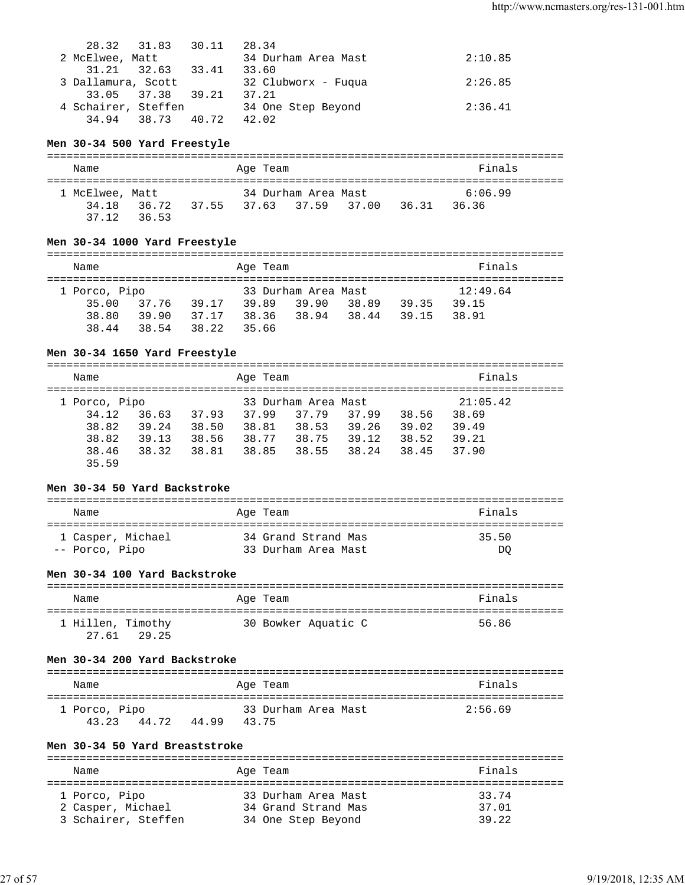| 28.32 31.83         | 30.11 | 28.34               |         |
|---------------------|-------|---------------------|---------|
| 2 McElwee, Matt     |       | 34 Durham Area Mast | 2:10.85 |
| 31.21 32.63         | 33.41 | 33.60               |         |
| 3 Dallamura, Scott  |       | 32 Clubworx - Fuqua | 2:26.85 |
| 33.05 37.38 39.21   |       | 37.21               |         |
| 4 Schairer, Steffen |       | 34 One Step Beyond  | 2:36.41 |
| 34.94 38.73 40.72   |       | 42.02               |         |

#### **Men 30-34 500 Yard Freestyle**

| Name            |                                        | Age Team |                     |       | Finals  |  |
|-----------------|----------------------------------------|----------|---------------------|-------|---------|--|
| 1 McElwee, Matt |                                        |          | 34 Durham Area Mast |       | 6:06.99 |  |
| 34 18<br>37.12  | 36.72 37.55 37.63 37.59 37.00<br>36.53 |          |                     | 36.31 | 36.36   |  |

#### **Men 30-34 1000 Yard Freestyle**

|  | Name          |       |       |       | Age Team |                     |       |       | Finals   |
|--|---------------|-------|-------|-------|----------|---------------------|-------|-------|----------|
|  | 1 Porco, Pipo |       |       |       |          | 33 Durham Area Mast |       |       | 12:49.64 |
|  | 35.00         | 37.76 | 39.17 | 39.89 |          | 39.90               | 38.89 | 39.35 | 39.15    |
|  | 38.80         | 39.90 | 37.17 |       | 38.36    | 38.94               | 38.44 | 39.15 | 38.91    |
|  | 38.44         | 38.54 | 38.22 | 35.66 |          |                     |       |       |          |

#### **Men 30-34 1650 Yard Freestyle**

=============================================================================== Name **Age Team** Age Team **Finals** =============================================================================== 1 Porco, Pipo 33 Durham Area Mast 21:05.42 34.12 36.63 37.93 37.99 37.79 37.99 38.56 38.69 38.82 39.24 38.50 38.81 38.53 39.26 39.02 39.49 38.82 39.13 38.56 38.77 38.75 39.12 38.52 39.21 38.46 38.32 38.81 38.85 38.55 38.24 38.45 37.90 35.59

#### **Men 30-34 50 Yard Backstroke**

| Name              | Age Team            | Finals |
|-------------------|---------------------|--------|
| 1 Casper, Michael | 34 Grand Strand Mas | 35.50  |
| -- Porco, Pipo    | 33 Durham Area Mast | DO     |

#### **Men 30-34 100 Yard Backstroke**

| Name              |             | Age Team            | Finals |
|-------------------|-------------|---------------------|--------|
| 1 Hillen, Timothy | 27.61 29.25 | 30 Bowker Aquatic C | 56.86  |

#### **Men 30-34 200 Yard Backstroke**

| Name                   |       |       | Age Team |                     | Finals  |
|------------------------|-------|-------|----------|---------------------|---------|
| 1 Porco, Pipo<br>43 23 | 44.72 | 44.99 | 43.75    | 33 Durham Area Mast | 2:56.69 |

#### **Men 30-34 50 Yard Breaststroke**

| Name                | Age Team            | Finals |
|---------------------|---------------------|--------|
|                     |                     |        |
| 1 Porco, Pipo       | 33 Durham Area Mast | 33.74  |
| 2 Casper, Michael   | 34 Grand Strand Mas | 37.01  |
| 3 Schairer, Steffen | 34 One Step Beyond  | 39.22  |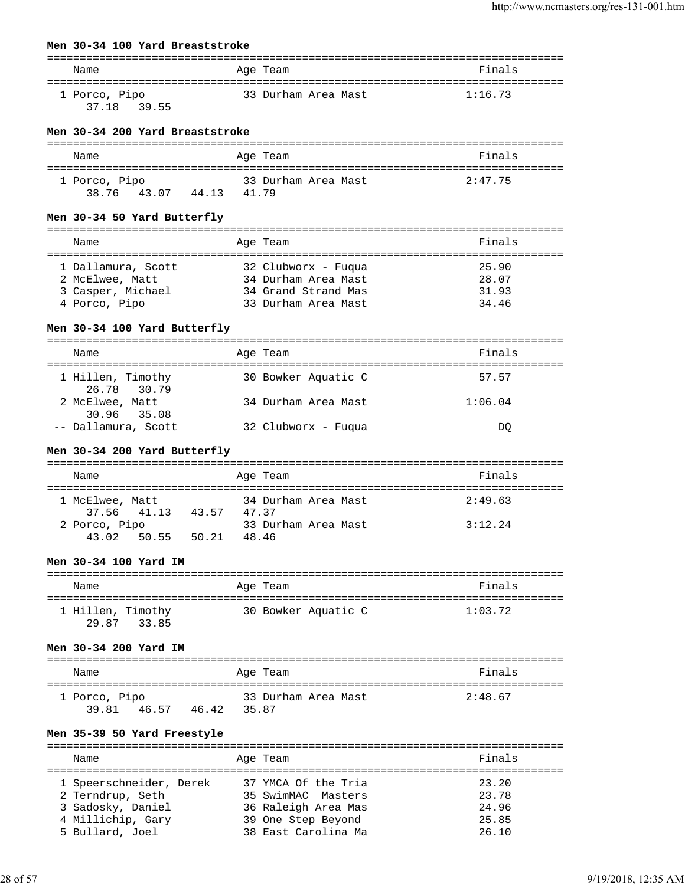| Men 30-34 100 Yard Breaststroke          |                                             |                               |
|------------------------------------------|---------------------------------------------|-------------------------------|
|                                          |                                             |                               |
| Name                                     | Age Team                                    | Finals                        |
| 1 Porco, Pipo                            | 33 Durham Area Mast                         | 1:16.73                       |
| 37.18 39.55                              |                                             |                               |
| Men 30-34 200 Yard Breaststroke          |                                             |                               |
| Name                                     | Age Team                                    | Finals                        |
| 1 Porco, Pipo                            | 33 Durham Area Mast                         | 2:47.75                       |
| 38.76 43.07 44.13 41.79                  |                                             |                               |
| Men 30-34 50 Yard Butterfly              |                                             |                               |
| Name                                     | Age Team                                    | Finals                        |
|                                          |                                             |                               |
|                                          | 1 Dallamura, Scott 32 Clubworx - Fuqua      | 25.90                         |
| 2 McElwee, Matt                          | 34 Durham Area Mast                         | 28.07                         |
| 3 Casper, Michael<br>4 Porco, Pipo       | 34 Grand Strand Mas                         | 31.93                         |
|                                          | 33 Durham Area Mast                         | 34.46                         |
| Men 30-34 100 Yard Butterfly             |                                             |                               |
| Name                                     | Age Team                                    | Finals                        |
|                                          |                                             |                               |
| 1 Hillen, Timothy<br>26.78<br>30.79      | 30 Bowker Aquatic C                         | 57.57                         |
| 2 McElwee, Matt<br>30.96 35.08           | 34 Durham Area Mast                         | 1:06.04                       |
| -- Dallamura, Scott                      | 32 Clubworx - Fuqua                         | DQ                            |
| Men 30-34 200 Yard Butterfly             |                                             |                               |
| Name                                     | Age Team                                    | Finals                        |
|                                          |                                             |                               |
| 1 McElwee, Matt                          | 34 Durham Area Mast                         | 2:49.63                       |
| 41.13 43.57 47.37<br>37.56               |                                             |                               |
| 2 Porco, Pipo<br>43.02 50.55 50.21 48.46 | 33 Durham Area Mast                         | 3:12.24                       |
|                                          |                                             |                               |
| Men 30-34 100 Yard IM                    |                                             |                               |
| =============================<br>Name    | ----------<br>Age Team                      | -------------------<br>Finals |
|                                          |                                             |                               |
| 1 Hillen, Timothy<br>29.87<br>33.85      | 30 Bowker Aquatic C                         | 1:03.72                       |
| Men 30-34 200 Yard IM                    |                                             |                               |
|                                          |                                             |                               |
| Name                                     | Age Team                                    | Finals                        |
| 1 Porco, Pipo                            | 33 Durham Area Mast                         | 2:48.67                       |
| 39.81 46.57 46.42                        | 35.87                                       |                               |
| Men 35-39 50 Yard Freestyle              |                                             |                               |
| Name                                     | Age Team                                    | Finals                        |
| 1 Speerschneider, Derek                  | --------------------<br>37 YMCA Of the Tria | 23.20                         |
| 2 Terndrup, Seth                         | 35 SwimMAC Masters                          | 23.78                         |
| 3 Sadosky, Daniel                        | 36 Raleigh Area Mas                         | 24.96                         |
| 4 Millichip, Gary                        | 39 One Step Beyond                          | 25.85                         |

5 Bullard, Joel 38 East Carolina Ma 26.10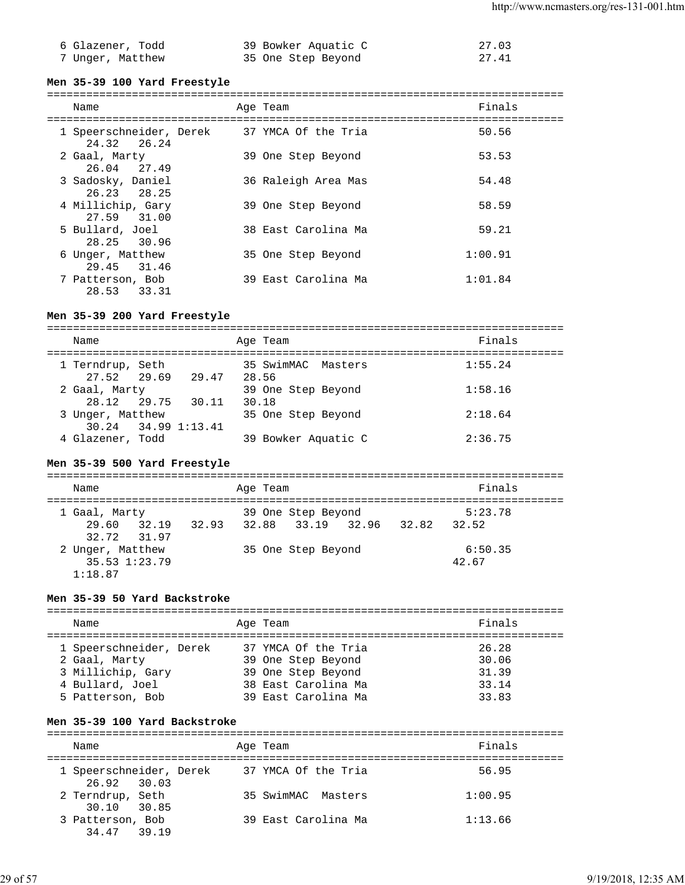| 6 Glazener, Todd | 39 Bowker Aquatic C | 27.03 |
|------------------|---------------------|-------|
| 7 Unger, Matthew | 35 One Step Beyond  | 27.41 |

#### **Men 35-39 100 Yard Freestyle**

### =============================================================================== Name **Age Team** Age Team **Finals** =============================================================================== 1 Speerschneider, Derek 37 YMCA Of the Tria 50.56 24.32 26.24 2 Gaal, Marty 39 One Step Beyond 53.53 26.04 27.49 3 Sadosky, Daniel 36 Raleigh Area Mas 54.48 26.23 28.25 4 Millichip, Gary 39 One Step Beyond 58.59

| 27.59 31.00      |                     |         |
|------------------|---------------------|---------|
| 5 Bullard, Joel  | 38 East Carolina Ma | 59.21   |
| 28.25 30.96      |                     |         |
| 6 Unger, Matthew | 35 One Step Beyond  | 1:00.91 |
| 29.45 31.46      |                     |         |
| 7 Patterson, Bob | 39 East Carolina Ma | 1:01.84 |
| 28.53<br>33.31   |                     |         |

### **Men 35-39 200 Yard Freestyle**

| Name                                          |                         | Age Team                    | Finals  |
|-----------------------------------------------|-------------------------|-----------------------------|---------|
| 1 Terndrup, Seth                              | 27.52 29.69 29.47 28.56 | 35 SwimMAC Masters          | 1:55.24 |
| 2 Gaal, Marty<br>28.12 29.75 30.11            |                         | 39 One Step Beyond<br>30.18 | 1:58.16 |
| 3 Unger, Matthew<br>$30.24$ $34.99$ $1:13.41$ |                         | 35 One Step Beyond          | 2:18.64 |
| 4 Glazener, Todd                              |                         | 39 Bowker Aquatic C         | 2:36.75 |

### **Men 35-39 500 Yard Freestyle**

| Name                                         |  | Age Team |                               |  | Finals           |  |
|----------------------------------------------|--|----------|-------------------------------|--|------------------|--|
| 1 Gaal, Marty                                |  |          | 39 One Step Beyond            |  | 5:23.78          |  |
| 29.60 32.19<br>32.72 31.97                   |  |          | 32.93 32.88 33.19 32.96 32.82 |  | 32.52            |  |
| 2 Unger, Matthew<br>35.53 1:23.79<br>1:18.87 |  |          | 35 One Step Beyond            |  | 6:50.35<br>42.67 |  |

### **Men 35-39 50 Yard Backstroke**

| Name                                                     | Age Team                                                         | Finals                  |
|----------------------------------------------------------|------------------------------------------------------------------|-------------------------|
| 1 Speerschneider, Derek<br>2 Gaal, Marty                 | 37 YMCA Of the Tria<br>39 One Step Beyond                        | 26.28<br>30.06          |
| 3 Millichip, Gary<br>4 Bullard, Joel<br>5 Patterson, Bob | 39 One Step Beyond<br>38 East Carolina Ma<br>39 East Carolina Ma | 31.39<br>33.14<br>33.83 |
|                                                          |                                                                  |                         |

### **Men 35-39 100 Yard Backstroke**

| Name                                   | Age Team            | Finals  |
|----------------------------------------|---------------------|---------|
| 1 Speerschneider, Derek<br>26.92 30.03 | 37 YMCA Of the Tria | 56.95   |
| 2 Terndrup, Seth<br>30.10 30.85        | 35 SwimMAC Masters  | 1:00.95 |
| 3 Patterson, Bob<br>34.47 39.19        | 39 East Carolina Ma | 1:13.66 |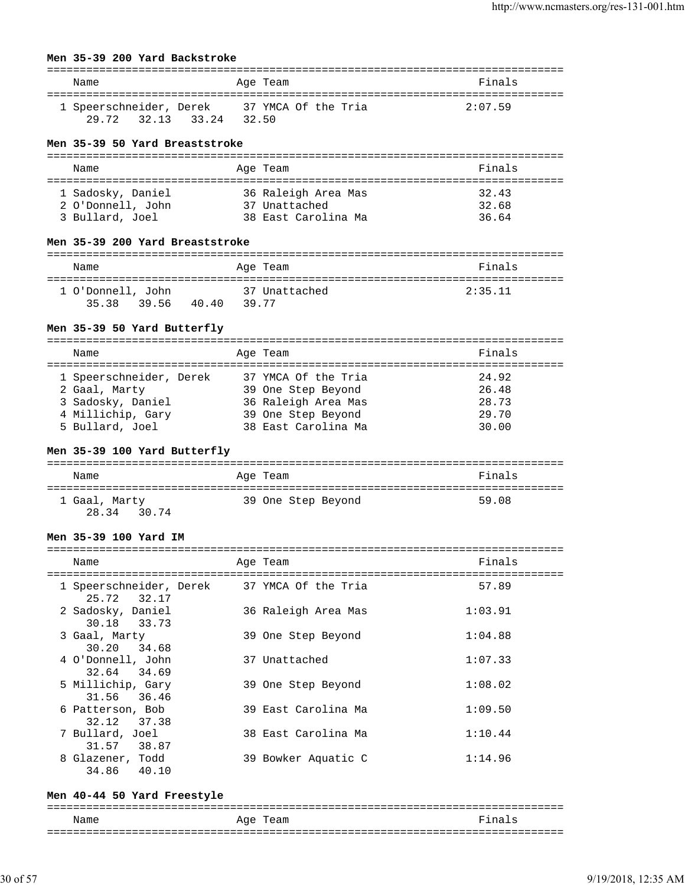### **Men 35-39 200 Yard Backstroke**

| Name                    |       | Age Team |                     | Finals  |
|-------------------------|-------|----------|---------------------|---------|
| 1 Speerschneider, Derek |       |          | 37 YMCA Of the Tria | 2:07.59 |
| 29.72 32.13 33.24       | 32.50 |          |                     |         |

#### **Men 35-39 50 Yard Breaststroke**

| Name |                   | Age Team            | Finals |
|------|-------------------|---------------------|--------|
|      |                   |                     |        |
|      | 1 Sadosky, Daniel | 36 Raleigh Area Mas | 32.43  |
|      | 2 O'Donnell, John | 37 Unattached       | 32.68  |
|      | 3 Bullard, Joel   | 38 East Carolina Ma | 36.64  |

#### **Men 35-39 200 Yard Breaststroke**

| Name                             | Age Team       |               | Finals  |
|----------------------------------|----------------|---------------|---------|
| 1 O'Donnell, John<br>35.38 39.56 | 40.40<br>39.77 | 37 Unattached | 2:35.11 |

### **Men 35-39 50 Yard Butterfly**

### **Men 35-39 100 Yard Butterfly**

| Name           | Age Team           | Finals |
|----------------|--------------------|--------|
| 1 Gaal, Marty  | 39 One Step Beyond | 59.08  |
| 28.34<br>30.74 |                    |        |

#### **Men 35-39 100 Yard IM**

| Name                                                       | Age Team            | Finals  |
|------------------------------------------------------------|---------------------|---------|
| 1 Speerschneider, Derek 37 YMCA Of the Tria<br>25.72 32.17 |                     | 57.89   |
| 2 Sadosky, Daniel<br>30.18 33.73                           | 36 Raleigh Area Mas | 1:03.91 |
| 3 Gaal, Marty<br>30.20 34.68                               | 39 One Step Beyond  | 1:04.88 |
| 4 O'Donnell, John<br>32.64 34.69                           | 37 Unattached       | 1:07.33 |
| 5 Millichip, Gary<br>31.56 36.46                           | 39 One Step Beyond  | 1:08.02 |
| 6 Patterson, Bob<br>32.12 37.38                            | 39 East Carolina Ma | 1:09.50 |
| 7 Bullard, Joel<br>31.57 38.87                             | 38 East Carolina Ma | 1:10.44 |
| 8 Glazener, Todd<br>34.86 40.10                            | 39 Bowker Aquatic C | 1:14.96 |

#### **Men 40-44 50 Yard Freestyle**

===============================================================================

| Name | aqe<br>ealll<br>-   | --<br>-                 |
|------|---------------------|-------------------------|
| ___  | ------------------- | ___<br>---------------- |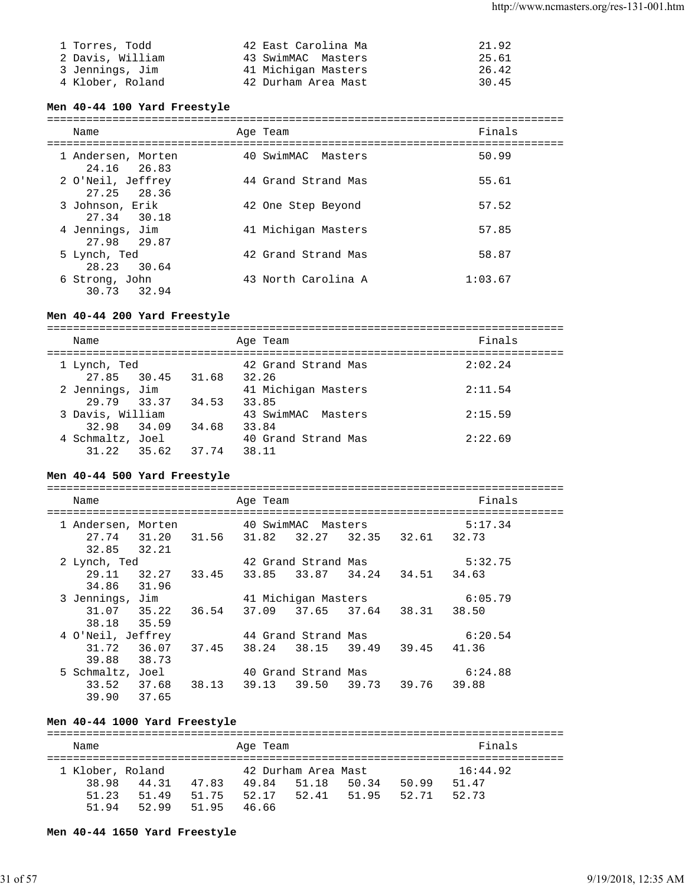| 1 Torres, Todd   | 42 East Carolina Ma | 21.92 |
|------------------|---------------------|-------|
| 2 Davis, William | 43 SwimMAC Masters  | 25.61 |
| 3 Jennings, Jim  | 41 Michigan Masters | 26.42 |
| 4 Klober, Roland | 42 Durham Area Mast | 30.45 |

#### **Men 40-44 100 Yard Freestyle**

===============================================================================

| Name                              | Age Team            | Finals  |
|-----------------------------------|---------------------|---------|
| 1 Andersen, Morten<br>24.16 26.83 | 40 SwimMAC Masters  | 50.99   |
| 2 O'Neil, Jeffrey<br>27.25 28.36  | 44 Grand Strand Mas | 55.61   |
| 3 Johnson, Erik<br>27.34 30.18    | 42 One Step Beyond  | 57.52   |
| 4 Jennings, Jim<br>27.98 29.87    | 41 Michigan Masters | 57.85   |
| 5 Lynch, Ted<br>28.23 30.64       | 42 Grand Strand Mas | 58.87   |
| 6 Strong, John<br>30.73 32.94     | 43 North Carolina A | 1:03.67 |

#### **Men 40-44 200 Yard Freestyle**

=============================================================================== Name Research Age Team and the Search School and Times and Search School and Search School and Times and Times =============================================================================== 1 Lynch, Ted 42 Grand Strand Mas 2:02.24 27.85 30.45 31.68 32.26 2 Jennings, Jim 41 Michigan Masters 2:11.54 29.79 33.37 34.53 33.85 3 Davis, William 43 SwimMAC Masters 2:15.59 32.98 34.09 34.68 33.84 4 Schmaltz, Joel 40 Grand Strand Mas 2:22.69 31.22 35.62 37.74 38.11

#### **Men 40-44 500 Yard Freestyle**

| Name               |                   |             | Age Team |                                     |       |             | Finals  |
|--------------------|-------------------|-------------|----------|-------------------------------------|-------|-------------|---------|
| 1 Andersen, Morten |                   |             |          | 40 SwimMAC Masters                  |       |             | 5:17.34 |
| 27.74              | 31.20             | 31.56 31.82 |          | 32.27                               |       | 32.35 32.61 | 32.73   |
| 32.85 32.21        |                   |             |          |                                     |       |             |         |
| 2 Lynch, Ted       |                   |             |          | 42 Grand Strand Mas                 |       |             | 5:32.75 |
| 29.11              |                   |             |          | 32.27 33.45 33.85 33.87 34.24 34.51 |       |             | 34.63   |
| 34.86              | 31.96             |             |          |                                     |       |             |         |
| 3 Jennings, Jim    |                   |             |          | 41 Michigan Masters                 |       |             | 6:05.79 |
|                    | 31.07 35.22 36.54 |             | 37.09    | 37.65 37.64 38.31                   |       |             | 38.50   |
| 38.18              | 35.59             |             |          |                                     |       |             |         |
| 4 O'Neil, Jeffrey  |                   |             |          | 44 Grand Strand Mas                 |       |             | 6:20.54 |
| 31.72              | 36.07             | 37.45       | 38.24    | 38.15 39.49 39.45 41.36             |       |             |         |
| 39.88              | 38.73             |             |          |                                     |       |             |         |
| 5 Schmaltz,        | Joel              |             |          | 40 Grand Strand Mas                 |       |             | 6:24.88 |
| 33.52 37.68        |                   | 38.13 39.13 |          | 39.50                               | 39.73 | 39.76 39.88 |         |
| 39.90              | 37.65             |             |          |                                     |       |             |         |

#### **Men 40-44 1000 Yard Freestyle**

=============================================================================== Name **Age Team** Age Team **Finals** =============================================================================== 1 Klober, Roland 42 Durham Area Mast 16:44.92 38.98 44.31 47.83 49.84 51.18 50.34 50.99 51.47 51.23 51.49 51.75 52.17 52.41 51.95 52.71 52.73 51.94 52.99 51.95 46.66

**Men 40-44 1650 Yard Freestyle**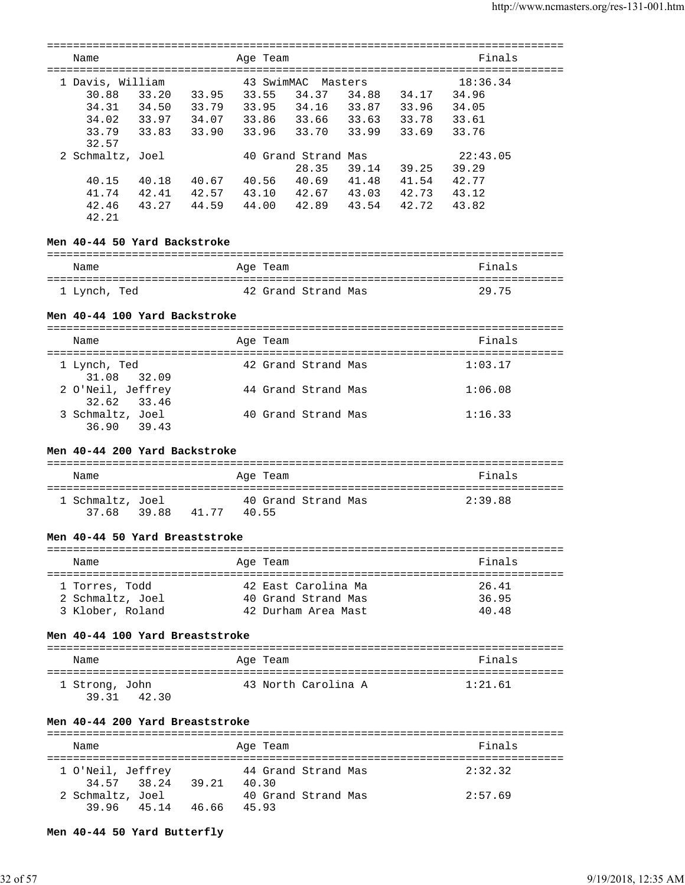| Finals<br>Name<br>Age Team<br>43 SwimMAC<br>1 Davis, William<br>18:36.34<br>Masters<br>33.20 33.95 33.55<br>30.88<br>34.37 34.88 34.17 34.96<br>34.31<br>34.02<br>33.96 33.70 33.99 33.69 33.76<br>33.83 33.90<br>33.79<br>32.57<br>2 Schmaltz, Joel<br>22:43.05<br>40 Grand Strand Mas<br>28.35<br>39.14 39.25 39.29<br>40.18  40.67  40.56  40.69  41.48  41.54  42.77<br>42.41  42.57  43.10  42.67  43.03  42.73  43.12<br>40.15<br>41.74<br>44.00 42.89 43.54 42.72<br>43.27 44.59<br>42.46<br>43.82<br>42.21<br>Men 40-44 50 Yard Backstroke<br>Finals<br>Age Team<br>Name<br>29.75<br>1 Lynch, Ted<br>42 Grand Strand Mas<br>Men 40-44 100 Yard Backstroke<br>Finals<br>Name<br>Age Team<br>1 Lynch, Ted<br>42 Grand Strand Mas<br>1:03.17<br>32.09<br>31.08<br>2 O'Neil, Jeffrey<br>44 Grand Strand Mas<br>1:06.08<br>32.62<br>33.46<br>3 Schmaltz, Joel<br>40 Grand Strand Mas<br>1:16.33<br>36.90 39.43<br>Men 40-44 200 Yard Backstroke<br>Finals<br>Name<br>Age Team<br>1 Schmaltz, Joel<br>40 Grand Strand Mas<br>2:39.88<br>39.88 41.77 40.55<br>37.68<br>Men 40-44 50 Yard Breaststroke<br>Finals<br>Name<br>Age Team<br>42 East Carolina Ma<br>26.41<br>1 Torres, Todd<br>2 Schmaltz, Joel<br>40 Grand Strand Mas<br>36.95<br>3 Klober, Roland<br>40.48<br>42 Durham Area Mast<br>Men 40-44 100 Yard Breaststroke<br>Finals<br>Name<br>Age Team<br>43 North Carolina A<br>1:21.61<br>1 Strong, John<br>39.31 42.30<br>Men 40-44 200 Yard Breaststroke<br>============<br>Finals<br>Name<br>Aqe Team<br>1 O'Neil, Jeffrey<br>44 Grand Strand Mas<br>2:32.32<br>34.57 38.24 39.21 40.30<br>2 Schmaltz, Joel<br>2:57.69<br>40 Grand Strand Mas<br>39.96<br>45.14 46.66 45.93 |  |  |  |  |  |  |
|-------------------------------------------------------------------------------------------------------------------------------------------------------------------------------------------------------------------------------------------------------------------------------------------------------------------------------------------------------------------------------------------------------------------------------------------------------------------------------------------------------------------------------------------------------------------------------------------------------------------------------------------------------------------------------------------------------------------------------------------------------------------------------------------------------------------------------------------------------------------------------------------------------------------------------------------------------------------------------------------------------------------------------------------------------------------------------------------------------------------------------------------------------------------------------------------------------------------------------------------------------------------------------------------------------------------------------------------------------------------------------------------------------------------------------------------------------------------------------------------------------------------------------------------------------------------------------------------------------------------------------------------------------------------------------------------|--|--|--|--|--|--|
|                                                                                                                                                                                                                                                                                                                                                                                                                                                                                                                                                                                                                                                                                                                                                                                                                                                                                                                                                                                                                                                                                                                                                                                                                                                                                                                                                                                                                                                                                                                                                                                                                                                                                           |  |  |  |  |  |  |
|                                                                                                                                                                                                                                                                                                                                                                                                                                                                                                                                                                                                                                                                                                                                                                                                                                                                                                                                                                                                                                                                                                                                                                                                                                                                                                                                                                                                                                                                                                                                                                                                                                                                                           |  |  |  |  |  |  |
|                                                                                                                                                                                                                                                                                                                                                                                                                                                                                                                                                                                                                                                                                                                                                                                                                                                                                                                                                                                                                                                                                                                                                                                                                                                                                                                                                                                                                                                                                                                                                                                                                                                                                           |  |  |  |  |  |  |
|                                                                                                                                                                                                                                                                                                                                                                                                                                                                                                                                                                                                                                                                                                                                                                                                                                                                                                                                                                                                                                                                                                                                                                                                                                                                                                                                                                                                                                                                                                                                                                                                                                                                                           |  |  |  |  |  |  |
|                                                                                                                                                                                                                                                                                                                                                                                                                                                                                                                                                                                                                                                                                                                                                                                                                                                                                                                                                                                                                                                                                                                                                                                                                                                                                                                                                                                                                                                                                                                                                                                                                                                                                           |  |  |  |  |  |  |
|                                                                                                                                                                                                                                                                                                                                                                                                                                                                                                                                                                                                                                                                                                                                                                                                                                                                                                                                                                                                                                                                                                                                                                                                                                                                                                                                                                                                                                                                                                                                                                                                                                                                                           |  |  |  |  |  |  |
|                                                                                                                                                                                                                                                                                                                                                                                                                                                                                                                                                                                                                                                                                                                                                                                                                                                                                                                                                                                                                                                                                                                                                                                                                                                                                                                                                                                                                                                                                                                                                                                                                                                                                           |  |  |  |  |  |  |
|                                                                                                                                                                                                                                                                                                                                                                                                                                                                                                                                                                                                                                                                                                                                                                                                                                                                                                                                                                                                                                                                                                                                                                                                                                                                                                                                                                                                                                                                                                                                                                                                                                                                                           |  |  |  |  |  |  |
|                                                                                                                                                                                                                                                                                                                                                                                                                                                                                                                                                                                                                                                                                                                                                                                                                                                                                                                                                                                                                                                                                                                                                                                                                                                                                                                                                                                                                                                                                                                                                                                                                                                                                           |  |  |  |  |  |  |
|                                                                                                                                                                                                                                                                                                                                                                                                                                                                                                                                                                                                                                                                                                                                                                                                                                                                                                                                                                                                                                                                                                                                                                                                                                                                                                                                                                                                                                                                                                                                                                                                                                                                                           |  |  |  |  |  |  |
|                                                                                                                                                                                                                                                                                                                                                                                                                                                                                                                                                                                                                                                                                                                                                                                                                                                                                                                                                                                                                                                                                                                                                                                                                                                                                                                                                                                                                                                                                                                                                                                                                                                                                           |  |  |  |  |  |  |
|                                                                                                                                                                                                                                                                                                                                                                                                                                                                                                                                                                                                                                                                                                                                                                                                                                                                                                                                                                                                                                                                                                                                                                                                                                                                                                                                                                                                                                                                                                                                                                                                                                                                                           |  |  |  |  |  |  |
|                                                                                                                                                                                                                                                                                                                                                                                                                                                                                                                                                                                                                                                                                                                                                                                                                                                                                                                                                                                                                                                                                                                                                                                                                                                                                                                                                                                                                                                                                                                                                                                                                                                                                           |  |  |  |  |  |  |
|                                                                                                                                                                                                                                                                                                                                                                                                                                                                                                                                                                                                                                                                                                                                                                                                                                                                                                                                                                                                                                                                                                                                                                                                                                                                                                                                                                                                                                                                                                                                                                                                                                                                                           |  |  |  |  |  |  |
|                                                                                                                                                                                                                                                                                                                                                                                                                                                                                                                                                                                                                                                                                                                                                                                                                                                                                                                                                                                                                                                                                                                                                                                                                                                                                                                                                                                                                                                                                                                                                                                                                                                                                           |  |  |  |  |  |  |
|                                                                                                                                                                                                                                                                                                                                                                                                                                                                                                                                                                                                                                                                                                                                                                                                                                                                                                                                                                                                                                                                                                                                                                                                                                                                                                                                                                                                                                                                                                                                                                                                                                                                                           |  |  |  |  |  |  |
|                                                                                                                                                                                                                                                                                                                                                                                                                                                                                                                                                                                                                                                                                                                                                                                                                                                                                                                                                                                                                                                                                                                                                                                                                                                                                                                                                                                                                                                                                                                                                                                                                                                                                           |  |  |  |  |  |  |
|                                                                                                                                                                                                                                                                                                                                                                                                                                                                                                                                                                                                                                                                                                                                                                                                                                                                                                                                                                                                                                                                                                                                                                                                                                                                                                                                                                                                                                                                                                                                                                                                                                                                                           |  |  |  |  |  |  |
|                                                                                                                                                                                                                                                                                                                                                                                                                                                                                                                                                                                                                                                                                                                                                                                                                                                                                                                                                                                                                                                                                                                                                                                                                                                                                                                                                                                                                                                                                                                                                                                                                                                                                           |  |  |  |  |  |  |
|                                                                                                                                                                                                                                                                                                                                                                                                                                                                                                                                                                                                                                                                                                                                                                                                                                                                                                                                                                                                                                                                                                                                                                                                                                                                                                                                                                                                                                                                                                                                                                                                                                                                                           |  |  |  |  |  |  |
|                                                                                                                                                                                                                                                                                                                                                                                                                                                                                                                                                                                                                                                                                                                                                                                                                                                                                                                                                                                                                                                                                                                                                                                                                                                                                                                                                                                                                                                                                                                                                                                                                                                                                           |  |  |  |  |  |  |
|                                                                                                                                                                                                                                                                                                                                                                                                                                                                                                                                                                                                                                                                                                                                                                                                                                                                                                                                                                                                                                                                                                                                                                                                                                                                                                                                                                                                                                                                                                                                                                                                                                                                                           |  |  |  |  |  |  |
|                                                                                                                                                                                                                                                                                                                                                                                                                                                                                                                                                                                                                                                                                                                                                                                                                                                                                                                                                                                                                                                                                                                                                                                                                                                                                                                                                                                                                                                                                                                                                                                                                                                                                           |  |  |  |  |  |  |
|                                                                                                                                                                                                                                                                                                                                                                                                                                                                                                                                                                                                                                                                                                                                                                                                                                                                                                                                                                                                                                                                                                                                                                                                                                                                                                                                                                                                                                                                                                                                                                                                                                                                                           |  |  |  |  |  |  |
|                                                                                                                                                                                                                                                                                                                                                                                                                                                                                                                                                                                                                                                                                                                                                                                                                                                                                                                                                                                                                                                                                                                                                                                                                                                                                                                                                                                                                                                                                                                                                                                                                                                                                           |  |  |  |  |  |  |
|                                                                                                                                                                                                                                                                                                                                                                                                                                                                                                                                                                                                                                                                                                                                                                                                                                                                                                                                                                                                                                                                                                                                                                                                                                                                                                                                                                                                                                                                                                                                                                                                                                                                                           |  |  |  |  |  |  |
|                                                                                                                                                                                                                                                                                                                                                                                                                                                                                                                                                                                                                                                                                                                                                                                                                                                                                                                                                                                                                                                                                                                                                                                                                                                                                                                                                                                                                                                                                                                                                                                                                                                                                           |  |  |  |  |  |  |
|                                                                                                                                                                                                                                                                                                                                                                                                                                                                                                                                                                                                                                                                                                                                                                                                                                                                                                                                                                                                                                                                                                                                                                                                                                                                                                                                                                                                                                                                                                                                                                                                                                                                                           |  |  |  |  |  |  |
|                                                                                                                                                                                                                                                                                                                                                                                                                                                                                                                                                                                                                                                                                                                                                                                                                                                                                                                                                                                                                                                                                                                                                                                                                                                                                                                                                                                                                                                                                                                                                                                                                                                                                           |  |  |  |  |  |  |
|                                                                                                                                                                                                                                                                                                                                                                                                                                                                                                                                                                                                                                                                                                                                                                                                                                                                                                                                                                                                                                                                                                                                                                                                                                                                                                                                                                                                                                                                                                                                                                                                                                                                                           |  |  |  |  |  |  |
|                                                                                                                                                                                                                                                                                                                                                                                                                                                                                                                                                                                                                                                                                                                                                                                                                                                                                                                                                                                                                                                                                                                                                                                                                                                                                                                                                                                                                                                                                                                                                                                                                                                                                           |  |  |  |  |  |  |
|                                                                                                                                                                                                                                                                                                                                                                                                                                                                                                                                                                                                                                                                                                                                                                                                                                                                                                                                                                                                                                                                                                                                                                                                                                                                                                                                                                                                                                                                                                                                                                                                                                                                                           |  |  |  |  |  |  |
|                                                                                                                                                                                                                                                                                                                                                                                                                                                                                                                                                                                                                                                                                                                                                                                                                                                                                                                                                                                                                                                                                                                                                                                                                                                                                                                                                                                                                                                                                                                                                                                                                                                                                           |  |  |  |  |  |  |
|                                                                                                                                                                                                                                                                                                                                                                                                                                                                                                                                                                                                                                                                                                                                                                                                                                                                                                                                                                                                                                                                                                                                                                                                                                                                                                                                                                                                                                                                                                                                                                                                                                                                                           |  |  |  |  |  |  |
|                                                                                                                                                                                                                                                                                                                                                                                                                                                                                                                                                                                                                                                                                                                                                                                                                                                                                                                                                                                                                                                                                                                                                                                                                                                                                                                                                                                                                                                                                                                                                                                                                                                                                           |  |  |  |  |  |  |
|                                                                                                                                                                                                                                                                                                                                                                                                                                                                                                                                                                                                                                                                                                                                                                                                                                                                                                                                                                                                                                                                                                                                                                                                                                                                                                                                                                                                                                                                                                                                                                                                                                                                                           |  |  |  |  |  |  |
|                                                                                                                                                                                                                                                                                                                                                                                                                                                                                                                                                                                                                                                                                                                                                                                                                                                                                                                                                                                                                                                                                                                                                                                                                                                                                                                                                                                                                                                                                                                                                                                                                                                                                           |  |  |  |  |  |  |
|                                                                                                                                                                                                                                                                                                                                                                                                                                                                                                                                                                                                                                                                                                                                                                                                                                                                                                                                                                                                                                                                                                                                                                                                                                                                                                                                                                                                                                                                                                                                                                                                                                                                                           |  |  |  |  |  |  |
|                                                                                                                                                                                                                                                                                                                                                                                                                                                                                                                                                                                                                                                                                                                                                                                                                                                                                                                                                                                                                                                                                                                                                                                                                                                                                                                                                                                                                                                                                                                                                                                                                                                                                           |  |  |  |  |  |  |
|                                                                                                                                                                                                                                                                                                                                                                                                                                                                                                                                                                                                                                                                                                                                                                                                                                                                                                                                                                                                                                                                                                                                                                                                                                                                                                                                                                                                                                                                                                                                                                                                                                                                                           |  |  |  |  |  |  |
|                                                                                                                                                                                                                                                                                                                                                                                                                                                                                                                                                                                                                                                                                                                                                                                                                                                                                                                                                                                                                                                                                                                                                                                                                                                                                                                                                                                                                                                                                                                                                                                                                                                                                           |  |  |  |  |  |  |
|                                                                                                                                                                                                                                                                                                                                                                                                                                                                                                                                                                                                                                                                                                                                                                                                                                                                                                                                                                                                                                                                                                                                                                                                                                                                                                                                                                                                                                                                                                                                                                                                                                                                                           |  |  |  |  |  |  |
|                                                                                                                                                                                                                                                                                                                                                                                                                                                                                                                                                                                                                                                                                                                                                                                                                                                                                                                                                                                                                                                                                                                                                                                                                                                                                                                                                                                                                                                                                                                                                                                                                                                                                           |  |  |  |  |  |  |
|                                                                                                                                                                                                                                                                                                                                                                                                                                                                                                                                                                                                                                                                                                                                                                                                                                                                                                                                                                                                                                                                                                                                                                                                                                                                                                                                                                                                                                                                                                                                                                                                                                                                                           |  |  |  |  |  |  |
|                                                                                                                                                                                                                                                                                                                                                                                                                                                                                                                                                                                                                                                                                                                                                                                                                                                                                                                                                                                                                                                                                                                                                                                                                                                                                                                                                                                                                                                                                                                                                                                                                                                                                           |  |  |  |  |  |  |
|                                                                                                                                                                                                                                                                                                                                                                                                                                                                                                                                                                                                                                                                                                                                                                                                                                                                                                                                                                                                                                                                                                                                                                                                                                                                                                                                                                                                                                                                                                                                                                                                                                                                                           |  |  |  |  |  |  |

```
Men 40-44 50 Yard Butterfly
```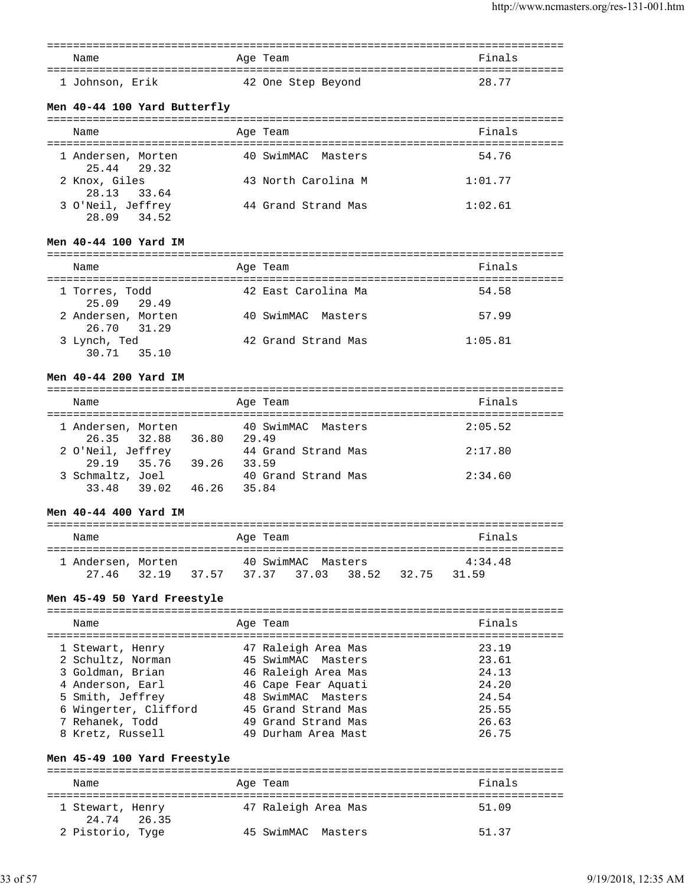| Name            | Age Team           | Finals |
|-----------------|--------------------|--------|
| 1 Johnson, Erik | 42 One Step Beyond | 28.77  |

### **Men 40-44 100 Yard Butterfly**

| Name                              | Age Team            | Finals  |
|-----------------------------------|---------------------|---------|
| 1 Andersen, Morten<br>25.44 29.32 | 40 SwimMAC Masters  | 54.76   |
| 2 Knox, Giles<br>28.13 33.64      | 43 North Carolina M | 1:01.77 |
| 3 O'Neil, Jeffrey<br>28.09 34.52  | 44 Grand Strand Mas | 1:02.61 |

#### **Men 40-44 100 Yard IM**

| Name                              | Age Team            | Finals  |
|-----------------------------------|---------------------|---------|
| 1 Torres, Todd<br>25.09 29.49     | 42 East Carolina Ma | 54.58   |
| 2 Andersen, Morten<br>26.70 31.29 | 40 SwimMAC Masters  | 57.99   |
| 3 Lynch, Ted<br>30.71 35.10       | 42 Grand Strand Mas | 1:05.81 |

#### **Men 40-44 200 Yard IM**

| Name                              |       | Age Team                     | Finals  |
|-----------------------------------|-------|------------------------------|---------|
| 1 Andersen, Morten<br>26.35 32.88 | 36.80 | 40 SwimMAC Masters<br>29.49  | 2:05.52 |
| 2 O'Neil, Jeffrey<br>29.19 35.76  | 39.26 | 44 Grand Strand Mas<br>33.59 | 2:17.80 |
| 3 Schmaltz, Joel<br>33.48 39.02   | 46.26 | 40 Grand Strand Mas<br>35.84 | 2:34.60 |

#### **Men 40-44 400 Yard IM**

| Name               |       | Age Team           |       |       | Finals  |  |
|--------------------|-------|--------------------|-------|-------|---------|--|
| 1 Andersen, Morten |       | 40 SwimMAC Masters |       |       | 4:34.48 |  |
| 27.46 32.19        | 37.57 | 37.37 37.03        | 38.52 | 32.75 | 31.59   |  |

# **Men 45-49 50 Yard Freestyle**

| Name                  | Age Team            | Finals |
|-----------------------|---------------------|--------|
| 1 Stewart, Henry      | 47 Raleigh Area Mas | 23.19  |
| 2 Schultz, Norman     | 45 SwimMAC Masters  | 23.61  |
| 3 Goldman, Brian      | 46 Raleigh Area Mas | 24.13  |
| 4 Anderson, Earl      | 46 Cape Fear Aquati | 24.20  |
| 5 Smith, Jeffrey      | 48 SwimMAC Masters  | 24.54  |
| 6 Wingerter, Clifford | 45 Grand Strand Mas | 25.55  |
| 7 Rehanek, Todd       | 49 Grand Strand Mas | 26.63  |
| 8 Kretz, Russell      | 49 Durham Area Mast | 26.75  |

### **Men 45-49 100 Yard Freestyle**

| Name                            | Age Team            | Finals |
|---------------------------------|---------------------|--------|
| 1 Stewart, Henry<br>24.74 26.35 | 47 Raleigh Area Mas | 51.09  |
| 2 Pistorio, Tyge                | 45 SwimMAC Masters  | 51.37  |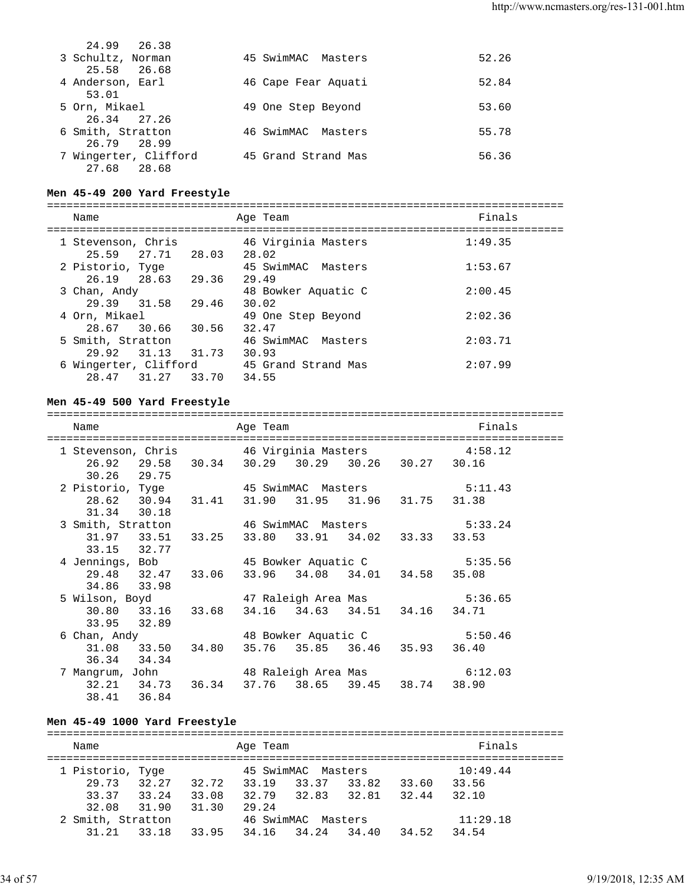| 24.99 26.38           |                     |       |
|-----------------------|---------------------|-------|
| 3 Schultz, Norman     | 45 SwimMAC Masters  | 52.26 |
| 25.58 26.68           |                     |       |
| 4 Anderson, Earl      | 46 Cape Fear Aquati | 52.84 |
| 53.01                 |                     |       |
| 5 Orn, Mikael         | 49 One Step Beyond  | 53.60 |
| 26.34 27.26           |                     |       |
| 6 Smith, Stratton     | 46 SwimMAC Masters  | 55.78 |
| 26.79 28.99           |                     |       |
| 7 Wingerter, Clifford | 45 Grand Strand Mas | 56.36 |
| 27.68 28.68           |                     |       |

#### **Men 45-49 200 Yard Freestyle**

=============================================================================== Name **Age Team** Age Team Finals =============================================================================== 1 Stevenson, Chris 46 Virginia Masters 1:49.35 25.59 27.71 28.03 28.02 2 Pistorio, Tyge 45 SwimMAC Masters 1:53.67 26.19 28.63 29.36 29.49 3 Chan, Andy 48 Bowker Aquatic C 2:00.45 29.39 31.58 29.46 30.02 4 Orn, Mikael 49 One Step Beyond 2:02.36 28.67 30.66 30.56 32.47 5 Smith, Stratton 46 SwimMAC Masters 2:03.71 29.92 31.13 31.73 30.93 6 Wingerter, Clifford 45 Grand Strand Mas 2:07.99 28.47 31.27 33.70 34.55

#### **Men 45-49 500 Yard Freestyle**

=============================================================================== Name Age Team Finals =============================================================================== 1 Stevenson, Chris 46 Virginia Masters 4:58.12 26.92 29.58 30.34 30.29 30.29 30.26 30.27 30.16 30.26 29.75<br>2 Pistorio, Tyge 45 SwimMAC Masters 5:11.43 28.62 30.94 31.41 31.90 31.95 31.96 31.75 31.38 31.34 30.18 3 Smith, Stratton 46 SwimMAC Masters 5:33.24 31.97 33.51 33.25 33.80 33.91 34.02 33.33 33.53 33.15 32.77 4 Jennings, Bob 45 Bowker Aquatic C 5:35.56 29.48 32.47 33.06 33.96 34.08 34.01 34.58 35.08 34.86 33.98 5 Wilson, Boyd 47 Raleigh Area Mas 5:36.65 30.80 33.16 33.68 34.16 34.63 34.51 34.16 34.71 33.95 32.89 6 Chan, Andy 48 Bowker Aquatic C 5:50.46 31.08 33.50 34.80 35.76 35.85 36.46 35.93 36.40 36.34 34.34 7 Mangrum, John 48 Raleigh Area Mas 6:12.03 32.21 34.73 36.34 37.76 38.65 39.45 38.74 38.90 38.41 36.84

#### **Men 45-49 1000 Yard Freestyle**

=============================================================================== Name **Age Team** Age Team **Finals** =============================================================================== 1 Pistorio, Tyge 45 SwimMAC Masters 10:49.44 29.73 32.27 32.72 33.19 33.37 33.82 33.60 33.56 33.37 33.24 33.08 32.79 32.83 32.81 32.44 32.10 32.08 31.90 31.30 29.24 2 Smith, Stratton 46 SwimMAC Masters 11:29.18 31.21 33.18 33.95 34.16 34.24 34.40 34.52 34.54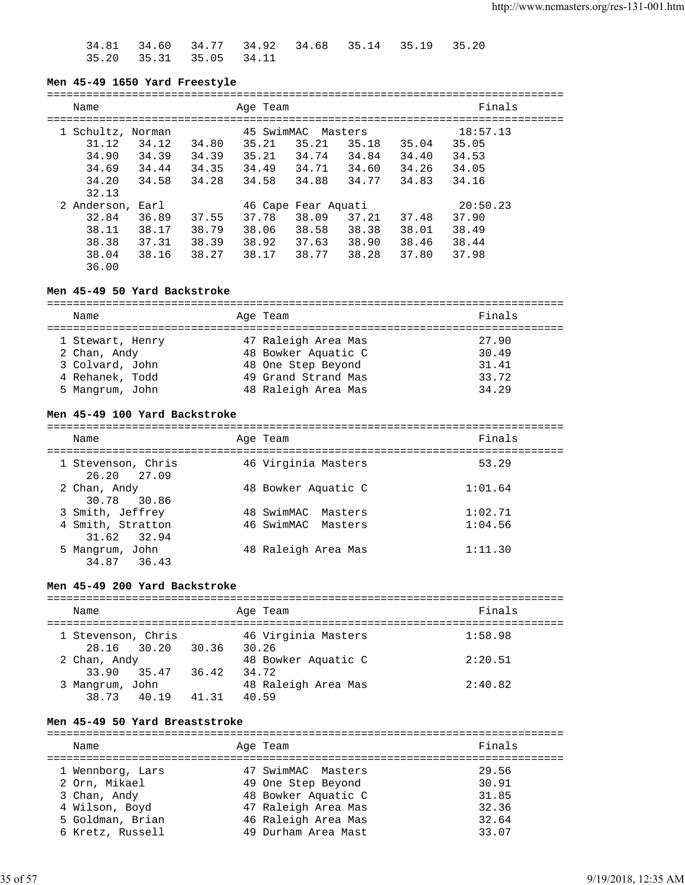34.81 34.60 34.77 34.92 34.68 35.14 35.19 35.20 35.20 35.31 35.05 34.11

#### **Men 45-49 1650 Yard Freestyle**

| Name              |                                           |                                  |                                  | Age Team                                       |                                                         |                                             |                                  | Finals                                       |  |
|-------------------|-------------------------------------------|----------------------------------|----------------------------------|------------------------------------------------|---------------------------------------------------------|---------------------------------------------|----------------------------------|----------------------------------------------|--|
| 1 Schultz, Norman | 31.12<br>34.90<br>34.69<br>34.20<br>32.13 | 34.12<br>34.39<br>34.44<br>34.58 | 34.80<br>34.39<br>34.35<br>34.28 | 45 SwimMAC<br>35.21<br>35.21<br>34.49<br>34.58 | 35.21<br>34.74<br>34.71<br>34.88                        | Masters<br>35.18<br>34.84<br>34.60<br>34.77 | 35.04<br>34.40<br>34.26<br>34.83 | 18:57.13<br>35.05<br>34.53<br>34.05<br>34.16 |  |
| 2 Anderson, Earl  | 32.84<br>38.11<br>38.38<br>38.04<br>36.00 | 36.89<br>38.17<br>37.31<br>38.16 | 37.55<br>38.79<br>38.39<br>38.27 | 37.78<br>38.06<br>38.92<br>38.17               | 46 Cape Fear Aquati<br>38.09<br>38.58<br>37.63<br>38.77 | 37.21<br>38.38<br>38.90<br>38.28            | 37.48<br>38.01<br>38.46<br>37.80 | 20:50.23<br>37.90<br>38.49<br>38.44<br>37.98 |  |

#### **Men 45-49 50 Yard Backstroke**

| Name             |  | Age Team            | Finals |  |  |
|------------------|--|---------------------|--------|--|--|
|                  |  |                     |        |  |  |
| 1 Stewart, Henry |  | 47 Raleigh Area Mas | 27.90  |  |  |
| 2 Chan, Andy     |  | 48 Bowker Aquatic C | 30.49  |  |  |
| 3 Colvard, John  |  | 48 One Step Beyond  | 31.41  |  |  |
| 4 Rehanek, Todd  |  | 49 Grand Strand Mas | 33.72  |  |  |
| 5 Mangrum, John  |  | 48 Raleigh Area Mas | 34.29  |  |  |

#### **Men 45-49 100 Yard Backstroke**

=============================================================================== Name **Age Team** Age Team Finals =============================================================================== 1 Stevenson, Chris 46 Virginia Masters 53.29 26.20 27.09 2 Chan, Andy 3 All 2 Chan, Andy 48 Bowker Aquatic C 1:01.64 30.78 30.86<br>3 Smith, Jeffrey 3 Smith, Jeffrey 48 SwimMAC Masters 1:02.71 4 Smith, Stratton 46 SwimMAC Masters 1:04.56 31.62 32.94 5 Mangrum, John 48 Raleigh Area Mas 1:11.30 34.87 36.43

#### **Men 45-49 200 Yard Backstroke**

| Name               |             |       | Age Team                     | Finals  |
|--------------------|-------------|-------|------------------------------|---------|
| 1 Stevenson, Chris |             |       | 46 Virginia Masters          | 1:58.98 |
| 2 Chan, Andy       | 28.16 30.20 | 30.36 | 30.26<br>48 Bowker Aquatic C | 2:20.51 |
| 33.90              | 35.47       | 36.42 | 34.72                        |         |
| 3 Mangrum, John    | 38.73 40.19 | 41.31 | 48 Raleigh Area Mas<br>40.59 | 2:40.82 |

#### **Men 45-49 50 Yard Breaststroke**

| Name                               | Age Team                                   | Finals         |
|------------------------------------|--------------------------------------------|----------------|
| 1 Wennborg, Lars<br>2 Orn, Mikael  | 47 SwimMAC Masters<br>49 One Step Beyond   | 29.56<br>30.91 |
| 3 Chan, Andy                       | 48 Bowker Aquatic C                        | 31.85          |
| 4 Wilson, Boyd<br>5 Goldman, Brian | 47 Raleigh Area Mas<br>46 Raleigh Area Mas | 32.36<br>32.64 |
| 6 Kretz, Russell                   | 49 Durham Area Mast                        | 33.07          |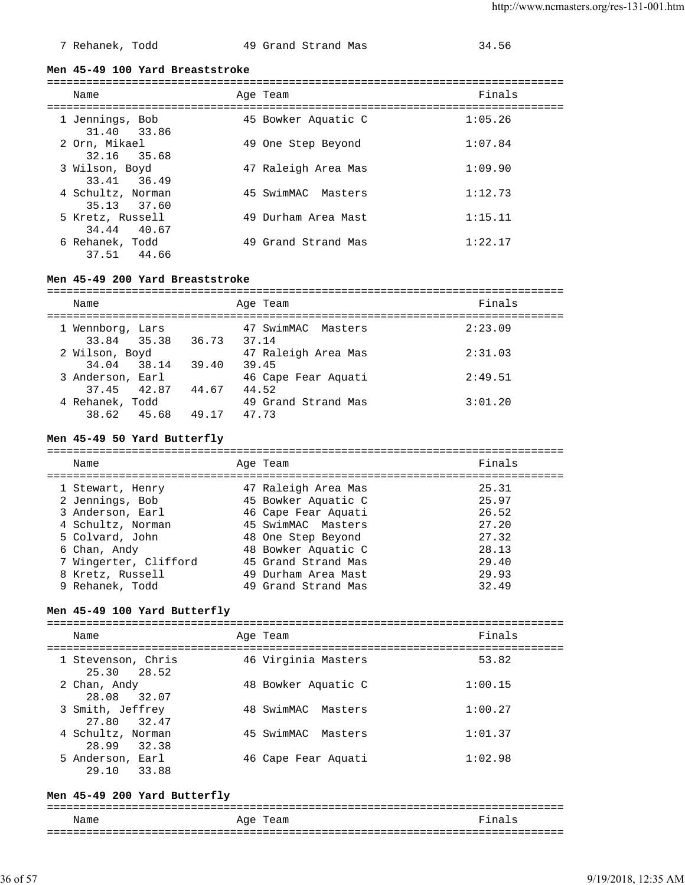### 7 Rehanek, Todd 49 Grand Strand Mas 34.56

#### **Men 45-49 100 Yard Breaststroke**

| Name                             | Age Team            | Finals  |
|----------------------------------|---------------------|---------|
| 1 Jennings, Bob<br>31.40 33.86   | 45 Bowker Aquatic C | 1:05.26 |
| 2 Orn, Mikael<br>32.16 35.68     | 49 One Step Beyond  | 1:07.84 |
| 3 Wilson, Boyd<br>33.41 36.49    | 47 Raleigh Area Mas | 1:09.90 |
| 4 Schultz, Norman<br>35.13 37.60 | 45 SwimMAC Masters  | 1:12.73 |
| 5 Kretz, Russell<br>34.44 40.67  | 49 Durham Area Mast | 1:15.11 |
| 6 Rehanek, Todd<br>37.51 44.66   | 49 Grand Strand Mas | 1:22.17 |

#### **Men 45-49 200 Yard Breaststroke**

| Name                            |       | Age Team                     | Finals  |
|---------------------------------|-------|------------------------------|---------|
| 1 Wennborg, Lars<br>33.84 35.38 | 36.73 | 47 SwimMAC Masters<br>37.14  | 2:23.09 |
| 2 Wilson, Boyd<br>34.04 38.14   | 39.40 | 47 Raleigh Area Mas<br>39.45 | 2:31.03 |
| 3 Anderson, Earl<br>37.45 42.87 | 44.67 | 46 Cape Fear Aquati<br>44.52 | 2:49.51 |
| 4 Rehanek, Todd<br>38.62 45.68  | 49.17 | 49 Grand Strand Mas<br>47.73 | 3:01.20 |

#### **Men 45-49 50 Yard Butterfly**

| Name                  | Age Team            | Finals |
|-----------------------|---------------------|--------|
| 1 Stewart, Henry      | 47 Raleigh Area Mas | 25.31  |
| 2 Jennings, Bob       | 45 Bowker Aquatic C | 25.97  |
| 3 Anderson, Earl      | 46 Cape Fear Aquati | 26.52  |
| 4 Schultz, Norman     | 45 SwimMAC Masters  | 27.20  |
| 5 Colvard, John       | 48 One Step Beyond  | 27.32  |
| 6 Chan, Andy          | 48 Bowker Aquatic C | 28.13  |
| 7 Wingerter, Clifford | 45 Grand Strand Mas | 29.40  |
| 8 Kretz, Russell      | 49 Durham Area Mast | 29.93  |
| 9 Rehanek, Todd       | 49 Grand Strand Mas | 32.49  |
|                       |                     |        |

#### **Men 45-49 100 Yard Butterfly**

| Name                                  | Age Team              | Finals  |
|---------------------------------------|-----------------------|---------|
| 1 Stevenson, Chris<br>$25.30$ $28.52$ | 46 Virginia Masters   | 53.82   |
| 2 Chan, Andy<br>28.08 32.07           | 48 Bowker Aquatic C   | 1:00.15 |
| 3 Smith, Jeffrey<br>27.80 32.47       | 48 SwimMAC<br>Masters | 1:00.27 |
| 4 Schultz, Norman<br>28.99<br>32.38   | 45 SwimMAC<br>Masters | 1:01.37 |
| 5 Anderson, Earl<br>33.88<br>29.10    | 46 Cape Fear Aquati   | 1:02.98 |

#### **Men 45-49 200 Yard Butterfly**

=============================================================================== Name **Age Team** Age Team **Finals**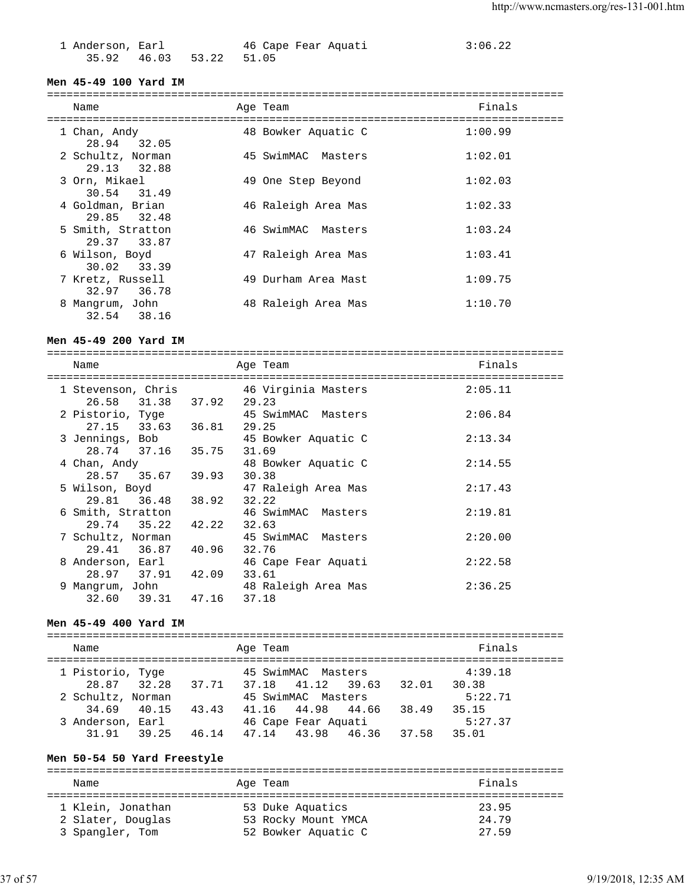| 1 Anderson, Earl |                         | 46 Cape Fear Aquati | 3:06.22 |
|------------------|-------------------------|---------------------|---------|
|                  | 35.92 46.03 53.22 51.05 |                     |         |

#### **Men 45-49 100 Yard IM**

=============================================================================== Name Age Team Finals =============================================================================== 1 Chan, Andy 48 Bowker Aquatic C 1:00.99 28.94 32.05 2 Schultz, Norman 45 SwimMAC Masters 1:02.01 29.13 32.88 3 Orn, Mikael 49 One Step Beyond 1:02.03 30.54 31.49<br>4 Goldman, Brian 46 Raleigh Area Mas 1:02.33 29.85 32.48 5 Smith, Stratton 46 SwimMAC Masters 1:03.24 29.37 33.87 6 Wilson, Boyd 47 Raleigh Area Mas 1:03.41 30.02 33.39 7 Kretz, Russell 49 Durham Area Mast 1:09.75 32.97 36.78 8 Mangrum, John 48 Raleigh Area Mas 1:10.70 32.54 38.16

#### **Men 45-49 200 Yard IM**

=============================================================================== Name Age Team Finals =============================================================================== 1 Stevenson, Chris 46 Virginia Masters 2:05.11 26.58 31.38 37.92 29.23 2 Pistorio, Tyge 45 SwimMAC Masters 2:06.84 27.15 33.63 36.81 29.25 3 Jennings, Bob 45 Bowker Aquatic C 2:13.34 28.74 37.16 35.75 31.69 4 Chan, Andy 48 Bowker Aquatic C 2:14.55 28.57 35.67 39.93 30.38<br>5 Wilson, Boyd 47 Ra 47 Raleigh Area Mas 2:17.43 29.81 36.48 38.92 32.22<br>6 Smith, Stratton 46 Swi 46 SwimMAC Masters 2:19.81 29.74 35.22 42.22 32.63 7 Schultz, Norman 45 SwimMAC Masters 2:20.00 29.41 36.87 40.96 32.76 8 Anderson, Earl 46 Cape Fear Aquati 2:22.58 28.97 37.91 42.09 33.61 9 Mangrum, John 48 Raleigh Area Mas 2:36.25 32.60 39.31 47.16 37.18

#### **Men 45-49 400 Yard IM**

=============================================================================== Name Age Team Finals =============================================================================== 1 Pistorio, Tyge 45 SwimMAC Masters 4:39.18 28.87 32.28 37.71 37.18 41.12 39.63 32.01 30.38<br>2 Schultz, Norman 45 SwimMAC Masters 5:22 45 SwimMAC Masters 5:22.71 34.69 40.15 43.43 41.16 44.98 44.66 38.49 35.15 3 Anderson, Earl 46 Cape Fear Aquati 5:27.37 31.91 39.25 46.14 47.14 43.98 46.36 37.58 35.01

### **Men 50-54 50 Yard Freestyle**

| Name              | Age Team            | Finals |
|-------------------|---------------------|--------|
| 1 Klein, Jonathan | 53 Duke Aquatics    | 23.95  |
| 2 Slater, Douglas | 53 Rocky Mount YMCA | 24.79  |
| 3 Spangler, Tom   | 52 Bowker Aquatic C | 27.59  |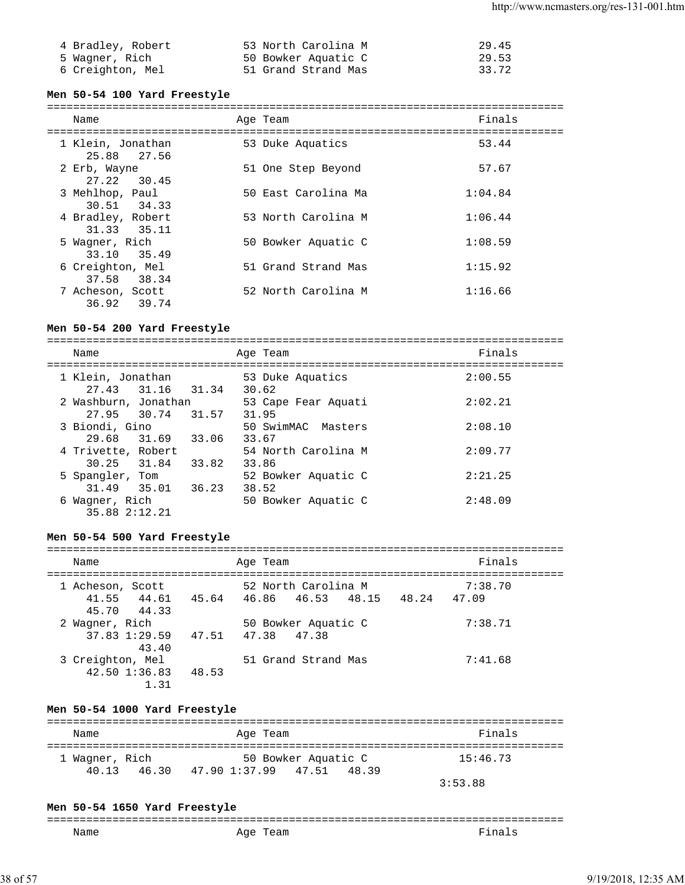| 4 Bradley, Robert | 53 North Carolina M | 29.45 |
|-------------------|---------------------|-------|
| 5 Waqner, Rich    | 50 Bowker Aquatic C | 29.53 |
| 6 Creighton, Mel  | 51 Grand Strand Mas | 33.72 |

### **Men 50-54 100 Yard Freestyle**

| Name              |  | Age Team            | Finals  |  |  |  |  |
|-------------------|--|---------------------|---------|--|--|--|--|
|                   |  |                     |         |  |  |  |  |
| 1 Klein, Jonathan |  | 53 Duke Aquatics    | 53.44   |  |  |  |  |
| 25.88 27.56       |  |                     |         |  |  |  |  |
| 2 Erb, Wayne      |  | 51 One Step Beyond  | 57.67   |  |  |  |  |
|                   |  |                     |         |  |  |  |  |
| 27.22 30.45       |  |                     |         |  |  |  |  |
| 3 Mehlhop, Paul   |  | 50 East Carolina Ma | 1:04.84 |  |  |  |  |
| 30.51 34.33       |  |                     |         |  |  |  |  |
| 4 Bradley, Robert |  | 53 North Carolina M | 1:06.44 |  |  |  |  |
|                   |  |                     |         |  |  |  |  |
| 31.33 35.11       |  |                     |         |  |  |  |  |
| 5 Wagner, Rich    |  | 50 Bowker Aquatic C | 1:08.59 |  |  |  |  |
| 33.10 35.49       |  |                     |         |  |  |  |  |
| 6 Creighton, Mel  |  | 51 Grand Strand Mas | 1:15.92 |  |  |  |  |
|                   |  |                     |         |  |  |  |  |
| 37.58 38.34       |  |                     |         |  |  |  |  |
| 7 Acheson, Scott  |  | 52 North Carolina M | 1:16.66 |  |  |  |  |
| 36.92<br>39.74    |  |                     |         |  |  |  |  |
|                   |  |                     |         |  |  |  |  |

### **Men 50-54 200 Yard Freestyle**

| Name                                         | Age Team                     | Finals  |
|----------------------------------------------|------------------------------|---------|
| 1 Klein, Jonathan<br>27.43 31.16 31.34       | 53 Duke Aquatics<br>30.62    | 2:00.55 |
| 2 Washburn, Jonathan<br>27.95 30.74<br>31.57 | 53 Cape Fear Aquati<br>31.95 | 2:02.21 |
| 3 Biondi, Gino<br>29.68 31.69<br>33.06       | 50 SwimMAC Masters<br>33.67  | 2:08.10 |
| 4 Trivette, Robert<br>30.25 31.84<br>33.82   | 54 North Carolina M<br>33.86 | 2:09.77 |
| 5 Spangler, Tom<br>31.49<br>35.01<br>36.23   | 52 Bowker Aquatic C<br>38.52 | 2:21.25 |
| 6 Wagner, Rich<br>35.88 2:12.21              | 50 Bowker Aquatic C          | 2:48.09 |

### **Men 50-54 500 Yard Freestyle**

| Name             |                   |                                                 | Age Team |                     |  | Finals  |  |
|------------------|-------------------|-------------------------------------------------|----------|---------------------|--|---------|--|
| 1 Acheson, Scott |                   |                                                 |          | 52 North Carolina M |  | 7:38.70 |  |
|                  |                   | 41.55 44.61 45.64 46.86 46.53 48.15 48.24 47.09 |          |                     |  |         |  |
|                  | 45.70 44.33       |                                                 |          |                     |  |         |  |
| 2 Wagner, Rich   |                   |                                                 |          | 50 Bowker Aquatic C |  | 7:38.71 |  |
|                  |                   | 37.83 1:29.59 47.51 47.38 47.38                 |          |                     |  |         |  |
|                  | 43.40             |                                                 |          |                     |  |         |  |
| 3 Creighton, Mel |                   |                                                 |          | 51 Grand Strand Mas |  | 7:41.68 |  |
|                  | $42.50$ $1:36.83$ | 48.53                                           |          |                     |  |         |  |
|                  | 1.31              |                                                 |          |                     |  |         |  |

### **Men 50-54 1000 Yard Freestyle**

| Name                             | Age Team                                            | Finals   |
|----------------------------------|-----------------------------------------------------|----------|
| 1 Waqner, Rich<br>40 13<br>46.30 | 50 Bowker Aquatic C<br>47.90 1:37.99 47.51<br>48.39 | 15:46.73 |
|                                  |                                                     | 3:53.88  |

### **Men 50-54 1650 Yard Freestyle**

| ---<br>_____ |                            |     |
|--------------|----------------------------|-----|
| Name<br>____ | Aqe<br>-<br>-<br>__<br>___ | --- |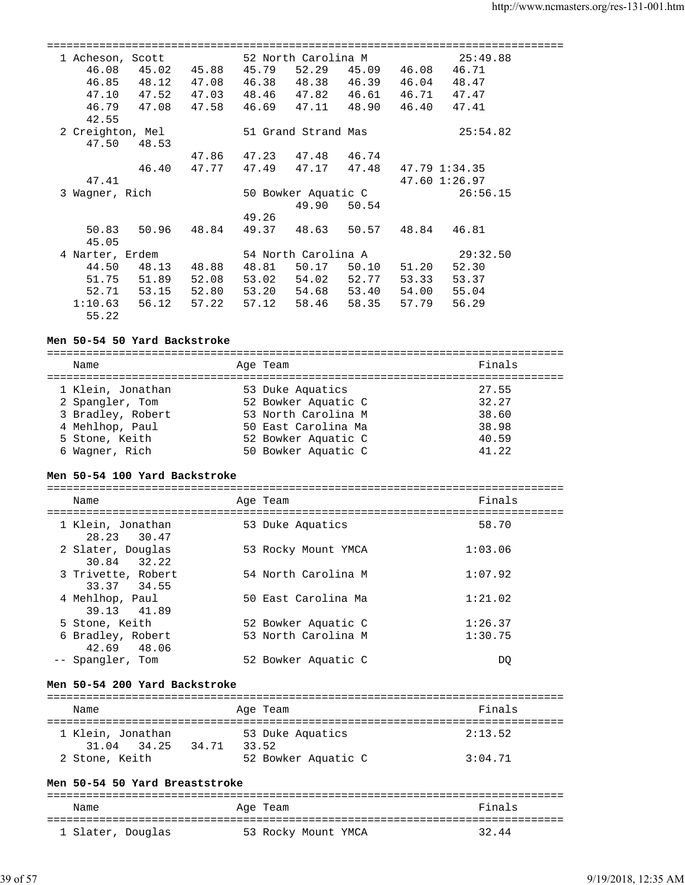|                  | 1 Acheson, Scott |       |       | 52 North Carolina M |                               |               | 25:49.88      |  |
|------------------|------------------|-------|-------|---------------------|-------------------------------|---------------|---------------|--|
| 46.08            | 45.02            | 45.88 | 45.79 |                     | 52.29 45.09                   | 46.08         | 46.71         |  |
|                  | 46.85 48.12      | 47.08 |       |                     | 46.38 48.38 46.39 46.04       |               | 48.47         |  |
| 47.10            | 47.52            | 47.03 |       |                     | 48.46 47.82 46.61 46.71 47.47 |               |               |  |
| 46.79            | 47.08            | 47.58 |       |                     | 46.69 47.11 48.90 46.40       |               | 47.41         |  |
| 42.55            |                  |       |       |                     |                               |               |               |  |
| 2 Creighton, Mel |                  |       |       | 51 Grand Strand Mas |                               |               | 25:54.82      |  |
| 47.50            | 48.53            |       |       |                     |                               |               |               |  |
|                  |                  | 47.86 |       | 47.23 47.48 46.74   |                               |               |               |  |
|                  | 46.40            | 47.77 | 47.49 |                     | 47.17 47.48                   | 47.79 1:34.35 |               |  |
| 47.41            |                  |       |       |                     |                               |               | 47.60 1:26.97 |  |
| 3 Waqner, Rich   |                  |       |       | 50 Bowker Aquatic C |                               |               | 26:56.15      |  |
|                  |                  |       |       | 49.90               | 50.54                         |               |               |  |
|                  |                  |       | 49.26 |                     |                               |               |               |  |
|                  | 50.83 50.96      | 48.84 |       |                     | 49.37 48.63 50.57 48.84       |               | 46.81         |  |
| 45.05            |                  |       |       |                     |                               |               |               |  |
| 4 Narter, Erdem  |                  |       |       | 54 North Carolina A |                               |               | 29:32.50      |  |
| 44.50            | 48.13            | 48.88 | 48.81 |                     | 50.17 50.10                   | 51.20         | 52.30         |  |
|                  | 51.75 51.89      | 52.08 | 53.02 |                     | 54.02 52.77                   | 53.33         | 53.37         |  |
| 52.71            | 53.15            | 52.80 | 53.20 |                     | 54.68 53.40                   | 54.00         | 55.04         |  |
| 1:10.63          | 56.12            | 57.22 | 57.12 | 58.46               | 58.35                         | 57.79         | 56.29         |  |
| 55.22            |                  |       |       |                     |                               |               |               |  |

### **Men 50-54 50 Yard Backstroke**

| Name                                                      | Age Team                                                          | Finals                  |
|-----------------------------------------------------------|-------------------------------------------------------------------|-------------------------|
| 1 Klein, Jonathan<br>2 Spangler, Tom<br>3 Bradley, Robert | 53 Duke Aquatics<br>52 Bowker Aquatic C<br>53 North Carolina M    | 27.55<br>32.27<br>38.60 |
| 4 Mehlhop, Paul<br>5 Stone, Keith<br>6 Wagner, Rich       | 50 East Carolina Ma<br>52 Bowker Aquatic C<br>50 Bowker Aquatic C | 38.98<br>40.59<br>41.22 |

#### **Men 50-54 100 Yard Backstroke**

| Name                              |  | Age Team            | Finals  |  |  |  |  |
|-----------------------------------|--|---------------------|---------|--|--|--|--|
| 1 Klein, Jonathan<br>28.23 30.47  |  | 53 Duke Aquatics    | 58.70   |  |  |  |  |
| 2 Slater, Douglas<br>30.84 32.22  |  | 53 Rocky Mount YMCA | 1:03.06 |  |  |  |  |
| 3 Trivette, Robert<br>33.37 34.55 |  | 54 North Carolina M | 1:07.92 |  |  |  |  |
| 4 Mehlhop, Paul<br>39.13 41.89    |  | 50 East Carolina Ma | 1:21.02 |  |  |  |  |
| 5 Stone, Keith                    |  | 52 Bowker Aquatic C | 1:26.37 |  |  |  |  |
| 6 Bradley, Robert<br>42.69 48.06  |  | 53 North Carolina M | 1:30.75 |  |  |  |  |
| -- Spangler, Tom                  |  | 52 Bowker Aquatic C | DO      |  |  |  |  |

#### **Men 50-54 200 Yard Backstroke**

| Name                             |       | Age Team                  | Finals  |
|----------------------------------|-------|---------------------------|---------|
| 1 Klein, Jonathan<br>31.04 34.25 | 34.71 | 53 Duke Aquatics<br>33.52 | 2:13.52 |
| 2 Stone, Keith                   |       | 52 Bowker Aquatic C       | 3:04.71 |

### **Men 50-54 50 Yard Breaststroke**

| Name              | Age Team            | Finals |
|-------------------|---------------------|--------|
|                   |                     |        |
| 1 Slater, Douglas | 53 Rocky Mount YMCA | 32.44  |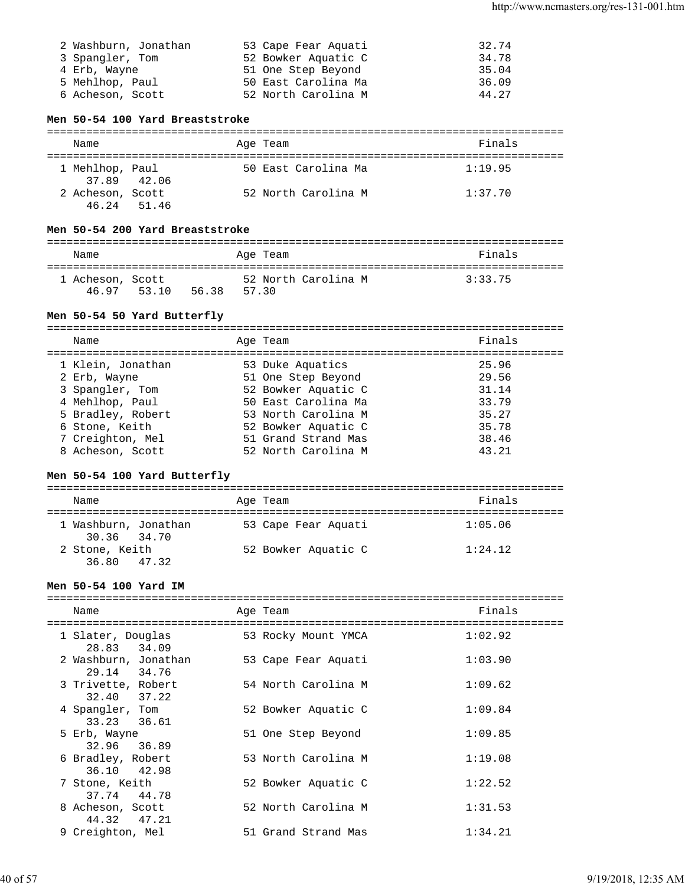| 2 Washburn, Jonathan | 53 Cape Fear Aquati | 32.74 |
|----------------------|---------------------|-------|
| 3 Spangler, Tom      | 52 Bowker Aquatic C | 34.78 |
| 4 Erb, Wayne         | 51 One Step Beyond  | 35.04 |
| 5 Mehlhop, Paul      | 50 East Carolina Ma | 36.09 |
| 6 Acheson, Scott     | 52 North Carolina M | 44.27 |

### **Men 50-54 100 Yard Breaststroke**

| Name             |             |  | Age Team            | Finals  |  |  |  |
|------------------|-------------|--|---------------------|---------|--|--|--|
|                  |             |  |                     |         |  |  |  |
| 1 Mehlhop, Paul  |             |  | 50 East Carolina Ma | 1:19.95 |  |  |  |
|                  | 37.89 42.06 |  |                     |         |  |  |  |
| 2 Acheson, Scott |             |  | 52 North Carolina M | 1:37.70 |  |  |  |
| 46.24 51.46      |             |  |                     |         |  |  |  |

#### **Men 50-54 200 Yard Breaststroke**

| Name                      |       |       |       | Age Team |                     | Finals  |
|---------------------------|-------|-------|-------|----------|---------------------|---------|
| 1 Acheson, Scott<br>46.97 | 53.10 | 56.38 | 57.30 |          | 52 North Carolina M | 3:33.75 |

### **Men 50-54 50 Yard Butterfly**

| Name              | Age Team            | Finals |
|-------------------|---------------------|--------|
| 1 Klein, Jonathan | 53 Duke Aquatics    | 25.96  |
| 2 Erb, Wayne      | 51 One Step Beyond  | 29.56  |
| 3 Spangler, Tom   | 52 Bowker Aquatic C | 31.14  |
| 4 Mehlhop, Paul   | 50 East Carolina Ma | 33.79  |
| 5 Bradley, Robert | 53 North Carolina M | 35.27  |
| 6 Stone, Keith    | 52 Bowker Aquatic C | 35.78  |
| 7 Creighton, Mel  | 51 Grand Strand Mas | 38.46  |
| 8 Acheson, Scott  | 52 North Carolina M | 43.21  |
|                   |                     |        |

### **Men 50-54 100 Yard Butterfly**

| Name                                | Age Team            | Finals  |
|-------------------------------------|---------------------|---------|
| 1 Washburn, Jonathan<br>30.36 34.70 | 53 Cape Fear Aquati | 1:05.06 |
| 2 Stone, Keith<br>36.80 47.32       | 52 Bowker Aquatic C | 1:24.12 |

### **Men 50-54 100 Yard IM**

| Name                                | Age Team            | Finals  |
|-------------------------------------|---------------------|---------|
| 1 Slater, Douglas<br>28.83 34.09    | 53 Rocky Mount YMCA | 1:02.92 |
| 2 Washburn, Jonathan<br>29.14 34.76 | 53 Cape Fear Aquati | 1:03.90 |
| 3 Trivette, Robert<br>32.40 37.22   | 54 North Carolina M | 1:09.62 |
| 4 Spangler, Tom<br>33.23 36.61      | 52 Bowker Aquatic C | 1:09.84 |
| 5 Erb, Wayne<br>32.96 36.89         | 51 One Step Beyond  | 1:09.85 |
| 6 Bradley, Robert<br>36.10 42.98    | 53 North Carolina M | 1:19.08 |
| 7 Stone, Keith<br>37.74 44.78       | 52 Bowker Aquatic C | 1:22.52 |
| 8 Acheson, Scott<br>44.32 47.21     | 52 North Carolina M | 1:31.53 |
| 9 Creighton, Mel                    | 51 Grand Strand Mas | 1:34.21 |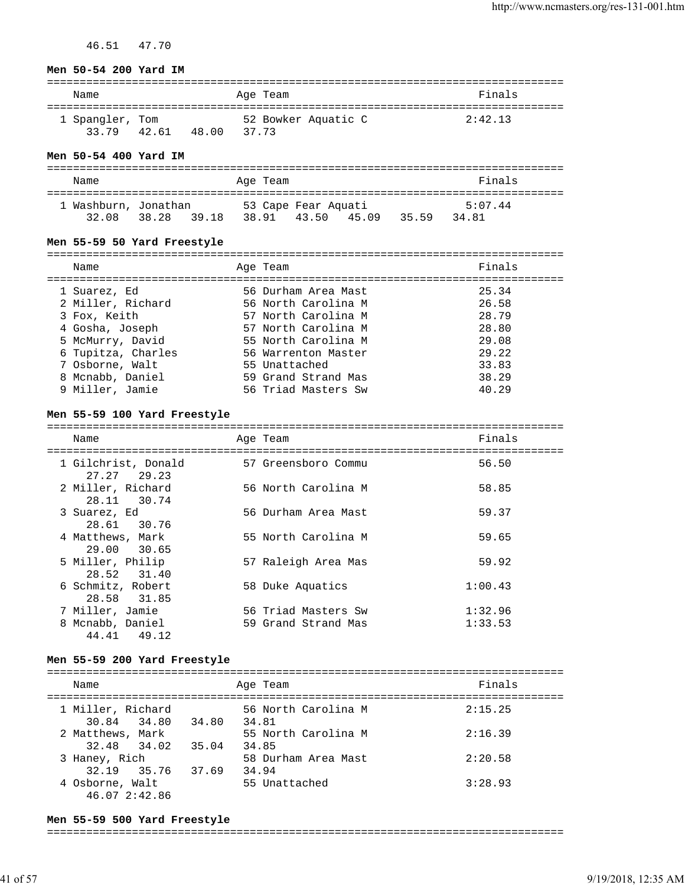46.51 47.70

#### **Men 50-54 200 Yard IM**

| Name            | Age Team            | Finals  |
|-----------------|---------------------|---------|
| 1 Spangler, Tom | 52 Bowker Aquatic C | 2:42.13 |
| 33 79<br>42.61  | 48.00<br>37.73      |         |

#### **Men 50-54 400 Yard IM**

| Name                 |                | Age Team            | Finals                  |
|----------------------|----------------|---------------------|-------------------------|
| 1 Washburn, Jonathan |                | 53 Cape Fear Aquati | 5:07.44                 |
| 32.08                | 38.28<br>39.18 | 38.91 43.50         | 34.81<br>45 09<br>35.59 |

### **Men 55-59 50 Yard Freestyle**

| Name                              | Age Team                                   | Finals         |
|-----------------------------------|--------------------------------------------|----------------|
| 1 Suarez, Ed<br>2 Miller, Richard | 56 Durham Area Mast<br>56 North Carolina M | 25.34<br>26.58 |
| 3 Fox, Keith                      | 57 North Carolina M                        | 28.79          |
| 4 Gosha, Joseph                   | 57 North Carolina M                        | 28.80          |
| 5 McMurry, David                  | 55 North Carolina M                        | 29.08          |
| 6 Tupitza, Charles                | 56 Warrenton Master                        | 29.22          |
| 7 Osborne, Walt                   | 55 Unattached                              | 33.83          |
| 8 Mcnabb, Daniel                  | 59 Grand Strand Mas                        | 38.29          |
| 9 Miller, Jamie                   | 56 Triad Masters Sw                        | 40.29          |

#### **Men 55-59 100 Yard Freestyle**

===============================================================================

| Name<br>========================   | Age Team            | Finals  |
|------------------------------------|---------------------|---------|
| 1 Gilchrist, Donald<br>27.27 29.23 | 57 Greensboro Commu | 56.50   |
| 2 Miller, Richard<br>28.11 30.74   | 56 North Carolina M | 58.85   |
| 3 Suarez, Ed<br>28.61 30.76        | 56 Durham Area Mast | 59.37   |
| 4 Matthews, Mark<br>29.00 30.65    | 55 North Carolina M | 59.65   |
| 5 Miller, Philip<br>28.52 31.40    | 57 Raleigh Area Mas | 59.92   |
| 6 Schmitz, Robert<br>28.58 31.85   | 58 Duke Aquatics    | 1:00.43 |
| 7 Miller, Jamie                    | 56 Triad Masters Sw | 1:32.96 |
| 8 Mcnabb, Daniel<br>44.41 49.12    | 59 Grand Strand Mas | 1:33.53 |

#### **Men 55-59 200 Yard Freestyle**

| Name                             |       | Age Team                     | Finals  |
|----------------------------------|-------|------------------------------|---------|
| 1 Miller, Richard<br>30.84 34.80 | 34.80 | 56 North Carolina M<br>34.81 | 2:15.25 |
| 2 Matthews, Mark<br>32.48 34.02  | 35.04 | 55 North Carolina M<br>34.85 | 2:16.39 |
| 3 Haney, Rich<br>32.19 35.76     | 37.69 | 58 Durham Area Mast<br>34.94 | 2:20.58 |
| 4 Osborne, Walt<br>46.07 2:42.86 |       | 55 Unattached                | 3:28.93 |

#### **Men 55-59 500 Yard Freestyle**

===============================================================================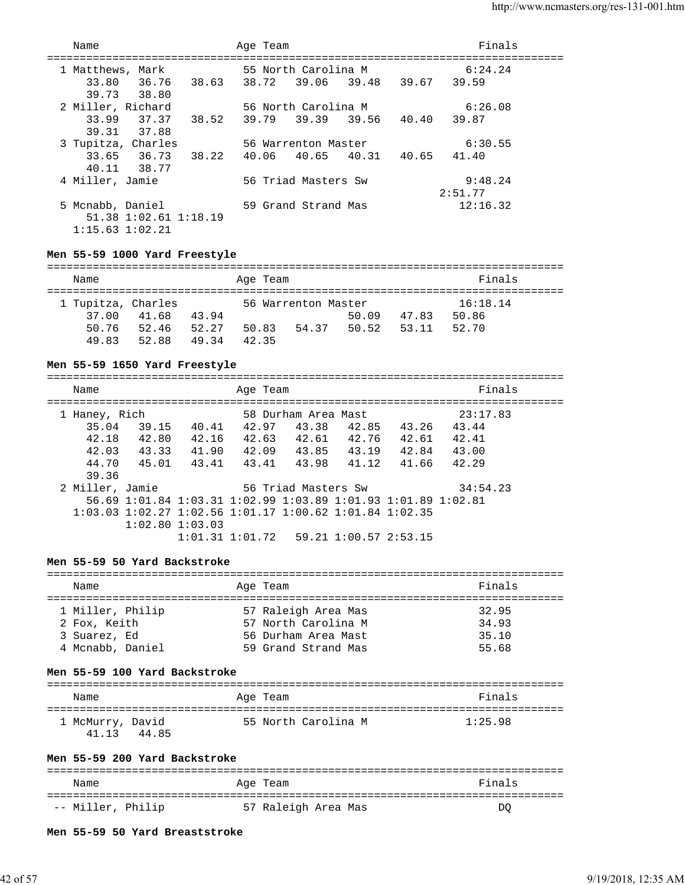| Name                |                                     | Age Team |                     |                               | Finals   |  |
|---------------------|-------------------------------------|----------|---------------------|-------------------------------|----------|--|
| 1 Matthews, Mark    |                                     |          | 55 North Carolina M |                               | 6:24.24  |  |
| 33.80 36.76         | 38.63 38.72 39.06 39.48 39.67 39.59 |          |                     |                               |          |  |
| 39.73 38.80         |                                     |          |                     |                               |          |  |
| 2 Miller, Richard   |                                     |          | 56 North Carolina M |                               | 6:26.08  |  |
| 33.99               | 37.37<br>38.52                      | 39.79    |                     | 39.39 39.56 40.40 39.87       |          |  |
| 39.31 37.88         |                                     |          |                     |                               |          |  |
| 3 Tupitza, Charles  |                                     |          | 56 Warrenton Master |                               | 6:30.55  |  |
| 33.65 36.73         | 38.22                               |          |                     | 40.06 40.65 40.31 40.65 41.40 |          |  |
| 40.11 38.77         |                                     |          |                     |                               |          |  |
| 4 Miller, Jamie     |                                     |          | 56 Triad Masters Sw |                               | 9:48.24  |  |
|                     |                                     |          |                     |                               | 2:51.77  |  |
| 5 Mcnabb, Daniel    |                                     |          | 59 Grand Strand Mas |                               | 12:16.32 |  |
|                     | 51.38 1:02.61 1:18.19               |          |                     |                               |          |  |
| $1:15.63$ $1:02.21$ |                                     |          |                     |                               |          |  |

#### **Men 55-59 1000 Yard Freestyle**

| Name               |       |       |       | Age Team |                     |       |       | Finals   |
|--------------------|-------|-------|-------|----------|---------------------|-------|-------|----------|
|                    |       |       |       |          |                     |       |       |          |
| 1 Tupitza, Charles |       |       |       |          | 56 Warrenton Master |       |       | 16:18.14 |
| 37.00              | 41.68 | 43.94 |       |          |                     | 50.09 | 47.83 | 50.86    |
| 50.76              | 52.46 | 52.27 | 50.83 |          | 54.37               | 50.52 | 53 11 | 52.70    |
| 49.83              | 52.88 | 49.34 | 42.35 |          |                     |       |       |          |

#### **Men 55-59 1650 Yard Freestyle**

=============================================================================== Name **Age Team** Age Team **Finals** =============================================================================== 1 Haney, Rich 58 Durham Area Mast 23:17.83 35.04 39.15 40.41 42.97 43.38 42.85 43.26 43.44 42.18 42.80 42.16 42.63 42.61 42.76 42.61 42.41 42.03 43.33 41.90 42.09 43.85 43.19 42.84 43.00 44.70 45.01 43.41 43.41 43.98 41.12 41.66 42.29 39.36<br>2 Miller, Jamie 56 Triad Masters Sw 34:54.23 56.69 1:01.84 1:03.31 1:02.99 1:03.89 1:01.93 1:01.89 1:02.81 1:03.03 1:02.27 1:02.56 1:01.17 1:00.62 1:01.84 1:02.35 1:02.80 1:03.03 1:01.31 1:01.72 59.21 1:00.57 2:53.15

#### **Men 55-59 50 Yard Backstroke**

| Name             | Age Team            | Finals |
|------------------|---------------------|--------|
| 1 Miller, Philip | 57 Raleigh Area Mas | 32.95  |
| 2 Fox, Keith     | 57 North Carolina M | 34.93  |
| 3 Suarez, Ed     | 56 Durham Area Mast | 35.10  |
| 4 Mcnabb, Daniel | 59 Grand Strand Mas | 55.68  |

#### **Men 55-59 100 Yard Backstroke**

| Name                      |       | Age Team |                     | Finals  |
|---------------------------|-------|----------|---------------------|---------|
| 1 McMurry, David<br>41 13 | 44.85 |          | 55 North Carolina M | 1:25.98 |

#### **Men 55-59 200 Yard Backstroke**

| Name              | Age Team            | Finals |
|-------------------|---------------------|--------|
| -- Miller, Philip | 57 Raleigh Area Mas | DC     |

#### **Men 55-59 50 Yard Breaststroke**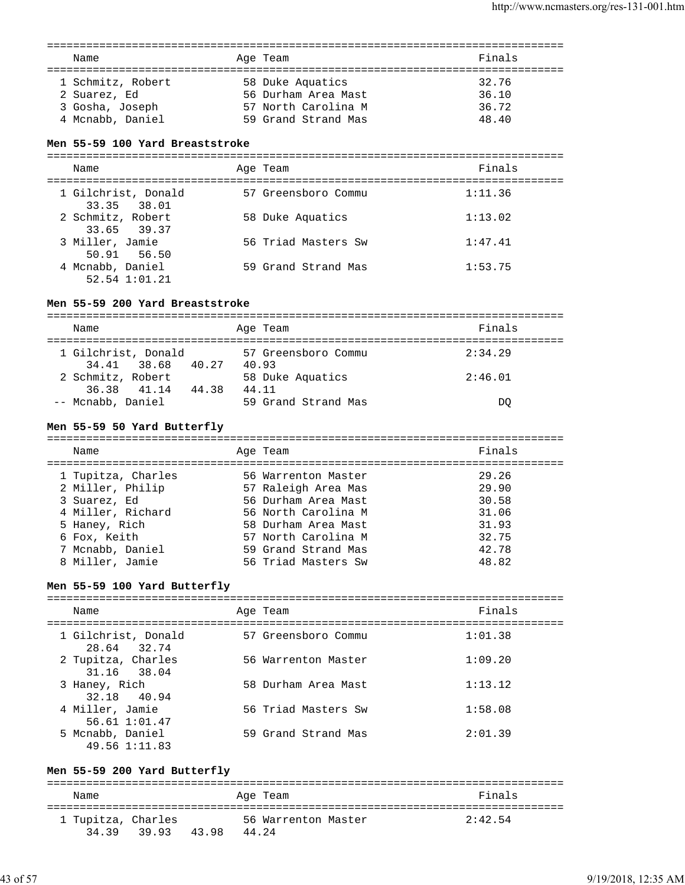| Name                                                                     | Age Team                                                                              | Finals                           |
|--------------------------------------------------------------------------|---------------------------------------------------------------------------------------|----------------------------------|
| 1 Schmitz, Robert<br>2 Suarez, Ed<br>3 Gosha, Joseph<br>4 Mcnabb, Daniel | 58 Duke Aquatics<br>56 Durham Area Mast<br>57 North Carolina M<br>59 Grand Strand Mas | 32.76<br>36.10<br>36.72<br>48.40 |

#### **Men 55-59 100 Yard Breaststroke**

| Name                               | Age Team            | Finals  |
|------------------------------------|---------------------|---------|
| 1 Gilchrist, Donald<br>33.35 38.01 | 57 Greensboro Commu | 1:11.36 |
| 2 Schmitz, Robert<br>33.65 39.37   | 58 Duke Aquatics    | 1:13.02 |
| 3 Miller, Jamie<br>50.91 56.50     | 56 Triad Masters Sw | 1:47.41 |
| 4 Mcnabb, Daniel<br>52.54 1:01.21  | 59 Grand Strand Mas | 1:53.75 |

### **Men 55-59 200 Yard Breaststroke**

| Name                                                          | Age Team                                         | Finals             |  |  |  |
|---------------------------------------------------------------|--------------------------------------------------|--------------------|--|--|--|
| 1 Gilchrist, Donald<br>34.41 38.68 40.27<br>2 Schmitz, Robert | 57 Greensboro Commu<br>40.93<br>58 Duke Aquatics | 2:34.29<br>2:46.01 |  |  |  |
| 36.38 41.14<br>44.38<br>-- Mcnabb, Daniel                     | 44.11<br>59 Grand Strand Mas                     | DO                 |  |  |  |

### **Men 55-59 50 Yard Butterfly**

| Name               | Age Team            | Finals |
|--------------------|---------------------|--------|
| 1 Tupitza, Charles | 56 Warrenton Master | 29.26  |
| 2 Miller, Philip   | 57 Raleigh Area Mas | 29.90  |
| 3 Suarez, Ed       | 56 Durham Area Mast | 30.58  |
| 4 Miller, Richard  | 56 North Carolina M | 31.06  |
| 5 Haney, Rich      | 58 Durham Area Mast | 31.93  |
| 6 Fox, Keith       | 57 North Carolina M | 32.75  |
| 7 Mcnabb, Daniel   | 59 Grand Strand Mas | 42.78  |
| 8 Miller, Jamie    | 56 Triad Masters Sw | 48.82  |
|                    |                     |        |

#### **Men 55-59 100 Yard Butterfly**

| Name                               | Age Team            | Finals  |
|------------------------------------|---------------------|---------|
| 1 Gilchrist, Donald<br>28.64 32.74 | 57 Greensboro Commu | 1:01.38 |
| 2 Tupitza, Charles<br>31.16 38.04  | 56 Warrenton Master | 1:09.20 |
| 3 Haney, Rich<br>32.18 40.94       | 58 Durham Area Mast | 1:13.12 |
| 4 Miller, Jamie<br>56.61 1:01.47   | 56 Triad Masters Sw | 1:58.08 |
| 5 Mcnabb, Daniel<br>49.56 1:11.83  | 59 Grand Strand Mas | 2:01.39 |

### **Men 55-59 200 Yard Butterfly**

=============================================================================== Name **Age Team** Age Team **Reserves Pinals** =============================================================================== 1 Tupitza, Charles 56 Warrenton Master 2:42.54 34.39 39.93 43.98 44.24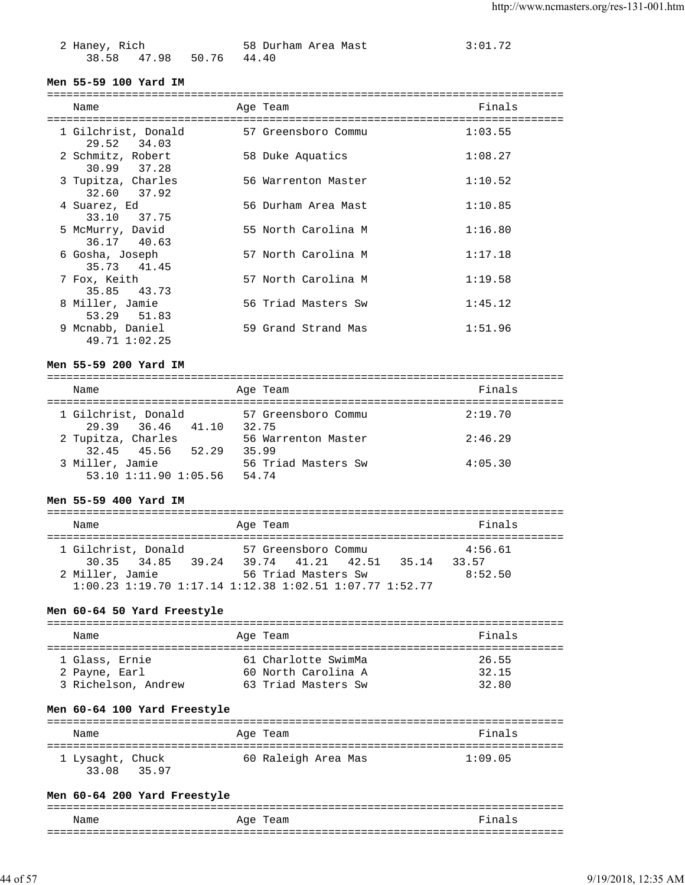| 2 Haney, Rich |                         | 58 Durham Area Mast | 3:01.72 |
|---------------|-------------------------|---------------------|---------|
|               | 38.58 47.98 50.76 44.40 |                     |         |

### **Men 55-59 100 Yard IM**

| Name                               |  | Age Team            | Finals  |  |  |
|------------------------------------|--|---------------------|---------|--|--|
| 1 Gilchrist, Donald<br>29.52 34.03 |  | 57 Greensboro Commu | 1:03.55 |  |  |
| 2 Schmitz, Robert<br>30.99 37.28   |  | 58 Duke Aquatics    | 1:08.27 |  |  |
| 3 Tupitza, Charles<br>32.60 37.92  |  | 56 Warrenton Master | 1:10.52 |  |  |
| 4 Suarez, Ed<br>33.10 37.75        |  | 56 Durham Area Mast | 1:10.85 |  |  |
| 5 McMurry, David<br>36.17 40.63    |  | 55 North Carolina M | 1:16.80 |  |  |
| 6 Gosha, Joseph<br>35.73 41.45     |  | 57 North Carolina M | 1:17.18 |  |  |
| 7 Fox, Keith<br>35.85 43.73        |  | 57 North Carolina M | 1:19.58 |  |  |
| 8 Miller, Jamie<br>53.29 51.83     |  | 56 Triad Masters Sw | 1:45.12 |  |  |
| 9 Mcnabb, Daniel<br>49.71 1:02.25  |  | 59 Grand Strand Mas | 1:51.96 |  |  |

### **Men 55-59 200 Yard IM**

| Name                                     | Age Team                     | Finals  |
|------------------------------------------|------------------------------|---------|
| 1 Gilchrist, Donald<br>29.39 36.46 41.10 | 57 Greensboro Commu<br>32.75 | 2:19.70 |
| 2 Tupitza, Charles                       | 56 Warrenton Master          | 2:46.29 |
| 32.45 45.56 52.29<br>3 Miller, Jamie     | 35.99<br>56 Triad Masters Sw | 4:05.30 |
| 53.10 1:11.90 1:05.56                    | 54.74                        |         |

### **Men 55-59 400 Yard IM**

| Name                 | Age Team                                                              | Finals  |
|----------------------|-----------------------------------------------------------------------|---------|
|                      |                                                                       |         |
| 1 Gilchrist, Donald  | 57 Greensboro Commu                                                   | 4:56.61 |
| 30.35 34.85<br>39.24 | 39.74 41.21 42.51<br>35.14                                            | 33.57   |
| 2 Miller, Jamie      | 56 Triad Masters Sw                                                   | 8:52.50 |
|                      | $1:00.23$ $1:19.70$ $1:17.14$ $1:12.38$ $1:02.51$ $1:07.77$ $1:52.77$ |         |
|                      |                                                                       |         |

### **Men 60-64 50 Yard Freestyle**

| Name                | Age Team            | Finals |
|---------------------|---------------------|--------|
|                     |                     |        |
| 1 Glass, Ernie      | 61 Charlotte SwimMa | 26.55  |
| 2 Payne, Earl       | 60 North Carolina A | 32.15  |
| 3 Richelson, Andrew | 63 Triad Masters Sw | 32.80  |

### **Men 60-64 100 Yard Freestyle**

| Name                               | Age Team            | Finals  |
|------------------------------------|---------------------|---------|
| 1 Lysaght, Chuck<br>33.08<br>35.97 | 60 Raleigh Area Mas | 1:09.05 |

### **Men 60-64 200 Yard Freestyle**

| Name | Age Team | Finals |
|------|----------|--------|
|      |          |        |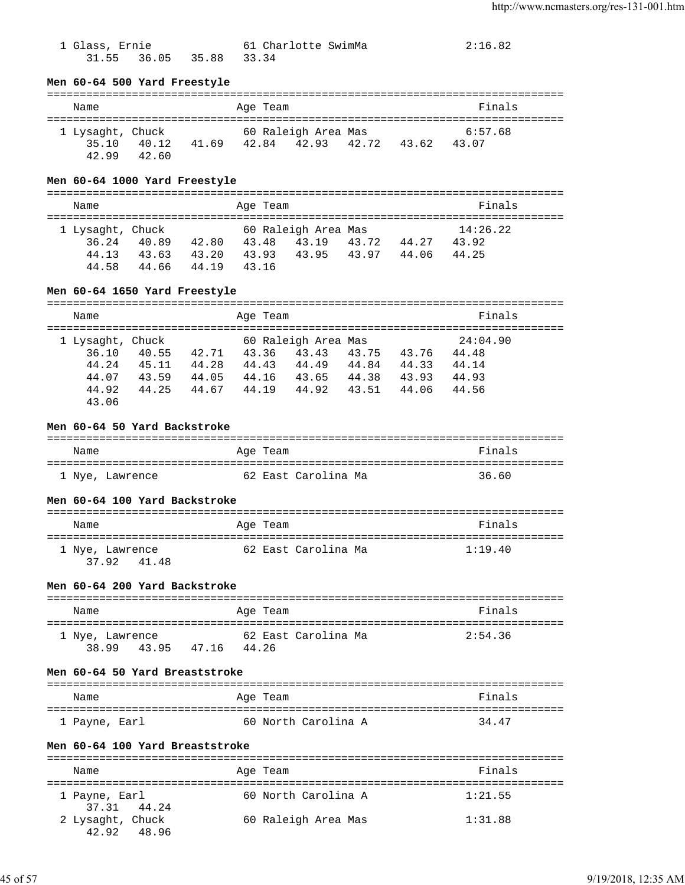| 1 Glass, Ernie |                         | 61 Charlotte SwimMa | 2:16.82 |
|----------------|-------------------------|---------------------|---------|
|                | 31.55 36.05 35.88 33.34 |                     |         |

#### **Men 60-64 500 Yard Freestyle**

#### =============================================================================== Name Age Team Finals =============================================================================== 60 Raleigh Area Mas 35.10 40.12 41.69 42.84 42.93 42.72 43.62 43.07 42.99 42.60

### **Men 60-64 1000 Yard Freestyle**

| Name                                        |                         |                         | Age Team                |                                       |                |                | Finals                     |  |
|---------------------------------------------|-------------------------|-------------------------|-------------------------|---------------------------------------|----------------|----------------|----------------------------|--|
| 1 Lysaght, Chuck<br>36.24<br>44.13<br>44.58 | 40.89<br>43.63<br>44.66 | 42.80<br>43.20<br>44 19 | 43.48<br>43.93<br>43.16 | 60 Raleigh Area Mas<br>43.19<br>43.95 | 43.72<br>43.97 | 44.27<br>44.06 | 14:26.22<br>43.92<br>44.25 |  |

#### **Men 60-64 1650 Yard Freestyle**

| Name             |       |       |       | Age Team |                     |       |       | Finals   |  |
|------------------|-------|-------|-------|----------|---------------------|-------|-------|----------|--|
| 1 Lysaght, Chuck |       |       |       |          | 60 Raleigh Area Mas |       |       | 24:04.90 |  |
|                  | 36.10 | 40.55 | 42.71 | 43.36    | 43.43               | 43.75 | 43.76 | 44.48    |  |
|                  | 44.24 | 45.11 | 44.28 | 44.43    | 44.49               | 44.84 | 44.33 | 44.14    |  |
|                  | 44.07 | 43.59 | 44.05 | 44.16    | 43.65               | 44.38 | 43.93 | 44.93    |  |
|                  | 44.92 | 44.25 | 44.67 | 44.19    | 44.92               | 43.51 | 44.06 | 44.56    |  |
|                  | 43.06 |       |       |          |                     |       |       |          |  |

### **Men 60-64 50 Yard Backstroke**

| Name            | Age Team            | Finals |
|-----------------|---------------------|--------|
| 1 Nye, Lawrence | 62 East Carolina Ma | 36.60  |

### **Men 60-64 100 Yard Backstroke**

| Name                           | Age Team            | Finals  |
|--------------------------------|---------------------|---------|
| 1 Nye, Lawrence<br>37.92 41.48 | 62 East Carolina Ma | 1:19.40 |

### **Men 60-64 200 Yard Backstroke**

| Name            |       |       | Age Team |                     | Finals  |
|-----------------|-------|-------|----------|---------------------|---------|
| 1 Nye, Lawrence |       |       |          | 62 East Carolina Ma | 2:54.36 |
| 38.99           | 43.95 | 47.16 | 44 26    |                     |         |

### **Men 60-64 50 Yard Breaststroke**

| Name          | Age Team            | Finals |
|---------------|---------------------|--------|
| 1 Payne, Earl | 60 North Carolina A | 34.47  |

#### **Men 60-64 100 Yard Breaststroke**

| Name                         | Age Team            | Finals  |
|------------------------------|---------------------|---------|
|                              |                     |         |
| 1 Payne, Earl<br>37.31 44.24 | 60 North Carolina A | 1:21.55 |
| 2 Lysaght, Chuck             | 60 Raleigh Area Mas | 1:31.88 |
| 42.92<br>48.96               |                     |         |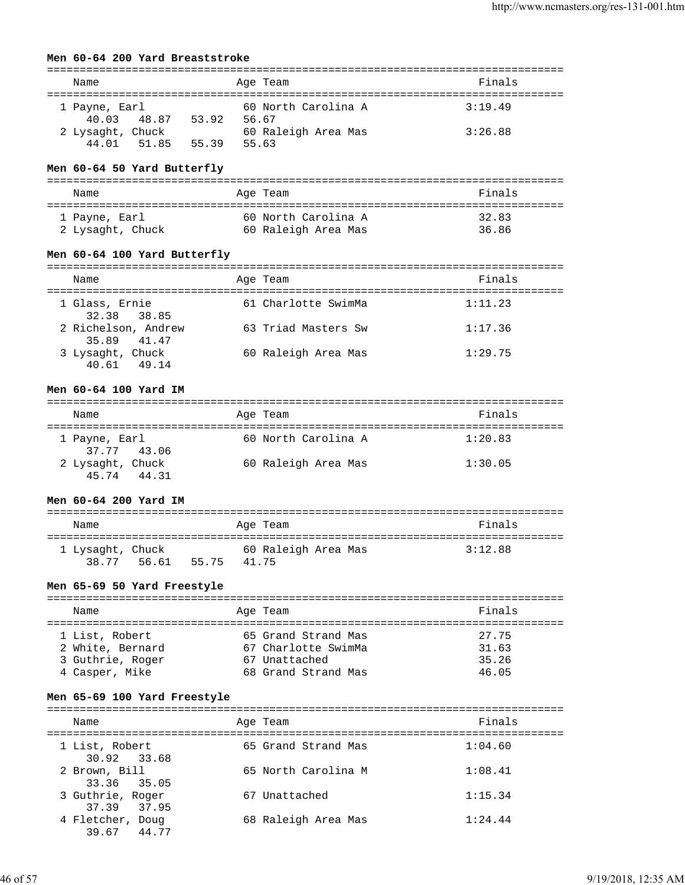### **Men 60-64 200 Yard Breaststroke**

| Name                            |       | Age Team                     | Finals  |
|---------------------------------|-------|------------------------------|---------|
| 1 Payne, Earl                   |       | 60 North Carolina A          | 3:19.49 |
| 40.03 48.87<br>2 Lysaght, Chuck | 53.92 | 56.67<br>60 Raleigh Area Mas | 3:26.88 |
| 44 01<br>51.85                  | 55.39 | 55.63                        |         |

### **Men 60-64 50 Yard Butterfly**

| Name             | Age Team            | Finals |
|------------------|---------------------|--------|
| 1 Payne, Earl    | 60 North Carolina A | 32.83  |
| 2 Lysaght, Chuck | 60 Raleigh Area Mas | 36.86  |

### **Men 60-64 100 Yard Butterfly**

| Name                               | Age Team            | Finals  |
|------------------------------------|---------------------|---------|
| 1 Glass, Ernie<br>32.38 38.85      | 61 Charlotte SwimMa | 1:11.23 |
| 2 Richelson, Andrew<br>35.89 41.47 | 63 Triad Masters Sw | 1:17.36 |
| 3 Lysaght, Chuck<br>49 14<br>40.61 | 60 Raleigh Area Mas | 1:29.75 |

#### **Men 60-64 100 Yard IM**

| Name                               | Age Team            | Finals  |  |  |  |
|------------------------------------|---------------------|---------|--|--|--|
| 1 Payne, Earl<br>37.77 43.06       | 60 North Carolina A | 1:20.83 |  |  |  |
| 2 Lysaght, Chuck<br>45.74<br>44.31 | 60 Raleigh Area Mas | 1:30.05 |  |  |  |

### **Men 60-64 200 Yard IM**

| Name                      |       |       | Age Team                     | Finals  |
|---------------------------|-------|-------|------------------------------|---------|
| 1 Lysaght, Chuck<br>38.77 | 56.61 | 55.75 | 60 Raleigh Area Mas<br>41.75 | 3:12.88 |

#### **Men 65-69 50 Yard Freestyle**

| Name             | Age Team            | Finals |
|------------------|---------------------|--------|
| 1 List, Robert   | 65 Grand Strand Mas | 27.75  |
| 2 White, Bernard | 67 Charlotte SwimMa | 31.63  |
| 3 Guthrie, Roger | 67 Unattached       | 35.26  |
| 4 Casper, Mike   | 68 Grand Strand Mas | 46.05  |

### **Men 65-69 100 Yard Freestyle**

| Name                            | Age Team |                     | Finals  |
|---------------------------------|----------|---------------------|---------|
| 1 List, Robert<br>30.92 33.68   |          | 65 Grand Strand Mas | 1:04.60 |
| 2 Brown, Bill<br>33.36 35.05    |          | 65 North Carolina M | 1:08.41 |
| 3 Guthrie, Roger<br>37.39 37.95 |          | 67 Unattached       | 1:15.34 |
| 4 Fletcher, Doug<br>39.67 44.77 |          | 68 Raleigh Area Mas | 1:24.44 |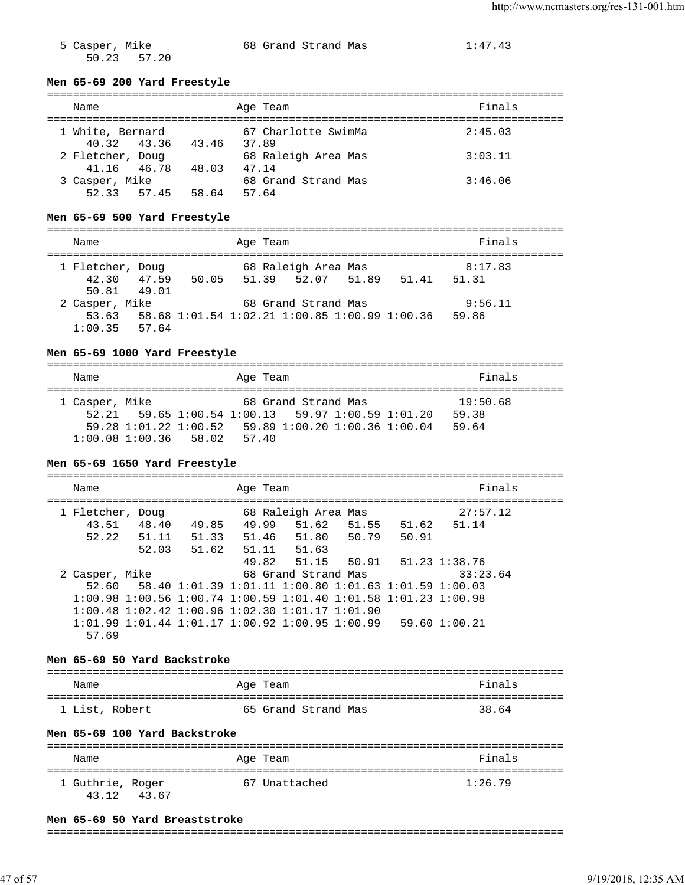$50.23$   $57.20$ 

5 Casper, Mike 68 Grand Strand Mas 1:47.43

# **Men 65-69 200 Yard Freestyle**

| Name                                      | Age Team                     | Finals  |
|-------------------------------------------|------------------------------|---------|
| 1 White, Bernard<br>40.32 43.36<br>43.46  | 67 Charlotte SwimMa<br>37.89 | 2:45.03 |
| 2 Fletcher, Doug<br>41.16 46.78<br>48.03  | 68 Raleigh Area Mas<br>47.14 | 3:03.11 |
| 3 Casper, Mike<br>52.33<br>57.45<br>58.64 | 68 Grand Strand Mas<br>57.64 | 3:46.06 |

#### **Men 65-69 500 Yard Freestyle**

| Name             | Age Team                                            | Finals         |
|------------------|-----------------------------------------------------|----------------|
| 1 Fletcher, Doug | 68 Raleigh Area Mas                                 | 8:17.83        |
| 42.30 47.59      | 50.05 51.39 52.07 51.89                             | 51.31<br>51.41 |
| 50.81 49.01      |                                                     |                |
| 2 Casper, Mike   | 68 Grand Strand Mas                                 | 9:56.11        |
|                  | 53.63 58.68 1:01.54 1:02.21 1:00.85 1:00.99 1:00.36 | 59.86          |
| $1:00.35$ 57.64  |                                                     |                |

### **Men 65-69 1000 Yard Freestyle**

| Name           |                         |  | Age Team |                                                                 |  |  | Finals   |  |
|----------------|-------------------------|--|----------|-----------------------------------------------------------------|--|--|----------|--|
|                |                         |  |          |                                                                 |  |  |          |  |
| 1 Casper, Mike |                         |  |          | 68 Grand Strand Mas                                             |  |  | 19:50.68 |  |
|                |                         |  |          | $52.21$ $59.65$ $1:00.54$ $1:00.13$ $59.97$ $1:00.59$ $1:01.20$ |  |  | 59.38    |  |
|                |                         |  |          | 59.28 1:01.22 1:00.52 59.89 1:00.20 1:00.36 1:00.04             |  |  | 59.64    |  |
|                | $1:00.08$ 1:00.36 58.02 |  | 57.40    |                                                                 |  |  |          |  |

#### **Men 65-69 1650 Yard Freestyle**

| Name             | Age Team       |                                                                                 |                   | Finals   |
|------------------|----------------|---------------------------------------------------------------------------------|-------------------|----------|
| 1 Fletcher, Doug |                | 68 Raleigh Area Mas                                                             |                   | 27:57.12 |
| 48.40<br>43.51   | 49.99<br>49.85 | 51.62                                                                           | 51.55 51.62 51.14 |          |
| 52.22<br>51.11   | 51.46<br>51.33 | 51.80                                                                           | 50.79 50.91       |          |
| 52.03            | 51.62<br>51.11 | 51.63                                                                           |                   |          |
|                  |                | 49.82 51.15 50.91 51.23 1:38.76                                                 |                   |          |
| 2 Casper, Mike   |                | 68 Grand Strand Mas                                                             |                   | 33:23.64 |
| 52.60            |                | 58.40 1:01.39 1:01.11 1:00.80 1:01.63 1:01.59 1:00.03                           |                   |          |
|                  |                | $1:00.98$ $1:00.56$ $1:00.74$ $1:00.59$ $1:01.40$ $1:01.58$ $1:01.23$ $1:00.98$ |                   |          |
|                  |                | $1:00.48$ $1:02.42$ $1:00.96$ $1:02.30$ $1:01.17$ $1:01.90$                     |                   |          |
|                  |                | $1:01.99$ $1:01.44$ $1:01.17$ $1:00.92$ $1:00.95$ $1:00.99$ 59.60 $1:00.21$     |                   |          |
| 57.69            |                |                                                                                 |                   |          |

#### **Men 65-69 50 Yard Backstroke**

| Name           | Age Team            | Finals |
|----------------|---------------------|--------|
| 1 List, Robert | 65 Grand Strand Mas | 38.64  |

#### **Men 65-69 100 Yard Backstroke**

| Name                      |       | Age Team      | Finals  |  |
|---------------------------|-------|---------------|---------|--|
| 1 Guthrie, Roger<br>43 12 | 43.67 | 67 Unattached | 1:26.79 |  |

#### **Men 65-69 50 Yard Breaststroke**

#### ===============================================================================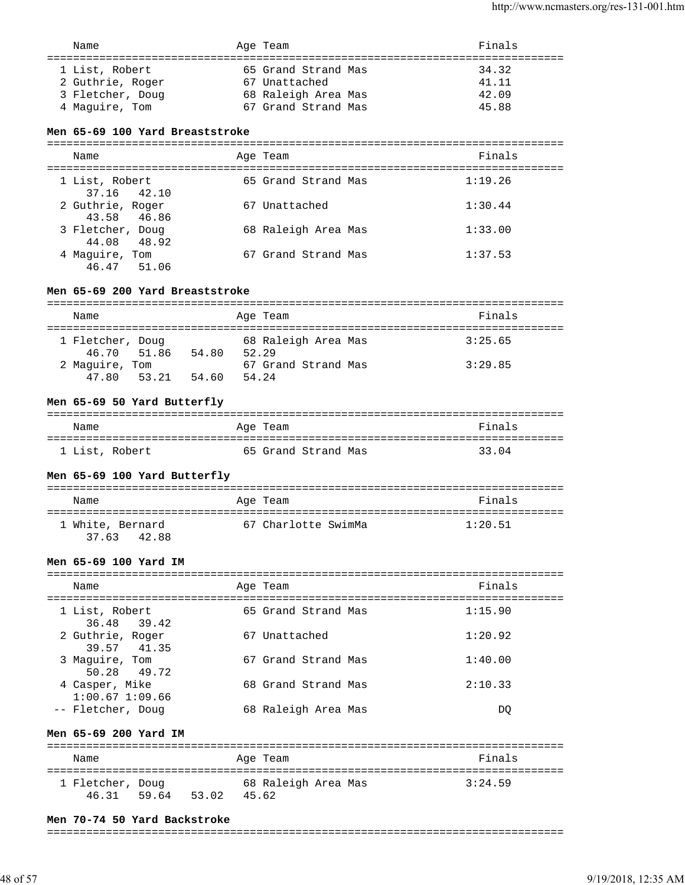| 1 List, Robert<br>65 Grand Strand Mas<br>34.32<br>2 Guthrie, Roger<br>67 Unattached<br>41.11<br>68 Raleigh Area Mas<br>3 Fletcher, Doug<br>42.09<br>4 Maquire, Tom<br>67 Grand Strand Mas<br>45.88 | Name | Age Team | Finals |
|----------------------------------------------------------------------------------------------------------------------------------------------------------------------------------------------------|------|----------|--------|
|                                                                                                                                                                                                    |      |          |        |

### **Men 65-69 100 Yard Breaststroke**

| Name                            | Age Team            | Finals  |
|---------------------------------|---------------------|---------|
| 1 List, Robert<br>37.16 42.10   | 65 Grand Strand Mas | 1:19.26 |
| 2 Guthrie, Roger<br>43.58 46.86 | 67 Unattached       | 1:30.44 |
| 3 Fletcher, Doug<br>44.08 48.92 | 68 Raleigh Area Mas | 1:33.00 |
| 4 Maquire, Tom<br>46.47 51.06   | 67 Grand Strand Mas | 1:37.53 |

#### **Men 65-69 200 Yard Breaststroke**

| Name             | Age Team       |                     | Finals  |  |  |
|------------------|----------------|---------------------|---------|--|--|
|                  |                |                     |         |  |  |
| 1 Fletcher, Doug |                | 68 Raleigh Area Mas | 3:25.65 |  |  |
| 46.70 51.86      | 54.80<br>52.29 |                     |         |  |  |
| 2 Maguire, Tom   |                | 67 Grand Strand Mas | 3:29.85 |  |  |
| 47.80<br>53.21   | 54.24<br>54.60 |                     |         |  |  |

### **Men 65-69 50 Yard Butterfly**

| Name           | Age Team            | Finals |
|----------------|---------------------|--------|
| 1 List, Robert | 65 Grand Strand Mas | 33.04  |

### **Men 65-69 100 Yard Butterfly**

| Name                            | Age Team |                     | Finals  |
|---------------------------------|----------|---------------------|---------|
| 1 White, Bernard<br>37.63 42.88 |          | 67 Charlotte SwimMa | 1:20.51 |

### **Men 65-69 100 Yard IM**

| Name           |                                       | Age Team            | Finals  |
|----------------|---------------------------------------|---------------------|---------|
| 1 List, Robert | 36.48 39.42                           | 65 Grand Strand Mas | 1:15.90 |
|                | 2 Guthrie, Roger<br>39.57 41.35       | 67 Unattached       | 1:20.92 |
|                | 3 Maquire, Tom<br>50.28 49.72         | 67 Grand Strand Mas | 1:40.00 |
|                | 4 Casper, Mike<br>$1:00.67$ $1:09.66$ | 68 Grand Strand Mas | 2:10.33 |
|                | -- Fletcher, Doug                     | 68 Raleigh Area Mas | DO      |

#### **Men 65-69 200 Yard IM**

| Name             | Age Team            | Finals  |
|------------------|---------------------|---------|
| 1 Fletcher, Doug | 68 Raleigh Area Mas | 3:24.59 |
| 46.31<br>59.64   | 53.02<br>45.62      |         |

#### **Men 70-74 50 Yard Backstroke**

#### ===============================================================================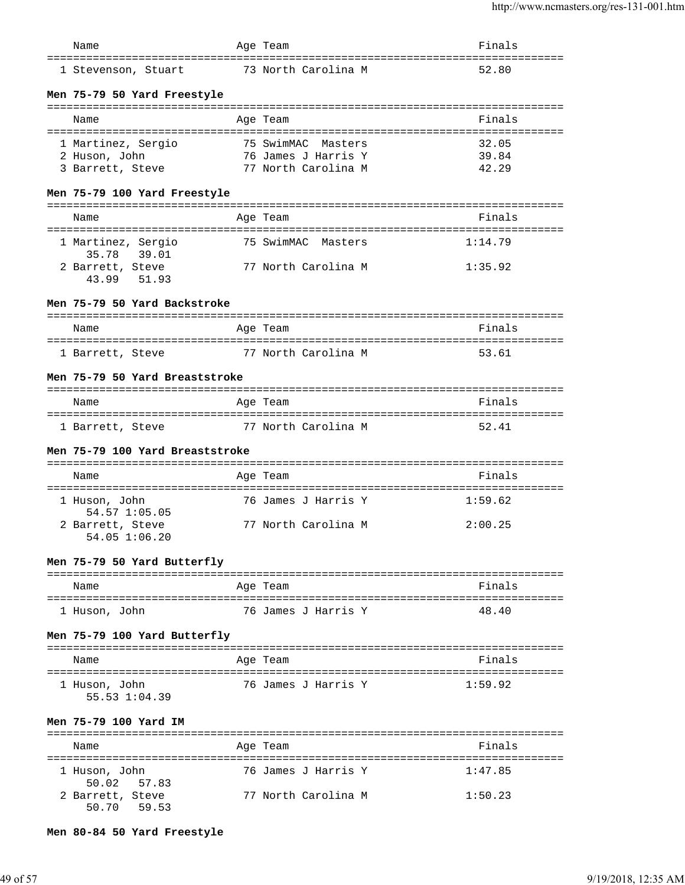| Name                                                           | Age Team            | Finals             |
|----------------------------------------------------------------|---------------------|--------------------|
| 1 Stevenson, Stuart                                            | 73 North Carolina M | =========<br>52.80 |
| Men 75-79 50 Yard Freestyle                                    |                     |                    |
| Name                                                           | Age Team            | Finals             |
| 1 Martinez, Sergio                                             | 75 SwimMAC Masters  | 32.05              |
| 2 Huson, John                                                  | 76 James J Harris Y | 39.84              |
| 3 Barrett, Steve                                               | 77 North Carolina M | 42.29              |
| Men 75-79 100 Yard Freestyle                                   |                     |                    |
| Name                                                           | Age Team            | Finals             |
| 1 Martinez, Sergio<br>35.78 39.01                              | 75 SwimMAC Masters  | 1:14.79            |
| 2 Barrett, Steve<br>43.99 51.93                                | 77 North Carolina M | 1:35.92            |
| Men 75-79 50 Yard Backstroke                                   |                     |                    |
| Name                                                           | Age Team            | Finals             |
| 1 Barrett, Steve                                               | 77 North Carolina M | 53.61              |
| Men 75-79 50 Yard Breaststroke                                 |                     |                    |
| Name                                                           | Age Team            | Finals             |
| 1 Barrett, Steve 77 North Carolina M                           |                     | 52.41              |
| Men 75-79 100 Yard Breaststroke                                |                     |                    |
| Name                                                           | Age Team            | Finals             |
| 1 Huson, John<br>54.57 1:05.05                                 | 76 James J Harris Y | 1:59.62            |
| 2 Barrett, Steve<br>54.05 1:06.20                              | 77 North Carolina M | 2:00.25            |
| Men 75-79 50 Yard Butterfly                                    |                     |                    |
| Name<br>=====================                                  | Aqe Team            | Finals             |
| 1 Huson, John                                                  | 76 James J Harris Y | 48.40              |
| Men 75-79 100 Yard Butterfly                                   |                     |                    |
| Name                                                           | Age Team            | Finals             |
| 1 Huson, John<br>55.53 1:04.39                                 | 76 James J Harris Y | 1:59.92            |
| Men 75-79 100 Yard IM<br>----------------<br>----------------- |                     |                    |
| Name                                                           | Age Team            | Finals             |
| 1 Huson, John<br>50.02<br>57.83                                | 76 James J Harris Y | 1:47.85            |
| 2 Barrett, Steve<br>50.70<br>59.53                             | 77 North Carolina M | 1:50.23            |

### **Men 80-84 50 Yard Freestyle**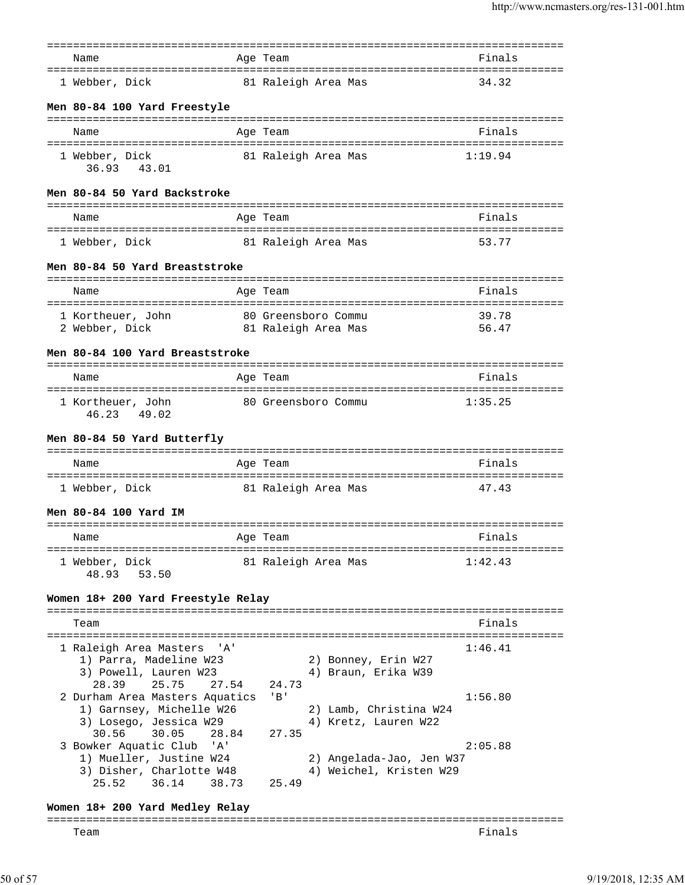|                                                    | =======                                        |         |
|----------------------------------------------------|------------------------------------------------|---------|
| Name                                               | Age Team                                       | Finals  |
| 1 Webber, Dick                                     | 81 Raleigh Area Mas                            | 34.32   |
|                                                    |                                                |         |
| Men 80-84 100 Yard Freestyle                       |                                                |         |
|                                                    |                                                |         |
| Name                                               | Age Team                                       | Finals  |
|                                                    |                                                |         |
| 1 Webber, Dick<br>36.93 43.01                      | 81 Raleigh Area Mas                            | 1:19.94 |
| Men 80-84 50 Yard Backstroke                       |                                                |         |
|                                                    |                                                |         |
| Name<br>=====================================      | Age Team                                       | Finals  |
| 1 Webber, Dick                                     | 81 Raleigh Area Mas                            | 53.77   |
| Men 80-84 50 Yard Breaststroke                     |                                                |         |
| Name                                               | Age Team                                       | Finals  |
|                                                    |                                                | 39.78   |
| 1 Kortheuer, John<br>2 Webber, Dick                | 80 Greensboro Commu<br>81 Raleigh Area Mas     | 56.47   |
|                                                    |                                                |         |
| Men 80-84 100 Yard Breaststroke                    |                                                |         |
| Name                                               | --------------<br>Age Team                     | Finals  |
|                                                    | ======================================         |         |
| 1 Kortheuer, John<br>46.23 49.02                   | 80 Greensboro Commu                            | 1:35.25 |
|                                                    |                                                |         |
| Men 80-84 50 Yard Butterfly                        |                                                |         |
| Name                                               | Age Team                                       | Finals  |
|                                                    |                                                |         |
| 1 Webber, Dick                                     | 81 Raleigh Area Mas                            | 47.43   |
| Men 80-84 100 Yard IM                              |                                                |         |
|                                                    |                                                |         |
| Name                                               | Age Team                                       | Finals  |
| 1 Webber, Dick                                     | 81 Raleigh Area Mas                            | 1:42.43 |
| 48.93<br>53.50                                     |                                                |         |
|                                                    |                                                |         |
| Women 18+ 200 Yard Freestyle Relay                 |                                                |         |
| Team                                               |                                                | Finals  |
|                                                    |                                                |         |
| 1 Raleigh Area Masters<br>'' A '                   |                                                | 1:46.41 |
| 1) Parra, Madeline W23                             | 2) Bonney, Erin W27                            |         |
| 3) Powell, Lauren W23                              | 4) Braun, Erika W39                            |         |
| 28.39<br>25.75<br>27.54                            | 24.73                                          |         |
| 2 Durham Area Masters Aquatics                     | $'$ B $'$                                      | 1:56.80 |
| 1) Garnsey, Michelle W26<br>3) Losego, Jessica W29 | 2) Lamb, Christina W24<br>4) Kretz, Lauren W22 |         |
| 30.56<br>30.05<br>28.84                            | 27.35                                          |         |
| 3 Bowker Aquatic Club<br>'A'                       |                                                | 2:05.88 |
| 1) Mueller, Justine W24                            | 2) Angelada-Jao, Jen W37                       |         |
| 3) Disher, Charlotte W48                           | 4) Weichel, Kristen W29                        |         |
| 25.52<br>36.14<br>38.73                            | 25.49                                          |         |
| Women 18+ 200 Yard Medley Relay                    |                                                |         |
|                                                    |                                                |         |
| Team                                               |                                                | Finals  |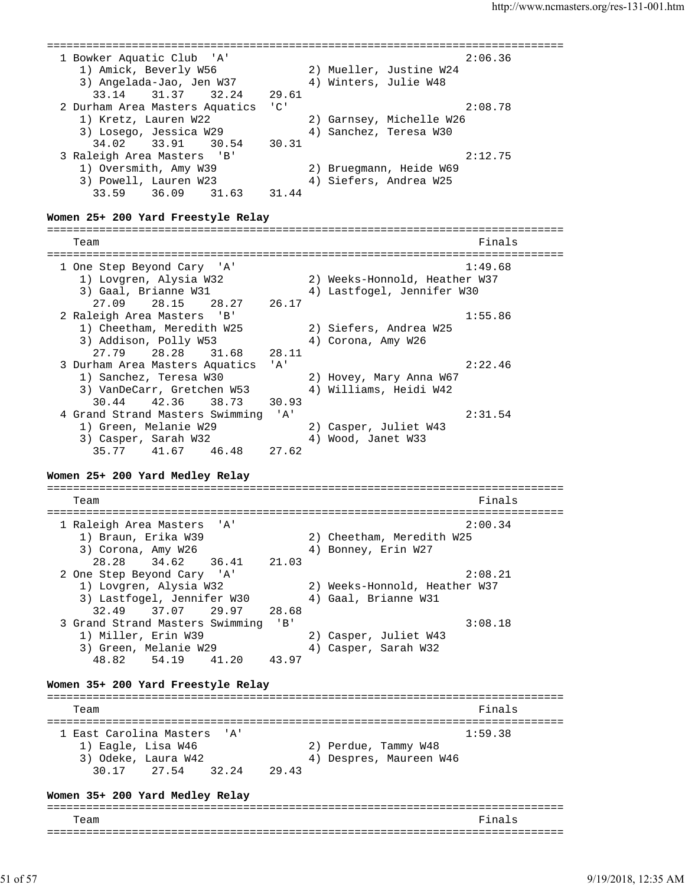=============================================================================== 1 Bowker Aquatic Club 'A' 2:06.36 1) Amick, Beverly W56 2) Mueller, Justine W24 3) Angelada-Jao, Jen W37 4) Winters, Julie W48 33.14 31.37 32.24 29.61 2 Durham Area Masters Aquatics 'C' 2:08.78 1) Kretz, Lauren W22 2) Garnsey, Michelle W26 3) Losego, Jessica W29 4) Sanchez, Teresa W30 34.02 33.91 30.54 30.31 3 Raleigh Area Masters 'B' 2:12.75 1) Oversmith, Amy W39 2) Bruegmann, Heide W69 3) Powell, Lauren W23 4) Siefers, Andrea W25 33.59 36.09 31.63 31.44 **Women 25+ 200 Yard Freestyle Relay** =============================================================================== Team Finals =============================================================================== 1 One Step Beyond Cary 'A' 1:49.68 1) Lovgren, Alysia W32 2) Weeks-Honnold, Heather W37 3) Gaal, Brianne W31 4) Lastfogel, Jennifer W30 27.09 28.15 28.27 26.17 2 Raleigh Area Masters 'B' 1:55.86 1) Cheetham, Meredith W25 2) Siefers, Andrea W25 3) Addison, Polly W53 4) Corona, Amy W26 27.79 28.28 31.68 28.11 3 Durham Area Masters Aquatics 'A' 2:22.46 1) Sanchez, Teresa W30 2) Hovey, Mary Anna W67 3) VanDeCarr, Gretchen W53 4) Williams, Heidi W42 30.44 42.36 38.73 30.93 4 Grand Strand Masters Swimming 'A' 2:31.54 1) Green, Melanie W29 2) Casper, Juliet W43 3) Casper, Sarah W32 4) Wood, Janet W33 35.77 41.67 46.48 27.62 **Women 25+ 200 Yard Medley Relay** =============================================================================== Team Finals =============================================================================== 1 Raleigh Area Masters 'A' 2:00.34 1) Braun, Erika W39 2) Cheetham, Meredith W25 3) Corona, Amy W26  $4)$  Bonney, Erin W27 28.28 34.62 36.41 21.03 2 One Step Beyond Cary 'A' 2:08.21 1) Lovgren, Alysia W32 2) Weeks-Honnold, Heather W37 3) Lastfogel, Jennifer W30 4) Gaal, Brianne W31 32.49 37.07 29.97 28.68 3 Grand Strand Masters Swimming 'B' 3:08.18 1) Miller, Erin W39 2) Casper, Juliet W43 3) Green, Melanie W29 4) Casper, Sarah W32 48.82 54.19 41.20 43.97 **Women 35+ 200 Yard Freestyle Relay** =============================================================================== Team Finals and the contract of the contract of the contract of the contract of the contract of the contract of the contract of the contract of the contract of the contract of the contract of the contract of the contract o =============================================================================== 1 East Carolina Masters 'A' 1:59.38 1) Eagle, Lisa W46 2) Perdue, Tammy W48 3) Odeke, Laura W42 4) Despres, Maureen W46 30.17 27.54 32.24 29.43 **Women 35+ 200 Yard Medley Relay** =============================================================================== Team Finals ===============================================================================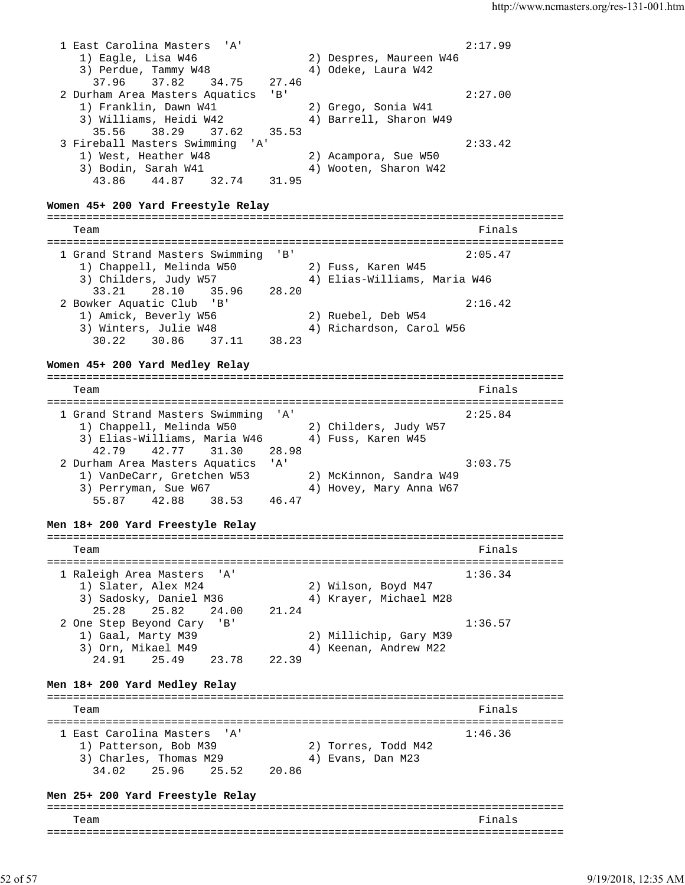1 East Carolina Masters 'A' 2:17.99 1) Eagle, Lisa W46 2) Despres, Maureen W46 3) Perdue, Tammy W48  $\hskip1cm 4)$  Odeke, Laura W42 37.96 37.82 34.75 27.46 2 Durham Area Masters Aquatics 'B' 2:27.00 1) Franklin, Dawn W41 2) Grego, Sonia W41 3) Williams, Heidi W42 4) Barrell, Sharon W49 35.56 38.29 37.62 35.53 3 Fireball Masters Swimming 'A' 2:33.42<br>
1) West, Heather W48 2) Acampora, Sue W50<br>
3) Bodin, Sarah W41 4) Wooten, Sharon W42 1) West, Heather W48 2) Acampora, Sue W50 3) Bodin, Sarah W41 4) Wooten, Sharon W42 43.86 44.87 32.74 31.95 **Women 45+ 200 Yard Freestyle Relay** =============================================================================== Team Finals =============================================================================== 1 Grand Strand Masters Swimming 'B' 2:05.47 1) Chappell, Melinda W50 2) Fuss, Karen W45 3) Childers, Judy W57 4) Elias-Williams, Maria W46 33.21 28.10 35.96 28.20 2 Bowker Aquatic Club 'B' 2:16.42 1) Amick, Beverly W56 2) Ruebel, Deb W54 3) Winters, Julie W48 4) Richardson, Carol W56 30.22 30.86 37.11 38.23 **Women 45+ 200 Yard Medley Relay** =============================================================================== Team Finals =============================================================================== 1 Grand Strand Masters Swimming 'A' 2:25.84 1) Chappell, Melinda W50 2) Childers, Judy W57 3) Elias-Williams, Maria W46 4) Fuss, Karen W45 42.79 42.77 31.30 28.98 2 Durham Area Masters Aquatics 'A' 3:03.75 1) VanDeCarr, Gretchen W53 2) McKinnon, Sandra W49 3) Perryman, Sue W67 4) Hovey, Mary Anna W67 55.87 42.88 38.53 46.47 **Men 18+ 200 Yard Freestyle Relay** =============================================================================== Team Finals =============================================================================== 1 Raleigh Area Masters 'A' 1:36.34 1) Slater, Alex M24 2) Wilson, Boyd M47 3) Sadosky, Daniel M36 4) Krayer, Michael M28 25.28 25.82 24.00 21.24 2 One Step Beyond Cary 'B' 1:36.57 1) Gaal, Marty M39 2) Millichip, Gary M39 3) Orn, Mikael M49 4) Keenan, Andrew M22 24.91 25.49 23.78 22.39 **Men 18+ 200 Yard Medley Relay** =============================================================================== Team Finals =============================================================================== 1 East Carolina Masters 'A' 1:46.36 1) Patterson, Bob M39 2) Torres, Todd M42 3) Charles, Thomas M29  $\qquad \qquad$  4) Evans, Dan M23 34.02 25.96 25.52 20.86 **Men 25+ 200 Yard Freestyle Relay** =============================================================================== Team Finals ===============================================================================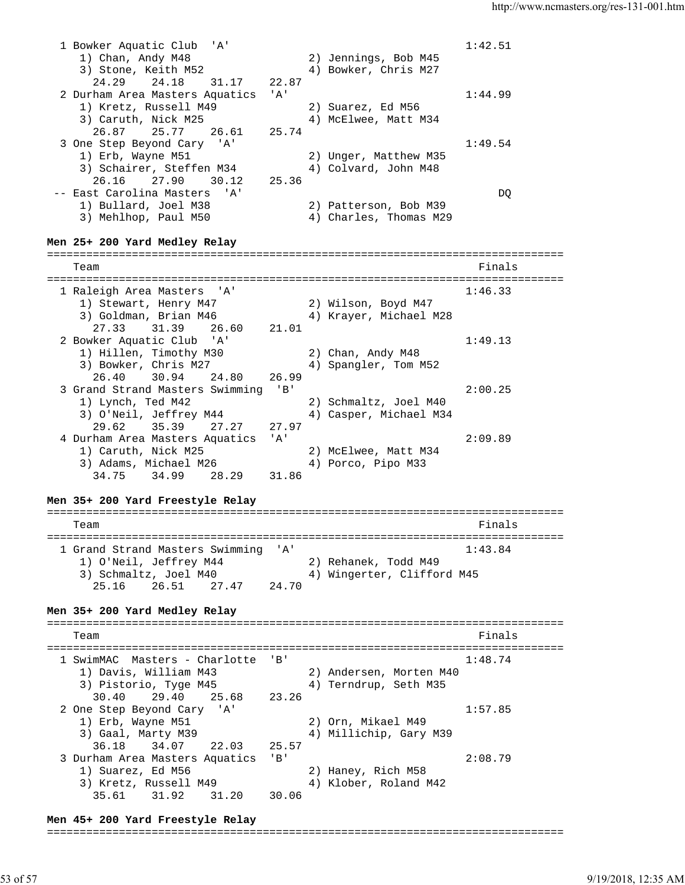1 Bowker Aquatic Club 'A' 1:42.51 1) Chan, Andy M48 2) Jennings, Bob M45 3) Stone, Keith M52 4) Bowker, Chris M27 24.29 24.18 31.17 22.87 2 Durham Area Masters Aquatics 'A' 1:44.99 1) Kretz, Russell M49 2) Suarez, Ed M56 3) Caruth, Nick M25 4) McElwee, Matt M34 26.87 25.77 26.61 25.74 3 One Step Beyond Cary 'A' 1:49.54 1) Erb, Wayne M51 2) Unger, Matthew M35 3) Schairer, Steffen M34 4) Colvard, John M48 26.16 27.90 30.12 25.36 -- East Carolina Masters 'A' DQ 1) Bullard, Joel M38 2) Patterson, Bob M39 East Carolina Masters A<br>
1) Bullard, Joel M38 2) Patterson, Bob M39<br>
3) Mehlhop, Paul M50 4) Charles, Thomas M29 **Men 25+ 200 Yard Medley Relay** =============================================================================== Team Finals =============================================================================== 1 Raleigh Area Masters 'A' 1:46.33 1) Stewart, Henry M47 2) Wilson, Boyd M47 3) Goldman, Brian M46 4) Krayer, Michael M28 27.33 31.39 26.60 21.01 2 Bowker Aquatic Club 'A' 1:49.13 1) Hillen, Timothy M30 2) Chan, Andy M48 3) Bowker, Chris M27 4) Spangler, Tom M52 26.40 30.94 24.80 26.99 3 Grand Strand Masters Swimming 'B' 2:00.25 1) Lynch, Ted M42 2) Schmaltz, Joel M40 3) O'Neil, Jeffrey M44 4) Casper, Michael M34 29.62 35.39 27.27 27.97 4 Durham Area Masters Aquatics 'A' 2:09.89 1) Caruth, Nick M25 2) McElwee, Matt M34 3) Adams, Michael M26 4) Porco, Pipo M33 34.75 34.99 28.29 31.86 **Men 35+ 200 Yard Freestyle Relay** =============================================================================== Team Finals =============================================================================== 1 Grand Strand Masters Swimming 'A' 1:43.84 1) O'Neil, Jeffrey M44 2) Rehanek, Todd M49 3) Schmaltz, Joel M40 4) Wingerter, Clifford M45 25.16 26.51 27.47 24.70 **Men 35+ 200 Yard Medley Relay** =============================================================================== Team Finals =============================================================================== 1 SwimMAC Masters - Charlotte 'B' 1:48.74 1) Davis, William M43 2) Andersen, Morten M40 3) Pistorio, Tyge M45 4) Terndrup, Seth M35 30.40 29.40 25.68 23.26 2 One Step Beyond Cary 'A' 1:57.85 1) Erb, Wayne M51 2) Orn, Mikael M49 3) Gaal, Marty M39 4) Millichip, Gary M39 36.18 34.07 22.03 25.57 3 Durham Area Masters Aquatics 'B' 2:08.79 1) Suarez, Ed M56 2) Haney, Rich M58 3) Kretz, Russell M49 4) Klober, Roland M42 35.61 31.92 31.20 30.06

**Men 45+ 200 Yard Freestyle Relay**

===============================================================================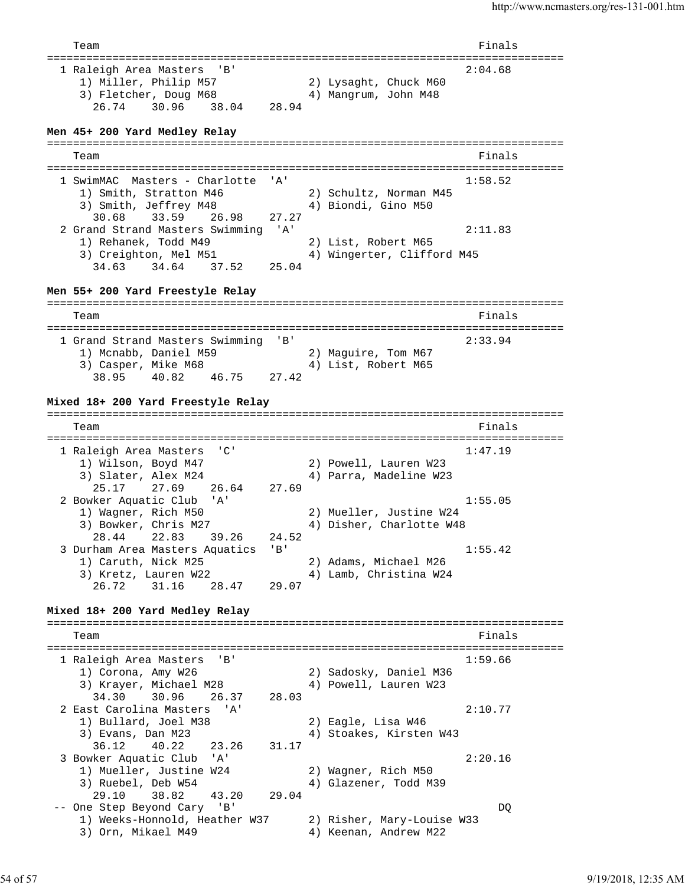Team Finals =============================================================================== 1 Raleigh Area Masters 'B' 2:04.68 1) Miller, Philip M57 2) Lysaght, Chuck M60 3) Fletcher, Doug M68 4) Mangrum, John M48 26.74 30.96 38.04 28.94 **Men 45+ 200 Yard Medley Relay** =============================================================================== Team Finals =============================================================================== 1 SwimMAC Masters - Charlotte 'A' 1:58.52 1) Smith, Stratton M46 2) Schultz, Norman M45 3) Smith, Jeffrey M48 4) Biondi, Gino M50 30.68 33.59 26.98 27.27 2 Grand Strand Masters Swimming 'A' 2:11.83 1) Rehanek, Todd M49 2) List, Robert M65 3) Creighton, Mel M51 4) Wingerter, Clifford M45 34.63 34.64 37.52 25.04 **Men 55+ 200 Yard Freestyle Relay** =============================================================================== Team Finals =============================================================================== 1 Grand Strand Masters Swimming 'B' 2:33.94 1) Mcnabb, Daniel M59 2) Maguire, Tom M67 3) Casper, Mike M68 4) List, Robert M65 38.95 40.82 46.75 27.42 **Mixed 18+ 200 Yard Freestyle Relay** =============================================================================== Team Finals =============================================================================== 1 Raleigh Area Masters 'C' 1:47.19 1) Wilson, Boyd M47 2) Powell, Lauren W23 3) Slater, Alex M24 4) Parra, Madeline W23 25.17 27.69 26.64 27.69 2 Bowker Aquatic Club 'A' 1:55.05 1) Wagner, Rich M50 2) Mueller, Justine W24 3) Bowker, Chris M27 4) Disher, Charlotte W48 28.44 22.83 39.26 24.52 3 Durham Area Masters Aquatics 'B' 1:55.42 1) Caruth, Nick M25 2) Adams, Michael M26 3) Kretz, Lauren W22 4) Lamb, Christina W24 26.72 31.16 28.47 29.07 **Mixed 18+ 200 Yard Medley Relay** =============================================================================== Team Finals =============================================================================== 1 Raleigh Area Masters 'B' 1:59.66 1) Corona, Amy W26 2) Sadosky, Daniel M36 3) Krayer, Michael M28 4) Powell, Lauren W23 34.30 30.96 26.37 28.03 2 East Carolina Masters 'A' 2:10.77 1) Bullard, Joel M38 2) Eagle, Lisa W46<br>3) Evans, Dan M23 3 4) Stoakes, Kirsten 4) Stoakes, Kirsten W43 36.12 40.22 23.26 31.17 3 Bowker Aquatic Club 'A' 2:20.16 1) Mueller, Justine W24 2) Wagner, Rich M50 3) Ruebel, Deb W54 4) Glazener, Todd M39 29.10 38.82 43.20 29.04 -- One Step Beyond Cary 'B' DQ 1) Weeks-Honnold, Heather W37 2) Risher, Mary-Louise W33 3) Orn, Mikael M49 4) Keenan, Andrew M22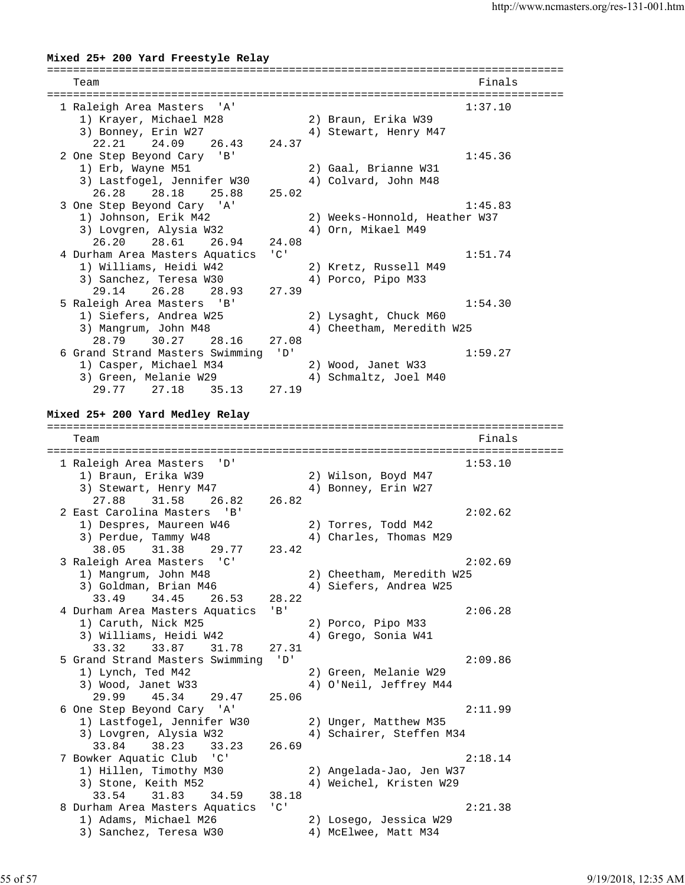### **Mixed 25+ 200 Yard Freestyle Relay** =============================================================================== Team Finals =============================================================================== 1 Raleigh Area Masters 'A' 1:37.10 1) Krayer, Michael M28 2) Braun, Erika W39 3) Bonney, Erin W27 4) Stewart, Henry M47 22.21 24.09 26.43 24.37 2 One Step Beyond Cary 'B' 1:45.36<br>1) Erb, Wayne M51 2) Gaal, Brianne W31 1) Erb, Wayne M51 2) Gaal, Brianne W31 3) Lastfogel, Jennifer W30 4) Colvard, John M48 26.28 28.18 25.88 25.02 3 One Step Beyond Cary 'A' 1:45.83 1) Johnson, Erik M42 2) Weeks-Honnold, Heather W37 3) Lovgren, Alysia W32 4) Orn, Mikael M49 26.20 28.61 26.94 24.08 4 Durham Area Masters Aquatics 'C' 1:51.74 1) Williams, Heidi W42 2) Kretz, Russell M49 3) Sanchez, Teresa W30 4) Porco, Pipo M33 29.14 26.28 28.93 27.39 5 Raleigh Area Masters 'B' 1:54.30<br>1) Siefers, Andrea W25 2) Lysaght, Chuck M60 1) Siefers, Andrea W25 3) Mangrum, John M48 4) Cheetham, Meredith W25 28.79 30.27 28.16 27.08 6 Grand Strand Masters Swimming 'D' 1:59.27 1) Casper, Michael M34 2) Wood, Janet W33 3) Green, Melanie W29 4) Schmaltz, Joel M40 29.77 27.18 35.13 27.19 **Mixed 25+ 200 Yard Medley Relay** =============================================================================== Team Finals =============================================================================== 1 Raleigh Area Masters 'D' 1:53.10 1) Braun, Erika W39 2) Wilson, Boyd M47 3) Stewart, Henry M47 (4) Bonney, Erin W27 27.88 31.58 26.82 26.82 2 East Carolina Masters 'B' 2:02.62 1) Despres, Maureen W46 2) Torres, Todd M42 3) Perdue, Tammy W48 4) Charles, Thomas M29 38.05 31.38 29.77 23.42 3 Raleigh Area Masters 'C' 2:02.69 1) Mangrum, John M48 2) Cheetham, Meredith W25<br>3) Goldman, Brian M46 4) Siefers, Andrea W25<br>22.40 3) Goldman, Brian M46 4) Siefers, Andrea W25 33.49 34.45 26.53 28.22 4 Durham Area Masters Aquatics 'B' 2:06.28 1) Caruth, Nick M25 2) Porco, Pipo M33 3) Williams, Heidi W42  $\hskip1cm 4)$  Grego, Sonia W41 33.32 33.87 31.78 27.31 5 Grand Strand Masters Swimming 'D' 2:09.86 1) Lynch, Ted M42 2) Green, Melanie W29 3) Wood, Janet W33 4) O'Neil, Jeffrey M44 29.99 45.34 29.47 25.06 6 One Step Beyond Cary 'A' 2:11.99 1) Lastfogel, Jennifer W30 2) Unger, Matthew M35 3) Lovgren, Alysia W32 4) Schairer, Steffen M34 33.84 38.23 33.23 26.69 7 Bowker Aquatic Club 'C' 2:18.14 1) Hillen, Timothy M30 2) Angelada-Jao, Jen W37 3) Stone, Keith M52 4) Weichel, Kristen W29 33.54 31.83 34.59 38.18 8 Durham Area Masters Aquatics 'C' 2:21.38 1) Adams, Michael M26 2) Losego, Jessica W29 3) Sanchez, Teresa W30 4) McElwee, Matt M34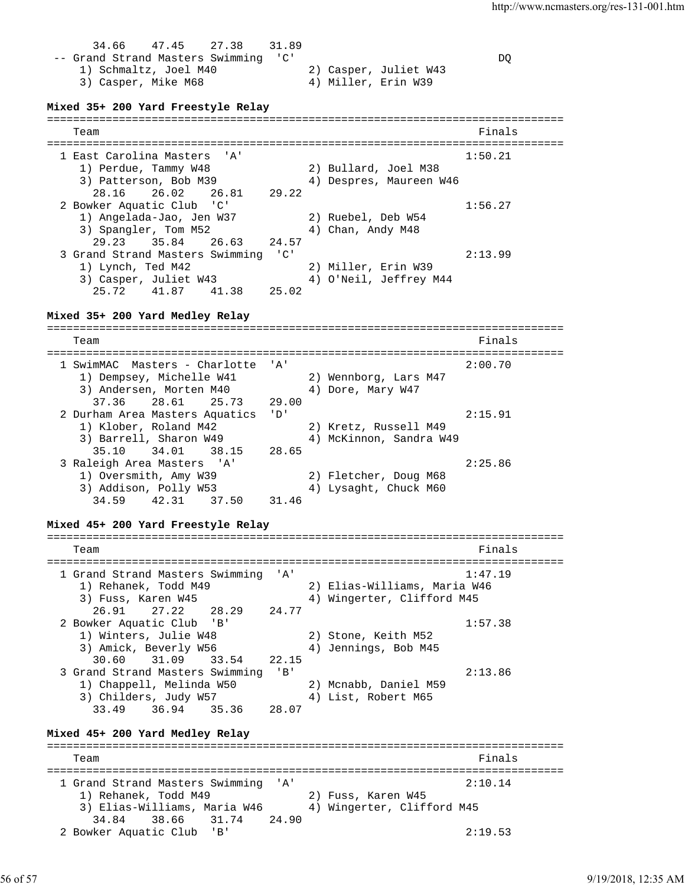34.66 47.45 27.38 31.89 -- Grand Strand Masters Swimming 'C' DQ 1) Schmaltz, Joel M40 2) Casper, Juliet W43 3) Casper, Mike M68 4) Miller, Erin W39 **Mixed 35+ 200 Yard Freestyle Relay** =============================================================================== Team Finals =============================================================================== 1 East Carolina Masters 'A' 1:50.21 1) Perdue, Tammy W48 2) Bullard, Joel M38 3) Patterson, Bob M39 4) Despres, Maureen W46 28.16 26.02 26.81 29.22 2 Bowker Aquatic Club 'C' 1:56.27 1) Angelada-Jao, Jen W37 2) Ruebel, Deb W54 3) Spangler, Tom M52 4) Chan, Andy M48 29.23 35.84 26.63 24.57 3 Grand Strand Masters Swimming 'C' 2:13.99 1) Lynch, Ted M42 2) Miller, Erin W39 3) Casper, Juliet W43 4) O'Neil, Jeffrey M44 25.72 41.87 41.38 25.02 **Mixed 35+ 200 Yard Medley Relay** =============================================================================== Team Finals =============================================================================== 1 SwimMAC Masters - Charlotte 'A' 2:00.70 1) Dempsey, Michelle W41 2) Wennborg, Lars M47 3) Andersen, Morten M40 4) Dore, Mary W47 37.36 28.61 25.73 29.00 2 Durham Area Masters Aquatics 'D' 2:15.91 1) Klober, Roland M42 2) Kretz, Russell M49 3) Barrell, Sharon W49 4) McKinnon, Sandra W49 35.10 34.01 38.15 28.65 3 Raleigh Area Masters 'A' 2:25.86 1) Oversmith, Amy W39 2) Fletcher, Doug M68 3) Addison, Polly W53 4) Lysaght, Chuck M60 34.59 42.31 37.50 31.46 **Mixed 45+ 200 Yard Freestyle Relay** =============================================================================== Team Finals =============================================================================== 1 Grand Strand Masters Swimming 'A' 1:47.19 1) Rehanek, Todd M49 2) Elias-Williams, Maria W46 3) Fuss, Karen W45 4) Wingerter, Clifford M45 26.91 27.22 28.29 24.77 2 Bowker Aquatic Club 'B' 1:57.38 1) Winters, Julie W48 2) Stone, Keith M52 3) Amick, Beverly W56 4) Jennings, Bob M45 30.60 31.09 33.54 22.15 3 Grand Strand Masters Swimming 'B' 2:13.86 1) Chappell, Melinda W50 2) Mcnabb, Daniel M59 3) Childers, Judy W57 (4) List, Robert M65 33.49 36.94 35.36 28.07 **Mixed 45+ 200 Yard Medley Relay** =============================================================================== Team Finals =============================================================================== 1 Grand Strand Masters Swimming 'A' 2:10.14 1) Rehanek, Todd M49 2) Fuss, Karen W45 3) Elias-Williams, Maria W46 4) Wingerter, Clifford M45 34.84 38.66 31.74 24.90 2 Bowker Aquatic Club 'B' 2:19.53